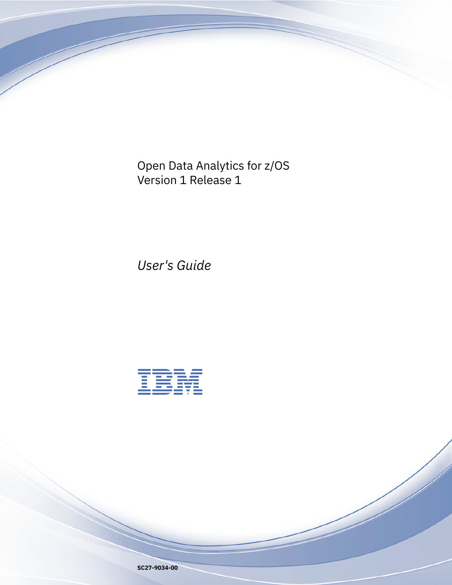Open Data Analytics for z/OS Version 1 Release 1

*User's Guide*

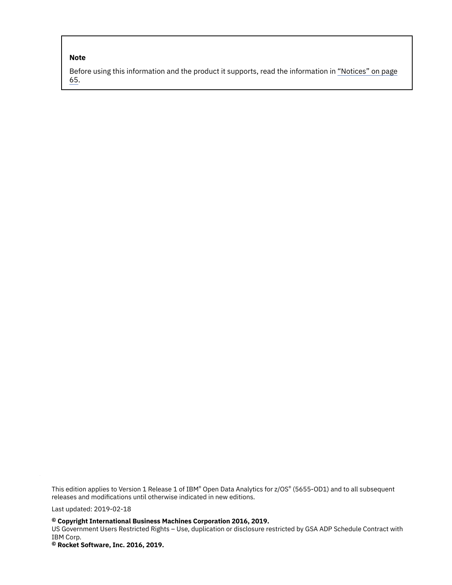#### **Note**

Before using this information and the product it supports, read the information in ["Notices" on page](#page-72-0) [65](#page-72-0).

This edition applies to Version 1 Release 1 of IBM® Open Data Analytics for z/OS® (5655-OD1) and to all subsequent releases and modifications until otherwise indicated in new editions.

Last updated: 2019-02-18

**© Copyright International Business Machines Corporation 2016, 2019.**

US Government Users Restricted Rights – Use, duplication or disclosure restricted by GSA ADP Schedule Contract with IBM Corp.

**© Rocket Software, Inc. 2016, 2019.**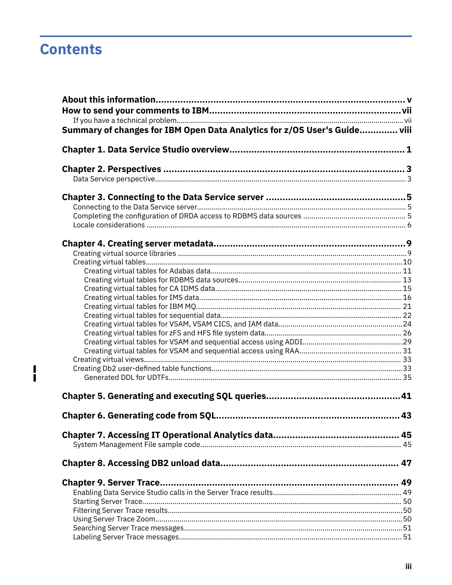# **Contents**

 $\mathbf{I}$ 

| Summary of changes for IBM Open Data Analytics for z/OS User's Guide viii |  |
|---------------------------------------------------------------------------|--|
|                                                                           |  |
|                                                                           |  |
|                                                                           |  |
|                                                                           |  |
|                                                                           |  |
|                                                                           |  |
|                                                                           |  |
|                                                                           |  |
|                                                                           |  |
|                                                                           |  |
|                                                                           |  |
|                                                                           |  |
|                                                                           |  |
|                                                                           |  |
|                                                                           |  |
|                                                                           |  |
|                                                                           |  |
|                                                                           |  |
|                                                                           |  |
|                                                                           |  |
|                                                                           |  |
|                                                                           |  |
|                                                                           |  |
|                                                                           |  |
|                                                                           |  |
|                                                                           |  |
|                                                                           |  |
|                                                                           |  |
|                                                                           |  |
|                                                                           |  |
|                                                                           |  |
|                                                                           |  |
|                                                                           |  |
|                                                                           |  |
|                                                                           |  |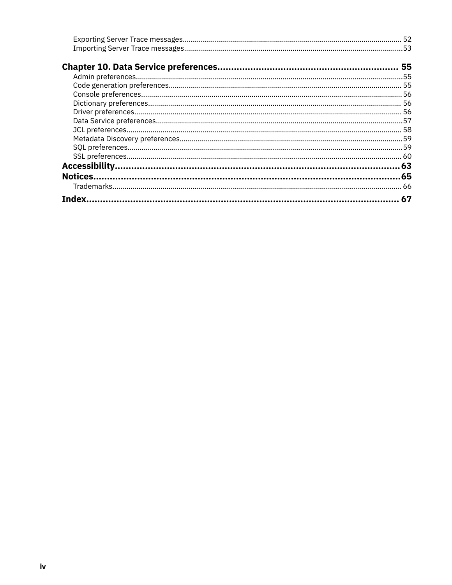| 67 |
|----|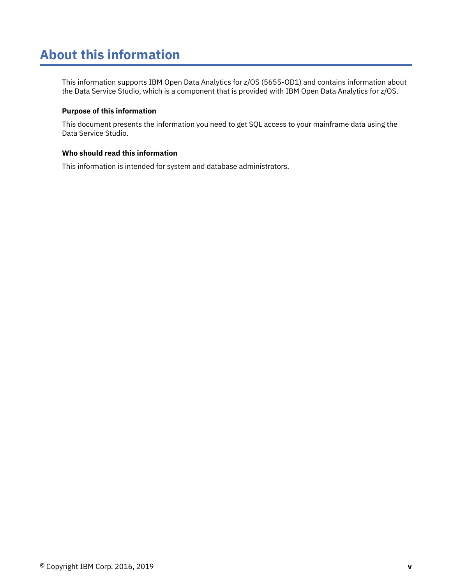# <span id="page-4-0"></span>**About this information**

This information supports IBM Open Data Analytics for z/OS (5655-OD1) and contains information about the Data Service Studio, which is a component that is provided with IBM Open Data Analytics for z/OS.

#### **Purpose of this information**

This document presents the information you need to get SQL access to your mainframe data using the Data Service Studio.

#### **Who should read this information**

This information is intended for system and database administrators.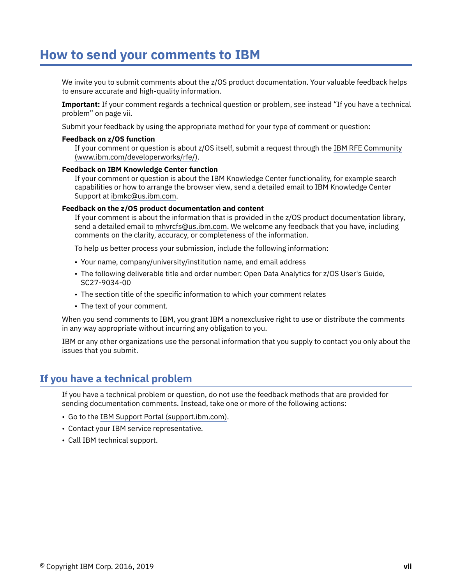# <span id="page-6-0"></span>**How to send your comments to IBM**

We invite you to submit comments about the z/OS product documentation. Your valuable feedback helps to ensure accurate and high-quality information.

**Important:** If your comment regards a technical question or problem, see instead "If you have a technical problem" on page vii.

Submit your feedback by using the appropriate method for your type of comment or question:

#### **Feedback on z/OS function**

If your comment or question is about z/OS itself, submit a request through the [IBM RFE Community](http://www.ibm.com/developerworks/rfe/) [\(www.ibm.com/developerworks/rfe/\).](http://www.ibm.com/developerworks/rfe/)

#### **Feedback on IBM Knowledge Center function**

If your comment or question is about the IBM Knowledge Center functionality, for example search capabilities or how to arrange the browser view, send a detailed email to IBM Knowledge Center Support at [ibmkc@us.ibm.com.](mailto:ibmkc@us.ibm.com)

#### **Feedback on the z/OS product documentation and content**

If your comment is about the information that is provided in the z/OS product documentation library, send a detailed email to [mhvrcfs@us.ibm.com.](mailto:mhvrcfs@us.ibm.com) We welcome any feedback that you have, including comments on the clarity, accuracy, or completeness of the information.

To help us better process your submission, include the following information:

- Your name, company/university/institution name, and email address
- The following deliverable title and order number: Open Data Analytics for z/OS User's Guide, SC27-9034-00
- The section title of the specific information to which your comment relates
- The text of your comment.

When you send comments to IBM, you grant IBM a nonexclusive right to use or distribute the comments in any way appropriate without incurring any obligation to you.

IBM or any other organizations use the personal information that you supply to contact you only about the issues that you submit.

# **If you have a technical problem**

If you have a technical problem or question, do not use the feedback methods that are provided for sending documentation comments. Instead, take one or more of the following actions:

- Go to the [IBM Support Portal \(support.ibm.com\).](http://support.ibm.com)
- Contact your IBM service representative.
- Call IBM technical support.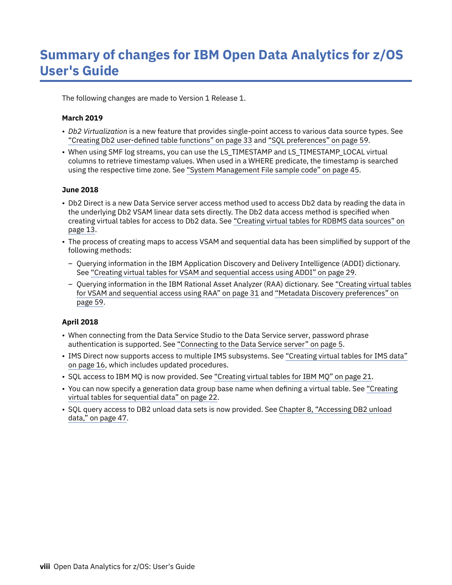<span id="page-7-0"></span>The following changes are made to Version 1 Release 1.

#### **March 2019**

- *Db2 Virtualization* is a new feature that provides single-point access to various data source types. See "Creating Db2 user-defined table functions" on page 33 and ["SQL preferences" on page 59](#page-66-0).
- When using SMF log streams, you can use the LS\_TIMESTAMP and LS\_TIMESTAMP\_LOCAL virtual columns to retrieve timestamp values. When used in a WHERE predicate, the timestamp is searched using the respective time zone. See ["System Management File sample code" on page 45.](#page-52-0)

#### **June 2018**

- Db2 Direct is a new Data Service server access method used to access Db2 data by reading the data in the underlying Db2 VSAM linear data sets directly. The Db2 data access method is specified when creating virtual tables for access to Db2 data. See ["Creating virtual tables for RDBMS data sources" on](#page-20-0) [page 13.](#page-20-0)
- The process of creating maps to access VSAM and sequential data has been simplified by support of the following methods:
	- Querying information in the IBM Application Discovery and Delivery Intelligence (ADDI) dictionary. See ["Creating virtual tables for VSAM and sequential access using ADDI" on page 29.](#page-36-0)
	- Querying information in the IBM Rational Asset Analyzer (RAA) dictionary. See ["Creating virtual tables](#page-38-0) [for VSAM and sequential access using RAA" on page 31](#page-38-0) and ["Metadata Discovery preferences" on](#page-66-0) [page 59](#page-66-0).

## **April 2018**

- When connecting from the Data Service Studio to the Data Service server, password phrase authentication is supported. See ["Connecting to the Data Service server" on page 5](#page-12-0).
- IMS Direct now supports access to multiple IMS subsystems. See ["Creating virtual tables for IMS data"](#page-23-0) [on page 16](#page-23-0), which includes updated procedures.
- SQL access to IBM MQ is now provided. See ["Creating virtual tables for IBM MQ" on page 21.](#page-28-0)
- You can now specify a generation data group base name when defining a virtual table. See ["Creating](#page-29-0) [virtual tables for sequential data" on page 22.](#page-29-0)
- SQL query access to DB2 unload data sets is now provided. See [Chapter 8, "Accessing DB2 unload](#page-54-0) [data," on page 47.](#page-54-0)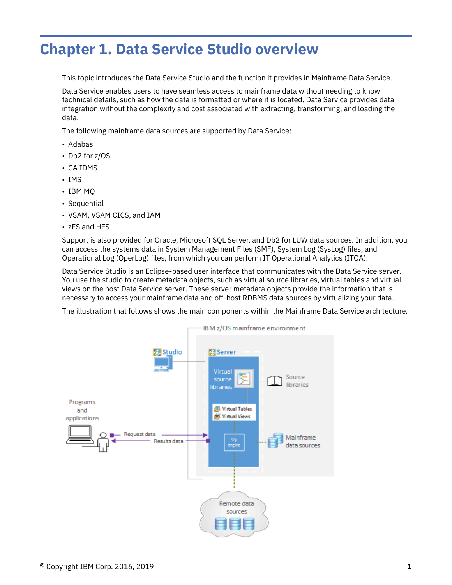# <span id="page-8-0"></span>**Chapter 1. Data Service Studio overview**

This topic introduces the Data Service Studio and the function it provides in Mainframe Data Service.

Data Service enables users to have seamless access to mainframe data without needing to know technical details, such as how the data is formatted or where it is located. Data Service provides data integration without the complexity and cost associated with extracting, transforming, and loading the data.

The following mainframe data sources are supported by Data Service:

- Adabas
- Db2 for z/OS
- CA IDMS
- IMS
- IBM MQ
- Sequential
- VSAM, VSAM CICS, and IAM
- zFS and HFS

Support is also provided for Oracle, Microsoft SQL Server, and Db2 for LUW data sources. In addition, you can access the systems data in System Management Files (SMF), System Log (SysLog) files, and Operational Log (OperLog) files, from which you can perform IT Operational Analytics (ITOA).

Data Service Studio is an Eclipse-based user interface that communicates with the Data Service server. You use the studio to create metadata objects, such as virtual source libraries, virtual tables and virtual views on the host Data Service server. These server metadata objects provide the information that is necessary to access your mainframe data and off-host RDBMS data sources by virtualizing your data.

The illustration that follows shows the main components within the Mainframe Data Service architecture.

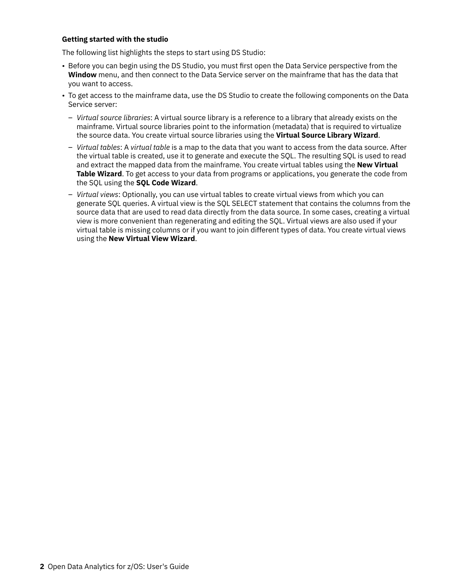#### **Getting started with the studio**

The following list highlights the steps to start using DS Studio:

- Before you can begin using the DS Studio, you must first open the Data Service perspective from the **Window** menu, and then connect to the Data Service server on the mainframe that has the data that you want to access.
- To get access to the mainframe data, use the DS Studio to create the following components on the Data Service server:
	- *Virtual source libraries*: A virtual source library is a reference to a library that already exists on the mainframe. Virtual source libraries point to the information (metadata) that is required to virtualize the source data. You create virtual source libraries using the **Virtual Source Library Wizard**.
	- *Virtual tables*: A *virtual table* is a map to the data that you want to access from the data source. After the virtual table is created, use it to generate and execute the SQL. The resulting SQL is used to read and extract the mapped data from the mainframe. You create virtual tables using the **New Virtual Table Wizard**. To get access to your data from programs or applications, you generate the code from the SQL using the **SQL Code Wizard**.
	- *Virtual views*: Optionally, you can use virtual tables to create virtual views from which you can generate SQL queries. A virtual view is the SQL SELECT statement that contains the columns from the source data that are used to read data directly from the data source. In some cases, creating a virtual view is more convenient than regenerating and editing the SQL. Virtual views are also used if your virtual table is missing columns or if you want to join different types of data. You create virtual views using the **New Virtual View Wizard**.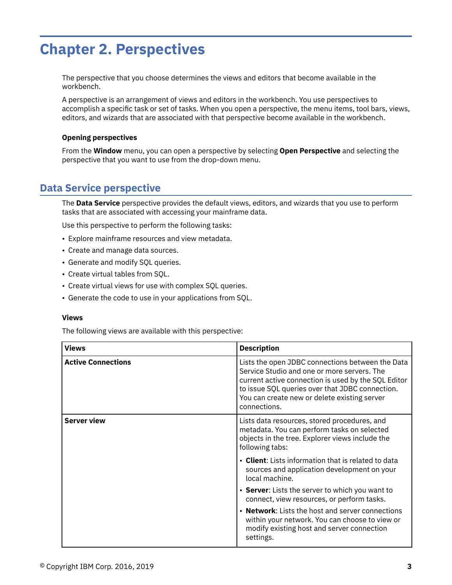# <span id="page-10-0"></span>**Chapter 2. Perspectives**

The perspective that you choose determines the views and editors that become available in the workbench.

A perspective is an arrangement of views and editors in the workbench. You use perspectives to accomplish a specific task or set of tasks. When you open a perspective, the menu items, tool bars, views, editors, and wizards that are associated with that perspective become available in the workbench.

#### **Opening perspectives**

From the **Window** menu, you can open a perspective by selecting **Open Perspective** and selecting the perspective that you want to use from the drop-down menu.

# **Data Service perspective**

The **Data Service** perspective provides the default views, editors, and wizards that you use to perform tasks that are associated with accessing your mainframe data.

Use this perspective to perform the following tasks:

- Explore mainframe resources and view metadata.
- Create and manage data sources.
- Generate and modify SQL queries.
- Create virtual tables from SQL.
- Create virtual views for use with complex SQL queries.
- Generate the code to use in your applications from SQL.

#### **Views**

The following views are available with this perspective:

| <b>Views</b>              | <b>Description</b>                                                                                                                                                                                                                                                        |
|---------------------------|---------------------------------------------------------------------------------------------------------------------------------------------------------------------------------------------------------------------------------------------------------------------------|
| <b>Active Connections</b> | Lists the open JDBC connections between the Data<br>Service Studio and one or more servers. The<br>current active connection is used by the SQL Editor<br>to issue SQL queries over that JDBC connection.<br>You can create new or delete existing server<br>connections. |
| <b>Server view</b>        | Lists data resources, stored procedures, and<br>metadata. You can perform tasks on selected<br>objects in the tree. Explorer views include the<br>following tabs:                                                                                                         |
|                           | • Client: Lists information that is related to data<br>sources and application development on your<br>local machine.                                                                                                                                                      |
|                           | • Server: Lists the server to which you want to<br>connect, view resources, or perform tasks.                                                                                                                                                                             |
|                           | • Network: Lists the host and server connections<br>within your network. You can choose to view or<br>modify existing host and server connection<br>settings.                                                                                                             |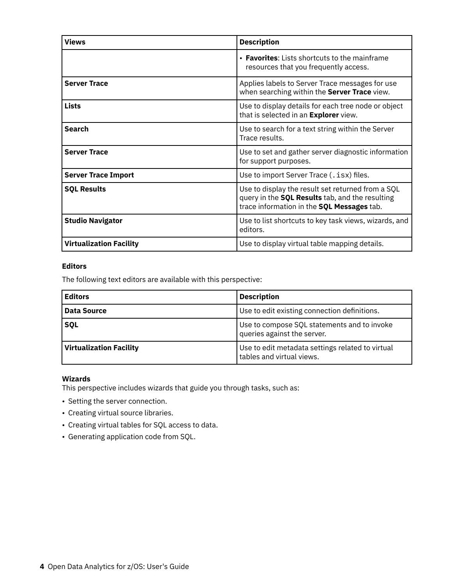| <b>Views</b>                   | <b>Description</b>                                                                                                                                 |
|--------------------------------|----------------------------------------------------------------------------------------------------------------------------------------------------|
|                                | • Favorites: Lists shortcuts to the mainframe<br>resources that you frequently access.                                                             |
| <b>Server Trace</b>            | Applies labels to Server Trace messages for use<br>when searching within the Server Trace view.                                                    |
| <b>Lists</b>                   | Use to display details for each tree node or object<br>that is selected in an Explorer view.                                                       |
| <b>Search</b>                  | Use to search for a text string within the Server<br>Trace results.                                                                                |
| <b>Server Trace</b>            | Use to set and gather server diagnostic information<br>for support purposes.                                                                       |
| <b>Server Trace Import</b>     | Use to import Server Trace (. isx) files.                                                                                                          |
| <b>SQL Results</b>             | Use to display the result set returned from a SQL<br>query in the SQL Results tab, and the resulting<br>trace information in the SQL Messages tab. |
| <b>Studio Navigator</b>        | Use to list shortcuts to key task views, wizards, and<br>editors.                                                                                  |
| <b>Virtualization Facility</b> | Use to display virtual table mapping details.                                                                                                      |

# **Editors**

The following text editors are available with this perspective:

| <b>Editors</b>                 | <b>Description</b>                                                            |
|--------------------------------|-------------------------------------------------------------------------------|
| Data Source                    | Use to edit existing connection definitions.                                  |
| <b>SQL</b>                     | Use to compose SQL statements and to invoke<br>queries against the server.    |
| <b>Virtualization Facility</b> | Use to edit metadata settings related to virtual<br>tables and virtual views. |

# **Wizards**

This perspective includes wizards that guide you through tasks, such as:

- Setting the server connection.
- Creating virtual source libraries.
- Creating virtual tables for SQL access to data.
- Generating application code from SQL.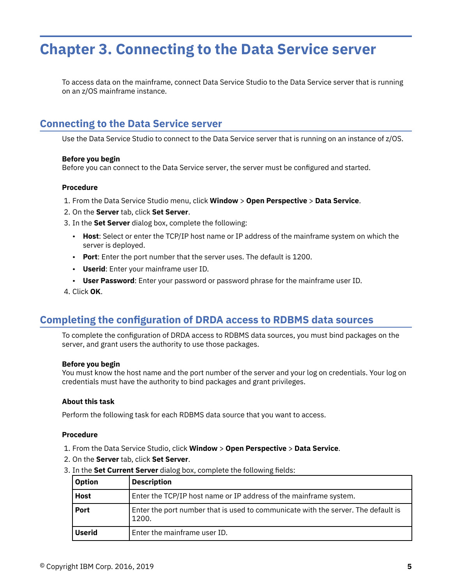# <span id="page-12-0"></span>**Chapter 3. Connecting to the Data Service server**

To access data on the mainframe, connect Data Service Studio to the Data Service server that is running on an z/OS mainframe instance.

# **Connecting to the Data Service server**

Use the Data Service Studio to connect to the Data Service server that is running on an instance of z/OS.

#### **Before you begin**

Before you can connect to the Data Service server, the server must be configured and started.

#### **Procedure**

- 1. From the Data Service Studio menu, click **Window** > **Open Perspective** > **Data Service**.
- 2. On the **Server** tab, click **Set Server**.
- 3. In the **Set Server** dialog box, complete the following:
	- **Host**: Select or enter the TCP/IP host name or IP address of the mainframe system on which the server is deployed.
	- **Port**: Enter the port number that the server uses. The default is 1200.
	- **Userid**: Enter your mainframe user ID.
	- **User Password**: Enter your password or password phrase for the mainframe user ID.
- 4. Click **OK**.

# **Completing the configuration of DRDA access to RDBMS data sources**

To complete the configuration of DRDA access to RDBMS data sources, you must bind packages on the server, and grant users the authority to use those packages.

#### **Before you begin**

You must know the host name and the port number of the server and your log on credentials. Your log on credentials must have the authority to bind packages and grant privileges.

#### **About this task**

Perform the following task for each RDBMS data source that you want to access.

#### **Procedure**

- 1. From the Data Service Studio, click **Window** > **Open Perspective** > **Data Service**.
- 2. On the **Server** tab, click **Set Server**.
- 3. In the **Set Current Server** dialog box, complete the following fields:

| <b>Option</b> | <b>Description</b>                                                                         |
|---------------|--------------------------------------------------------------------------------------------|
| <b>Host</b>   | Enter the TCP/IP host name or IP address of the mainframe system.                          |
| <b>Port</b>   | Enter the port number that is used to communicate with the server. The default is<br>1200. |
| <b>Userid</b> | Enter the mainframe user ID.                                                               |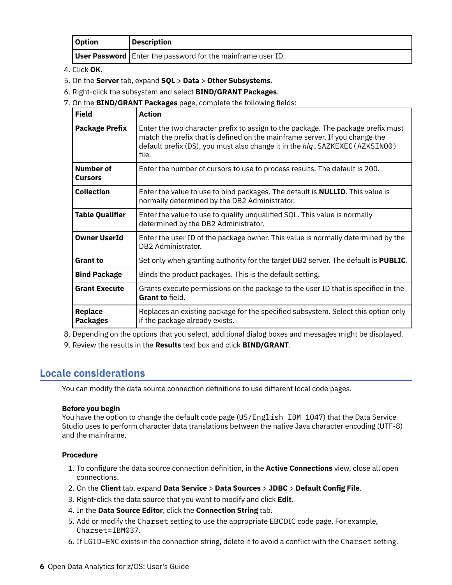<span id="page-13-0"></span>

| Option | <b>Description</b>                                                   |
|--------|----------------------------------------------------------------------|
|        | <b>User Password</b>   Enter the password for the mainframe user ID. |

- 4. Click **OK**.
- 5. On the **Server** tab, expand **SQL** > **Data** > **Other Subsystems**.
- 6. Right-click the subsystem and select **BIND/GRANT Packages**.
- 7. On the **BIND/GRANT Packages** page, complete the following fields:

| <b>Field</b>                | <b>Action</b>                                                                                                                                                                                                                                            |
|-----------------------------|----------------------------------------------------------------------------------------------------------------------------------------------------------------------------------------------------------------------------------------------------------|
| <b>Package Prefix</b>       | Enter the two character prefix to assign to the package. The package prefix must<br>match the prefix that is defined on the mainframe server. If you change the<br>default prefix (DS), you must also change it in the hlq. SAZKEXEC (AZKSIN00)<br>file. |
| Number of<br><b>Cursors</b> | Enter the number of cursors to use to process results. The default is 200.                                                                                                                                                                               |
| <b>Collection</b>           | Enter the value to use to bind packages. The default is <b>NULLID</b> . This value is<br>normally determined by the DB2 Administrator.                                                                                                                   |
| Table Qualifier             | Enter the value to use to qualify unqualified SQL. This value is normally<br>determined by the DB2 Administrator.                                                                                                                                        |
| <b>Owner UserId</b>         | Enter the user ID of the package owner. This value is normally determined by the<br>DB2 Administrator.                                                                                                                                                   |
| <b>Grant to</b>             | Set only when granting authority for the target DB2 server. The default is <b>PUBLIC</b> .                                                                                                                                                               |
| <b>Bind Package</b>         | Binds the product packages. This is the default setting.                                                                                                                                                                                                 |
| <b>Grant Execute</b>        | Grants execute permissions on the package to the user ID that is specified in the<br>Grant to field.                                                                                                                                                     |
| Replace<br><b>Packages</b>  | Replaces an existing package for the specified subsystem. Select this option only<br>if the package already exists.                                                                                                                                      |

8. Depending on the options that you select, additional dialog boxes and messages might be displayed.

9. Review the results in the **Results** text box and click **BIND/GRANT**.

# **Locale considerations**

You can modify the data source connection definitions to use different local code pages.

## **Before you begin**

You have the option to change the default code page (US/English IBM 1047) that the Data Service Studio uses to perform character data translations between the native Java character encoding (UTF-8) and the mainframe.

# **Procedure**

- 1. To configure the data source connection definition, in the **Active Connections** view, close all open connections.
- 2. On the Client tab, expand Data Service > Data Sources > JDBC > Default Config File.
- 3. Right-click the data source that you want to modify and click **Edit**.
- 4. In the **Data Source Editor**, click the **Connection String** tab.
- 5. Add or modify the Charset setting to use the appropriate EBCDIC code page. For example, Charset=IBM037.
- 6. If LGID=ENC exists in the connection string, delete it to avoid a conflict with the Charset setting.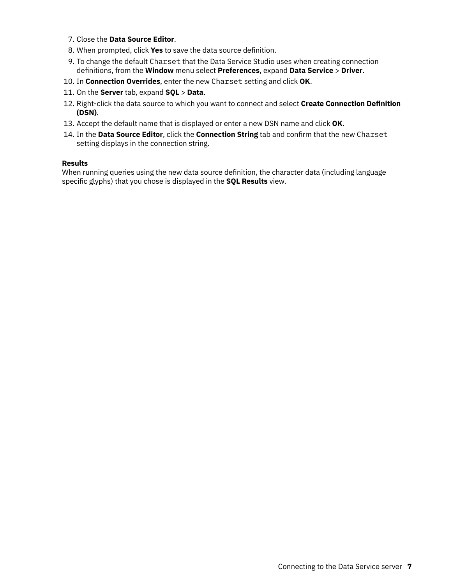- 7. Close the **Data Source Editor**.
- 8. When prompted, click Yes to save the data source definition.
- 9. To change the default Charset that the Data Service Studio uses when creating connection definitions, from the Window menu select Preferences, expand Data Service > Driver.
- 10. In **Connection Overrides**, enter the new Charset setting and click **OK**.
- 11. On the **Server** tab, expand **SQL** > **Data**.
- 12. Right-click the data source to which you want to connect and select Create Connection Definition **(DSN)**.
- 13. Accept the default name that is displayed or enter a new DSN name and click **OK**.
- 14. In the Data Source Editor, click the Connection String tab and confirm that the new Charset setting displays in the connection string.

#### **Results**

When running queries using the new data source definition, the character data (including language specific glyphs) that you chose is displayed in the **SQL Results** view.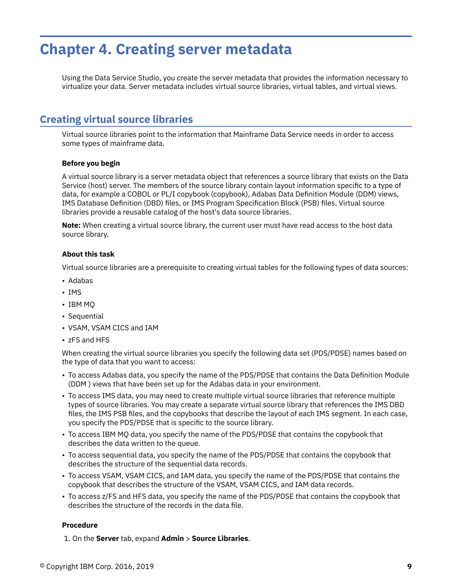# <span id="page-16-0"></span>**Chapter 4. Creating server metadata**

Using the Data Service Studio, you create the server metadata that provides the information necessary to virtualize your data. Server metadata includes virtual source libraries, virtual tables, and virtual views.

# **Creating virtual source libraries**

Virtual source libraries point to the information that Mainframe Data Service needs in order to access some types of mainframe data.

#### **Before you begin**

A virtual source library is a server metadata object that references a source library that exists on the Data Service (host) server. The members of the source library contain layout information specific to a type of data, for example a COBOL or PL/I copybook (copybook), Adabas Data Definition Module (DDM) views, IMS Database Definition (DBD) files, or IMS Program Specification Block (PSB) files. Virtual source libraries provide a reusable catalog of the host's data source libraries.

**Note:** When creating a virtual source library, the current user must have read access to the host data source library.

#### **About this task**

Virtual source libraries are a prerequisite to creating virtual tables for the following types of data sources:

- Adabas
- IMS
- IBM MQ
- Sequential
- VSAM, VSAM CICS and IAM
- zFS and HFS

When creating the virtual source libraries you specify the following data set (PDS/PDSE) names based on the type of data that you want to access:

- To access Adabas data, you specify the name of the PDS/PDSE that contains the Data Definition Module (DDM ) views that have been set up for the Adabas data in your environment.
- To access IMS data, you may need to create multiple virtual source libraries that reference multiple types of source libraries. You may create a separate virtual source library that references the IMS DBD files, the IMS PSB files, and the copybooks that describe the layout of each IMS segment. In each case, you specify the PDS/PDSE that is specific to the source library.
- To access IBM MQ data, you specify the name of the PDS/PDSE that contains the copybook that describes the data written to the queue.
- To access sequential data, you specify the name of the PDS/PDSE that contains the copybook that describes the structure of the sequential data records.
- To access VSAM, VSAM CICS, and IAM data, you specify the name of the PDS/PDSE that contains the copybook that describes the structure of the VSAM, VSAM CICS, and IAM data records.
- To access z/FS and HFS data, you specify the name of the PDS/PDSE that contains the copybook that describes the structure of the records in the data file.

#### **Procedure**

1. On the **Server** tab, expand **Admin** > **Source Libraries**.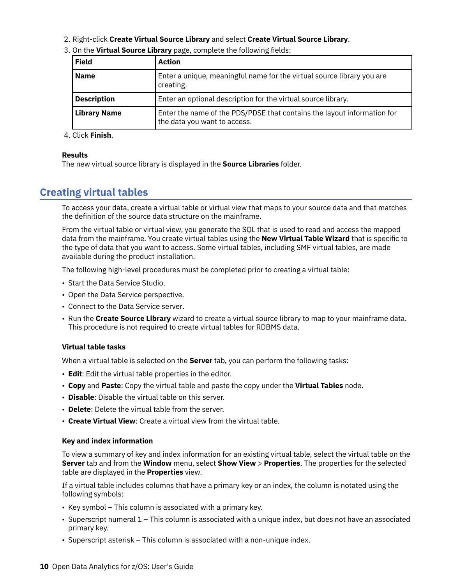<span id="page-17-0"></span>2. Right-click **Create Virtual Source Library** and select **Create Virtual Source Library**.

| <b>Field</b>        | Action                                                                                                  |
|---------------------|---------------------------------------------------------------------------------------------------------|
| <b>Name</b>         | Enter a unique, meaningful name for the virtual source library you are<br>creating.                     |
| <b>Description</b>  | Enter an optional description for the virtual source library.                                           |
| <b>Library Name</b> | Enter the name of the PDS/PDSE that contains the layout information for<br>the data you want to access. |

3. On the Virtual Source Library page, complete the following fields:

#### 4. Click **Finish**.

#### **Results**

The new virtual source library is displayed in the **Source Libraries** folder.

# **Creating virtual tables**

To access your data, create a virtual table or virtual view that maps to your source data and that matches the definition of the source data structure on the mainframe.

From the virtual table or virtual view, you generate the SQL that is used to read and access the mapped data from the mainframe. You create virtual tables using the **New Virtual Table Wizard** that is specific to the type of data that you want to access. Some virtual tables, including SMF virtual tables, are made available during the product installation.

The following high-level procedures must be completed prior to creating a virtual table:

- Start the Data Service Studio.
- Open the Data Service perspective.
- Connect to the Data Service server.
- Run the **Create Source Library** wizard to create a virtual source library to map to your mainframe data. This procedure is not required to create virtual tables for RDBMS data.

## **Virtual table tasks**

When a virtual table is selected on the **Server** tab, you can perform the following tasks:

- **Edit**: Edit the virtual table properties in the editor.
- **Copy** and **Paste**: Copy the virtual table and paste the copy under the **Virtual Tables** node.
- **Disable**: Disable the virtual table on this server.
- **Delete**: Delete the virtual table from the server.
- **Create Virtual View**: Create a virtual view from the virtual table.

#### **Key and index information**

To view a summary of key and index information for an existing virtual table, select the virtual table on the **Server** tab and from the **Window** menu, select **Show View** > **Properties**. The properties for the selected table are displayed in the **Properties** view.

If a virtual table includes columns that have a primary key or an index, the column is notated using the following symbols:

- Key symbol This column is associated with a primary key.
- Superscript numeral 1 This column is associated with a unique index, but does not have an associated primary key.
- Superscript asterisk This column is associated with a non-unique index.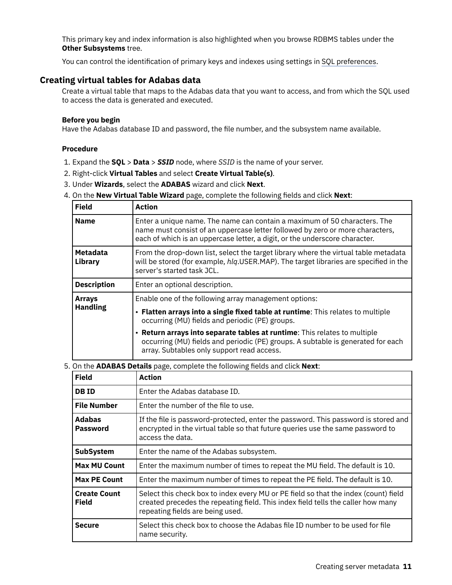<span id="page-18-0"></span>This primary key and index information is also highlighted when you browse RDBMS tables under the **Other Subsystems** tree.

You can control the identification of primary keys and indexes using settings in [SQL preferences.](#page-66-0)

# **Creating virtual tables for Adabas data**

Create a virtual table that maps to the Adabas data that you want to access, and from which the SQL used to access the data is generated and executed.

#### **Before you begin**

Have the Adabas database ID and password, the file number, and the subsystem name available.

# **Procedure**

- 1. Expand the **SQL** > **Data** > *SSID* node, where *SSID* is the name of your server.
- 2. Right-click **Virtual Tables** and select **Create Virtual Table(s)**.
- 3. Under **Wizards**, select the **ADABAS** wizard and click **Next**.
- 4. On the **New Virtual Table Wizard** page, complete the following fields and click Next:

| <b>Field</b>                     | <b>Action</b>                                                                                                                                                                                                                                                                                                                                                                                              |
|----------------------------------|------------------------------------------------------------------------------------------------------------------------------------------------------------------------------------------------------------------------------------------------------------------------------------------------------------------------------------------------------------------------------------------------------------|
| <b>Name</b>                      | Enter a unique name. The name can contain a maximum of 50 characters. The<br>name must consist of an uppercase letter followed by zero or more characters,<br>each of which is an uppercase letter, a digit, or the underscore character.                                                                                                                                                                  |
| <b>Metadata</b><br>Library       | From the drop-down list, select the target library where the virtual table metadata<br>will be stored (for example, hlg.USER.MAP). The target libraries are specified in the<br>server's started task JCL.                                                                                                                                                                                                 |
| <b>Description</b>               | Enter an optional description.                                                                                                                                                                                                                                                                                                                                                                             |
| <b>Arrays</b><br><b>Handling</b> | Enable one of the following array management options:<br>• Flatten arrays into a single fixed table at runtime: This relates to multiple<br>occurring (MU) fields and periodic (PE) groups.<br>• Return arrays into separate tables at runtime: This relates to multiple<br>occurring (MU) fields and periodic (PE) groups. A subtable is generated for each<br>array. Subtables only support read access. |

5. On the **ADABAS Details** page, complete the following fields and click **Next**:

| <b>Field</b>                        | Action                                                                                                                                                                                                      |
|-------------------------------------|-------------------------------------------------------------------------------------------------------------------------------------------------------------------------------------------------------------|
| <b>DBID</b>                         | Enter the Adabas database ID.                                                                                                                                                                               |
| <b>File Number</b>                  | Enter the number of the file to use.                                                                                                                                                                        |
| <b>Adabas</b><br><b>Password</b>    | If the file is password-protected, enter the password. This password is stored and<br>encrypted in the virtual table so that future queries use the same password to<br>access the data.                    |
| <b>SubSystem</b>                    | Enter the name of the Adabas subsystem.                                                                                                                                                                     |
| <b>Max MU Count</b>                 | Enter the maximum number of times to repeat the MU field. The default is 10.                                                                                                                                |
| <b>Max PE Count</b>                 | Enter the maximum number of times to repeat the PE field. The default is 10.                                                                                                                                |
| <b>Create Count</b><br><b>Field</b> | Select this check box to index every MU or PE field so that the index (count) field<br>created precedes the repeating field. This index field tells the caller how many<br>repeating fields are being used. |
| <b>Secure</b>                       | Select this check box to choose the Adabas file ID number to be used for file<br>name security.                                                                                                             |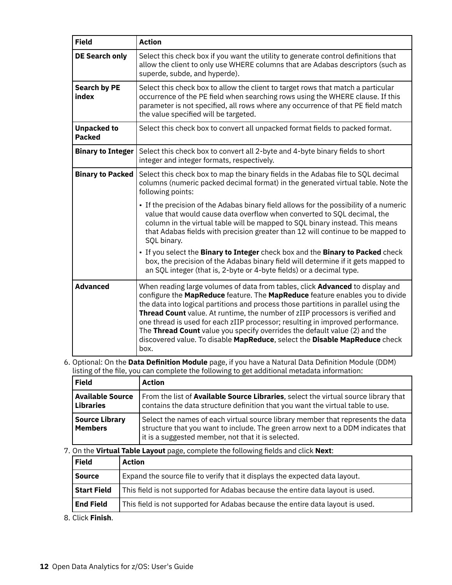| <b>Field</b>                        | <b>Action</b>                                                                                                                                                                                                                                                                                                                                                                                                                                                                                                                                                                                      |
|-------------------------------------|----------------------------------------------------------------------------------------------------------------------------------------------------------------------------------------------------------------------------------------------------------------------------------------------------------------------------------------------------------------------------------------------------------------------------------------------------------------------------------------------------------------------------------------------------------------------------------------------------|
| DE Search only                      | Select this check box if you want the utility to generate control definitions that<br>allow the client to only use WHERE columns that are Adabas descriptors (such as<br>superde, subde, and hyperde).                                                                                                                                                                                                                                                                                                                                                                                             |
| <b>Search by PE</b><br>index        | Select this check box to allow the client to target rows that match a particular<br>occurrence of the PE field when searching rows using the WHERE clause. If this<br>parameter is not specified, all rows where any occurrence of that PE field match<br>the value specified will be targeted.                                                                                                                                                                                                                                                                                                    |
| <b>Unpacked to</b><br><b>Packed</b> | Select this check box to convert all unpacked format fields to packed format.                                                                                                                                                                                                                                                                                                                                                                                                                                                                                                                      |
| <b>Binary to Integer</b>            | Select this check box to convert all 2-byte and 4-byte binary fields to short<br>integer and integer formats, respectively.                                                                                                                                                                                                                                                                                                                                                                                                                                                                        |
| <b>Binary to Packed</b>             | Select this check box to map the binary fields in the Adabas file to SQL decimal<br>columns (numeric packed decimal format) in the generated virtual table. Note the<br>following points:                                                                                                                                                                                                                                                                                                                                                                                                          |
|                                     | • If the precision of the Adabas binary field allows for the possibility of a numeric<br>value that would cause data overflow when converted to SQL decimal, the<br>column in the virtual table will be mapped to SQL binary instead. This means<br>that Adabas fields with precision greater than 12 will continue to be mapped to<br>SQL binary.                                                                                                                                                                                                                                                 |
|                                     | . If you select the Binary to Integer check box and the Binary to Packed check<br>box, the precision of the Adabas binary field will determine if it gets mapped to<br>an SQL integer (that is, 2-byte or 4-byte fields) or a decimal type.                                                                                                                                                                                                                                                                                                                                                        |
| <b>Advanced</b>                     | When reading large volumes of data from tables, click <b>Advanced</b> to display and<br>configure the MapReduce feature. The MapReduce feature enables you to divide<br>the data into logical partitions and process those partitions in parallel using the<br>Thread Count value. At runtime, the number of zIIP processors is verified and<br>one thread is used for each zIIP processor; resulting in improved performance.<br>The Thread Count value you specify overrides the default value (2) and the<br>discovered value. To disable MapReduce, select the Disable MapReduce check<br>box. |

#### 6. Optional: On the Data Definition Module page, if you have a Natural Data Definition Module (DDM) listing of the file, you can complete the following to get additional metadata information:

| <b>Field</b>                                | <b>Action</b>                                                                                                                                                                                                             |
|---------------------------------------------|---------------------------------------------------------------------------------------------------------------------------------------------------------------------------------------------------------------------------|
| <b>Available Source</b><br><b>Libraries</b> | From the list of Available Source Libraries, select the virtual source library that<br>contains the data structure definition that you want the virtual table to use.                                                     |
| <b>Source Library</b><br><b>Members</b>     | Select the names of each virtual source library member that represents the data<br>structure that you want to include. The green arrow next to a DDM indicates that<br>it is a suggested member, not that it is selected. |

#### 7. On the Virtual Table Layout page, complete the following fields and click Next:

| Field              | <b>Action</b>                                                                  |
|--------------------|--------------------------------------------------------------------------------|
| <b>Source</b>      | Expand the source file to verify that it displays the expected data layout.    |
| <b>Start Field</b> | This field is not supported for Adabas because the entire data layout is used. |
| <b>End Field</b>   | This field is not supported for Adabas because the entire data layout is used. |

8. Click **Finish**.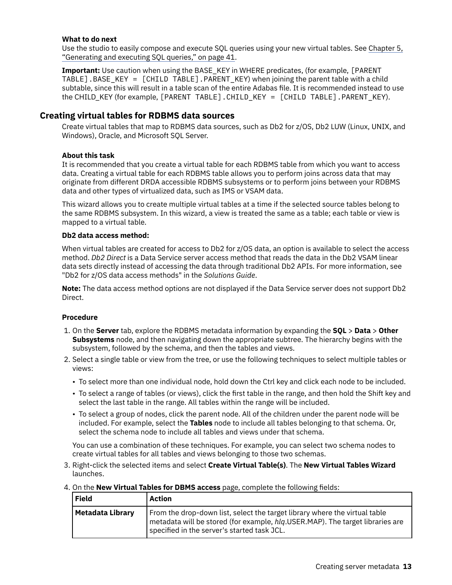#### <span id="page-20-0"></span>**What to do next**

Use the studio to easily compose and execute SQL queries using your new virtual tables. See [Chapter 5,](#page-48-0) ["Generating and executing SQL queries," on page 41](#page-48-0).

**Important:** Use caution when using the BASE\_KEY in WHERE predicates, (for example, [PARENT TABLE].BASE\_KEY = [CHILD TABLE].PARENT\_KEY) when joining the parent table with a child subtable, since this will result in a table scan of the entire Adabas file. It is recommended instead to use the CHILD\_KEY (for example, [PARENT TABLE].CHILD\_KEY = [CHILD TABLE].PARENT\_KEY).

# **Creating virtual tables for RDBMS data sources**

Create virtual tables that map to RDBMS data sources, such as Db2 for z/OS, Db2 LUW (Linux, UNIX, and Windows), Oracle, and Microsoft SQL Server.

## **About this task**

It is recommended that you create a virtual table for each RDBMS table from which you want to access data. Creating a virtual table for each RDBMS table allows you to perform joins across data that may originate from different DRDA accessible RDBMS subsystems or to perform joins between your RDBMS data and other types of virtualized data, such as IMS or VSAM data.

This wizard allows you to create multiple virtual tables at a time if the selected source tables belong to the same RDBMS subsystem. In this wizard, a view is treated the same as a table; each table or view is mapped to a virtual table.

## **Db2 data access method:**

When virtual tables are created for access to Db2 for z/OS data, an option is available to select the access method. *Db2 Direct* is a Data Service server access method that reads the data in the Db2 VSAM linear data sets directly instead of accessing the data through traditional Db2 APIs. For more information, see "Db2 for z/OS data access methods" in the *Solutions Guide*.

**Note:** The data access method options are not displayed if the Data Service server does not support Db2 Direct.

## **Procedure**

- 1. On the **Server** tab, explore the RDBMS metadata information by expanding the **SQL** > **Data** > **Other Subsystems** node, and then navigating down the appropriate subtree. The hierarchy begins with the subsystem, followed by the schema, and then the tables and views.
- 2. Select a single table or view from the tree, or use the following techniques to select multiple tables or views:
	- To select more than one individual node, hold down the Ctrl key and click each node to be included.
	- To select a range of tables (or views), click the first table in the range, and then hold the Shift key and select the last table in the range. All tables within the range will be included.
	- To select a group of nodes, click the parent node. All of the children under the parent node will be included. For example, select the **Tables** node to include all tables belonging to that schema. Or, select the schema node to include all tables and views under that schema.

You can use a combination of these techniques. For example, you can select two schema nodes to create virtual tables for all tables and views belonging to those two schemas.

3. Right-click the selected items and select **Create Virtual Table(s)**. The **New Virtual Tables Wizard** launches.

| <b>Field</b>     | <b>Action</b>                                                                                                                                                                                                            |
|------------------|--------------------------------------------------------------------------------------------------------------------------------------------------------------------------------------------------------------------------|
| Metadata Library | From the drop-down list, select the target library where the virtual table<br>$\mid$ metadata will be stored (for example, $h$ l $q$ .USER.MAP). The target libraries are<br>specified in the server's started task JCL. |

4. On the **New Virtual Tables for DBMS access** page, complete the following fields: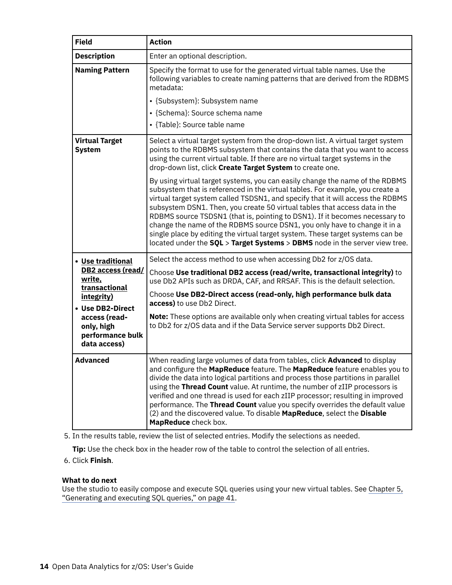| <b>Field</b>                                                                                                                                                           | <b>Action</b>                                                                                                                                                                                                                                                                                                                                                                                                                                                                                                                                                                                                                                              |
|------------------------------------------------------------------------------------------------------------------------------------------------------------------------|------------------------------------------------------------------------------------------------------------------------------------------------------------------------------------------------------------------------------------------------------------------------------------------------------------------------------------------------------------------------------------------------------------------------------------------------------------------------------------------------------------------------------------------------------------------------------------------------------------------------------------------------------------|
| <b>Description</b>                                                                                                                                                     | Enter an optional description.                                                                                                                                                                                                                                                                                                                                                                                                                                                                                                                                                                                                                             |
| <b>Naming Pattern</b>                                                                                                                                                  | Specify the format to use for the generated virtual table names. Use the<br>following variables to create naming patterns that are derived from the RDBMS<br>metadata:                                                                                                                                                                                                                                                                                                                                                                                                                                                                                     |
|                                                                                                                                                                        | • {Subsystem}: Subsystem name<br>• {Schema}: Source schema name<br>• {Table}: Source table name                                                                                                                                                                                                                                                                                                                                                                                                                                                                                                                                                            |
| <b>Virtual Target</b><br><b>System</b>                                                                                                                                 | Select a virtual target system from the drop-down list. A virtual target system<br>points to the RDBMS subsystem that contains the data that you want to access<br>using the current virtual table. If there are no virtual target systems in the<br>drop-down list, click Create Target System to create one.                                                                                                                                                                                                                                                                                                                                             |
|                                                                                                                                                                        | By using virtual target systems, you can easily change the name of the RDBMS<br>subsystem that is referenced in the virtual tables. For example, you create a<br>virtual target system called TSDSN1, and specify that it will access the RDBMS<br>subsystem DSN1. Then, you create 50 virtual tables that access data in the<br>RDBMS source TSDSN1 (that is, pointing to DSN1). If it becomes necessary to<br>change the name of the RDBMS source DSN1, you only have to change it in a<br>single place by editing the virtual target system. These target systems can be<br>located under the SQL > Target Systems > DBMS node in the server view tree. |
| • Use traditional<br>DB2 access (read/<br>write,<br>transactional<br>integrity)<br>• Use DB2-Direct<br>access (read-<br>only, high<br>performance bulk<br>data access) | Select the access method to use when accessing Db2 for z/OS data.<br>Choose Use traditional DB2 access (read/write, transactional integrity) to<br>use Db2 APIs such as DRDA, CAF, and RRSAF. This is the default selection.<br>Choose Use DB2-Direct access (read-only, high performance bulk data<br>access) to use Db2 Direct.<br>Note: These options are available only when creating virtual tables for access<br>to Db2 for z/OS data and if the Data Service server supports Db2 Direct.                                                                                                                                                            |
| <b>Advanced</b>                                                                                                                                                        | When reading large volumes of data from tables, click Advanced to display<br>and configure the MapReduce feature. The MapReduce feature enables you to<br>divide the data into logical partitions and process those partitions in parallel<br>using the Thread Count value. At runtime, the number of zIIP processors is<br>verified and one thread is used for each zIIP processor; resulting in improved<br>performance. The Thread Count value you specify overrides the default value<br>(2) and the discovered value. To disable MapReduce, select the Disable<br>MapReduce check box.                                                                |

5. In the results table, review the list of selected entries. Modify the selections as needed.

**Tip:** Use the check box in the header row of the table to control the selection of all entries.

# 6. Click **Finish**.

# **What to do next**

Use the studio to easily compose and execute SQL queries using your new virtual tables. See [Chapter 5,](#page-48-0) ["Generating and executing SQL queries," on page 41](#page-48-0).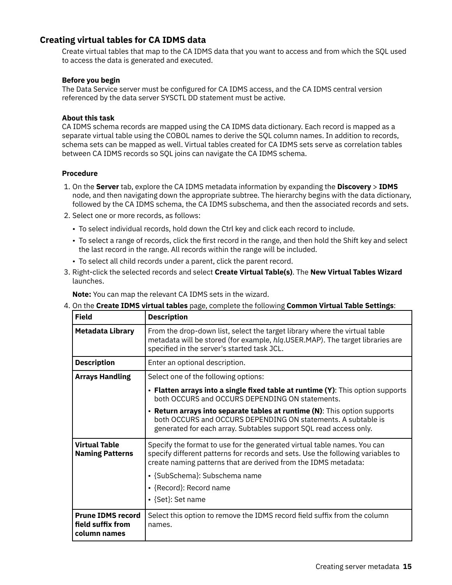# <span id="page-22-0"></span>**Creating virtual tables for CA IDMS data**

Create virtual tables that map to the CA IDMS data that you want to access and from which the SQL used to access the data is generated and executed.

## **Before you begin**

The Data Service server must be configured for CA IDMS access, and the CA IDMS central version referenced by the data server SYSCTL DD statement must be active.

## **About this task**

CA IDMS schema records are mapped using the CA IDMS data dictionary. Each record is mapped as a separate virtual table using the COBOL names to derive the SQL column names. In addition to records, schema sets can be mapped as well. Virtual tables created for CA IDMS sets serve as correlation tables between CA IDMS records so SQL joins can navigate the CA IDMS schema.

## **Procedure**

- 1. On the **Server** tab, explore the CA IDMS metadata information by expanding the **Discovery** > **IDMS** node, and then navigating down the appropriate subtree. The hierarchy begins with the data dictionary, followed by the CA IDMS schema, the CA IDMS subschema, and then the associated records and sets.
- 2. Select one or more records, as follows:
	- To select individual records, hold down the Ctrl key and click each record to include.
	- To select a range of records, click the first record in the range, and then hold the Shift key and select the last record in the range. All records within the range will be included.
	- To select all child records under a parent, click the parent record.
- 3. Right-click the selected records and select **Create Virtual Table(s)**. The **New Virtual Tables Wizard** launches.

**Note:** You can map the relevant CA IDMS sets in the wizard.

4. On the **Create IDMS virtual tables** page, complete the following **Common Virtual Table Settings**:

| <b>Field</b>                                                  | <b>Description</b>                                                                                                                                                                                                                                                                                              |
|---------------------------------------------------------------|-----------------------------------------------------------------------------------------------------------------------------------------------------------------------------------------------------------------------------------------------------------------------------------------------------------------|
| <b>Metadata Library</b>                                       | From the drop-down list, select the target library where the virtual table<br>metadata will be stored (for example, hlq.USER.MAP). The target libraries are<br>specified in the server's started task JCL.                                                                                                      |
| <b>Description</b>                                            | Enter an optional description.                                                                                                                                                                                                                                                                                  |
| <b>Arrays Handling</b>                                        | Select one of the following options:                                                                                                                                                                                                                                                                            |
|                                                               | • Flatten arrays into a single fixed table at runtime (Y): This option supports<br>both OCCURS and OCCURS DEPENDING ON statements.                                                                                                                                                                              |
|                                                               | • Return arrays into separate tables at runtime (N): This option supports<br>both OCCURS and OCCURS DEPENDING ON statements. A subtable is<br>generated for each array. Subtables support SQL read access only.                                                                                                 |
| <b>Virtual Table</b><br><b>Naming Patterns</b>                | Specify the format to use for the generated virtual table names. You can<br>specify different patterns for records and sets. Use the following variables to<br>create naming patterns that are derived from the IDMS metadata:<br>· {SubSchema}: Subschema name<br>• {Record}: Record name<br>• {Set}: Set name |
| <b>Prune IDMS record</b><br>field suffix from<br>column names | Select this option to remove the IDMS record field suffix from the column<br>names.                                                                                                                                                                                                                             |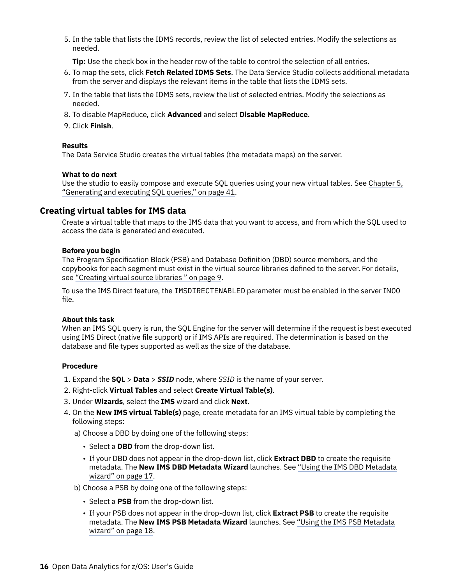<span id="page-23-0"></span>5. In the table that lists the IDMS records, review the list of selected entries. Modify the selections as needed.

**Tip:** Use the check box in the header row of the table to control the selection of all entries.

- 6. To map the sets, click **Fetch Related IDMS Sets**. The Data Service Studio collects additional metadata from the server and displays the relevant items in the table that lists the IDMS sets.
- 7. In the table that lists the IDMS sets, review the list of selected entries. Modify the selections as needed.
- 8. To disable MapReduce, click **Advanced** and select **Disable MapReduce**.
- 9. Click **Finish**.

#### **Results**

The Data Service Studio creates the virtual tables (the metadata maps) on the server.

#### **What to do next**

Use the studio to easily compose and execute SQL queries using your new virtual tables. See [Chapter 5,](#page-48-0) ["Generating and executing SQL queries," on page 41](#page-48-0).

#### **Creating virtual tables for IMS data**

Create a virtual table that maps to the IMS data that you want to access, and from which the SQL used to access the data is generated and executed.

#### **Before you begin**

The Program Specification Block (PSB) and Database Definition (DBD) source members, and the copybooks for each segment must exist in the virtual source libraries defined to the server. For details, see ["Creating virtual source libraries " on page 9](#page-16-0).

To use the IMS Direct feature, the IMSDIRECTENABLED parameter must be enabled in the server IN00 file.

#### **About this task**

When an IMS SQL query is run, the SQL Engine for the server will determine if the request is best executed using IMS Direct (native file support) or if IMS APIs are required. The determination is based on the database and file types supported as well as the size of the database.

#### **Procedure**

- 1. Expand the **SQL** > **Data** > *SSID* node, where *SSID* is the name of your server.
- 2. Right-click **Virtual Tables** and select **Create Virtual Table(s)**.
- 3. Under **Wizards**, select the **IMS** wizard and click **Next**.
- 4. On the **New IMS virtual Table(s)** page, create metadata for an IMS virtual table by completing the following steps:
	- a) Choose a DBD by doing one of the following steps:
		- Select a **DBD** from the drop-down list.
		- If your DBD does not appear in the drop-down list, click **Extract DBD** to create the requisite metadata. The **New IMS DBD Metadata Wizard** launches. See ["Using the IMS DBD Metadata](#page-24-0) [wizard" on page 17](#page-24-0).
	- b) Choose a PSB by doing one of the following steps:
		- Select a **PSB** from the drop-down list.
		- If your PSB does not appear in the drop-down list, click **Extract PSB** to create the requisite metadata. The **New IMS PSB Metadata Wizard** launches. See ["Using the IMS PSB Metadata](#page-25-0) [wizard" on page 18](#page-25-0).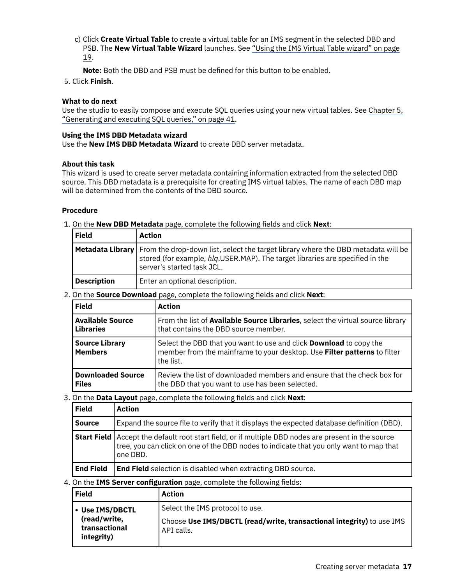- <span id="page-24-0"></span>c) Click **Create Virtual Table** to create a virtual table for an IMS segment in the selected DBD and PSB. The **New Virtual Table Wizard** launches. See ["Using the IMS Virtual Table wizard" on page](#page-26-0) [19](#page-26-0).
	- **Note:** Both the DBD and PSB must be defined for this button to be enabled.
- 5. Click **Finish**.

### **What to do next**

Use the studio to easily compose and execute SQL queries using your new virtual tables. See [Chapter 5,](#page-48-0) ["Generating and executing SQL queries," on page 41](#page-48-0).

#### **Using the IMS DBD Metadata wizard**

Use the **New IMS DBD Metadata Wizard** to create DBD server metadata.

#### **About this task**

This wizard is used to create server metadata containing information extracted from the selected DBD source. This DBD metadata is a prerequisite for creating IMS virtual tables. The name of each DBD map will be determined from the contents of the DBD source.

### **Procedure**

1. On the **New DBD Metadata** page, complete the following fields and click **Next**:

| <b>Field</b>       | Action                                                                                                                                                                                                                   |
|--------------------|--------------------------------------------------------------------------------------------------------------------------------------------------------------------------------------------------------------------------|
|                    | <b>Metadata Library</b> From the drop-down list, select the target library where the DBD metadata will be<br>stored (for example, hlg.USER.MAP). The target libraries are specified in the<br>server's started task JCL. |
| <b>Description</b> | Enter an optional description.                                                                                                                                                                                           |

2. On the **Source Download** page, complete the following fields and click **Next**:

| <b>Field</b>                            | <b>Action</b>                                                                                                                                                      |
|-----------------------------------------|--------------------------------------------------------------------------------------------------------------------------------------------------------------------|
| <b>Available Source</b>                 | From the list of <b>Available Source Libraries</b> , select the virtual source library                                                                             |
| <b>Libraries</b>                        | that contains the DBD source member.                                                                                                                               |
| <b>Source Library</b><br><b>Members</b> | Select the DBD that you want to use and click <b>Download</b> to copy the<br>member from the mainframe to your desktop. Use Filter patterns to filter<br>the list. |
| <b>Downloaded Source</b>                | Review the list of downloaded members and ensure that the check box for                                                                                            |
| <b>Files</b>                            | the DBD that you want to use has been selected.                                                                                                                    |

3. On the **Data Layout** page, complete the following fields and click **Next**:

| <b>Field</b>     | <b>Action</b>                                                                                                                                                                                                    |
|------------------|------------------------------------------------------------------------------------------------------------------------------------------------------------------------------------------------------------------|
| <b>Source</b>    | Expand the source file to verify that it displays the expected database definition (DBD).                                                                                                                        |
|                  | <b>Start Field</b> Accept the default root start field, or if multiple DBD nodes are present in the source<br>tree, you can click on one of the DBD nodes to indicate that you only want to map that<br>one DBD. |
| <b>End Field</b> | <b>End Field</b> selection is disabled when extracting DBD source.                                                                                                                                               |

4. On the **IMS Server configuration** page, complete the following fields:

| <b>Field</b>                                | Action                                                                              |
|---------------------------------------------|-------------------------------------------------------------------------------------|
| • Use IMS/DBCTL                             | Select the IMS protocol to use.                                                     |
| (read/write,<br>transactional<br>integrity) | Choose Use IMS/DBCTL (read/write, transactional integrity) to use IMS<br>API calls. |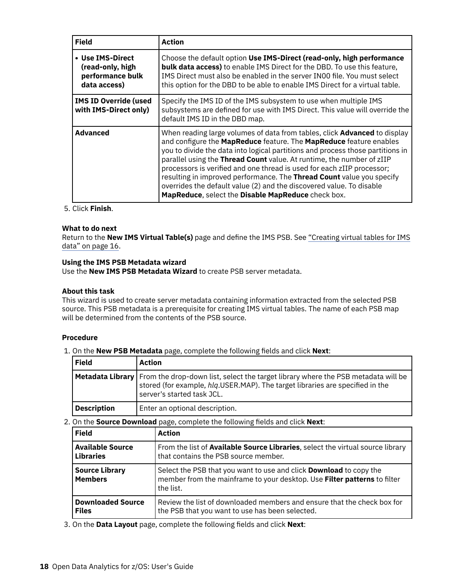<span id="page-25-0"></span>

| <b>Field</b>                                                             | Action                                                                                                                                                                                                                                                                                                                                                                                                                                                                                                                                                                                             |
|--------------------------------------------------------------------------|----------------------------------------------------------------------------------------------------------------------------------------------------------------------------------------------------------------------------------------------------------------------------------------------------------------------------------------------------------------------------------------------------------------------------------------------------------------------------------------------------------------------------------------------------------------------------------------------------|
| • Use IMS-Direct<br>(read-only, high<br>performance bulk<br>data access) | Choose the default option Use IMS-Direct (read-only, high performance<br><b>bulk data access)</b> to enable IMS Direct for the DBD. To use this feature,<br>IMS Direct must also be enabled in the server IN00 file. You must select<br>this option for the DBD to be able to enable IMS Direct for a virtual table.                                                                                                                                                                                                                                                                               |
| <b>IMS ID Override (used</b><br>with IMS-Direct only)                    | Specify the IMS ID of the IMS subsystem to use when multiple IMS<br>subsystems are defined for use with IMS Direct. This value will override the<br>default IMS ID in the DBD map.                                                                                                                                                                                                                                                                                                                                                                                                                 |
| <b>Advanced</b>                                                          | When reading large volumes of data from tables, click <b>Advanced</b> to display<br>and configure the MapReduce feature. The MapReduce feature enables<br>you to divide the data into logical partitions and process those partitions in<br>parallel using the Thread Count value. At runtime, the number of zIIP<br>processors is verified and one thread is used for each zIIP processor;<br>resulting in improved performance. The Thread Count value you specify<br>overrides the default value (2) and the discovered value. To disable<br>MapReduce, select the Disable MapReduce check box. |

# 5. Click **Finish**.

#### **What to do next**

Return to the **New IMS Virtual Table(s)** page and define the IMS PSB. See ["Creating virtual tables for IMS](#page-23-0) [data" on page 16.](#page-23-0)

#### **Using the IMS PSB Metadata wizard**

Use the **New IMS PSB Metadata Wizard** to create PSB server metadata.

### **About this task**

This wizard is used to create server metadata containing information extracted from the selected PSB source. This PSB metadata is a prerequisite for creating IMS virtual tables. The name of each PSB map will be determined from the contents of the PSB source.

#### **Procedure**

1. On the **New PSB Metadata** page, complete the following fields and click **Next**:

| <b>Field</b>       | Action                                                                                                                                                                                                                     |
|--------------------|----------------------------------------------------------------------------------------------------------------------------------------------------------------------------------------------------------------------------|
|                    | <b>Metadata Library</b>   From the drop-down list, select the target library where the PSB metadata will be<br>stored (for example, hlg.USER.MAP). The target libraries are specified in the<br>server's started task JCL. |
| <b>Description</b> | Enter an optional description.                                                                                                                                                                                             |

2. On the **Source Download** page, complete the following fields and click **Next**:

| <b>Field</b>                            | <b>Action</b>                                                                                                                                                             |
|-----------------------------------------|---------------------------------------------------------------------------------------------------------------------------------------------------------------------------|
| <b>Available Source</b>                 | From the list of <b>Available Source Libraries</b> , select the virtual source library                                                                                    |
| <b>Libraries</b>                        | that contains the PSB source member.                                                                                                                                      |
| <b>Source Library</b><br><b>Members</b> | Select the PSB that you want to use and click <b>Download</b> to copy the<br>member from the mainframe to your desktop. Use <b>Filter patterns</b> to filter<br>the list. |
| <b>Downloaded Source</b>                | Review the list of downloaded members and ensure that the check box for                                                                                                   |
| <b>Files</b>                            | the PSB that you want to use has been selected.                                                                                                                           |

3. On the Data Layout page, complete the following fields and click Next: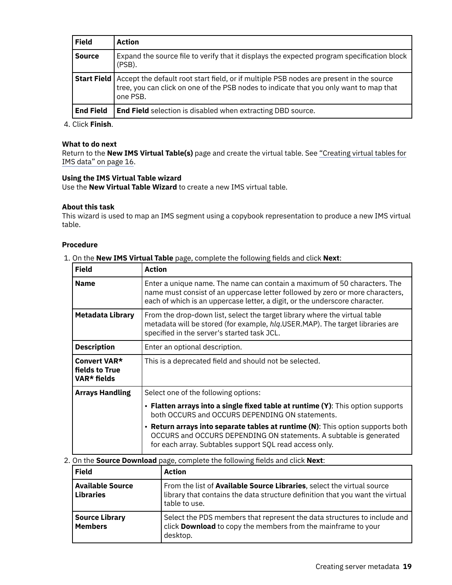<span id="page-26-0"></span>

| <b>Field</b>     | <b>Action</b>                                                                                                                                                                                                 |
|------------------|---------------------------------------------------------------------------------------------------------------------------------------------------------------------------------------------------------------|
| <b>Source</b>    | Expand the source file to verify that it displays the expected program specification block<br>(PSB).                                                                                                          |
|                  | <b>Start Field</b> Accept the default root start field, or if multiple PSB nodes are present in the source tree, you can click on one of the PSB nodes to indicate that you only want to map that<br>one PSB. |
| <b>End Field</b> | <b>End Field</b> selection is disabled when extracting DBD source.                                                                                                                                            |

4. Click **Finish**.

# **What to do next**

Return to the **New IMS Virtual Table(s)** page and create the virtual table. See ["Creating virtual tables for](#page-23-0) [IMS data" on page 16](#page-23-0).

#### **Using the IMS Virtual Table wizard**

Use the **New Virtual Table Wizard** to create a new IMS virtual table.

#### **About this task**

This wizard is used to map an IMS segment using a copybook representation to produce a new IMS virtual table.

## **Procedure**

#### 1. On the **New IMS Virtual Table** page, complete the following fields and click **Next**:

| <b>Field</b>                                  | <b>Action</b>                                                                                                                                                                                                                             |
|-----------------------------------------------|-------------------------------------------------------------------------------------------------------------------------------------------------------------------------------------------------------------------------------------------|
| <b>Name</b>                                   | Enter a unique name. The name can contain a maximum of 50 characters. The<br>name must consist of an uppercase letter followed by zero or more characters,<br>each of which is an uppercase letter, a digit, or the underscore character. |
| Metadata Library                              | From the drop-down list, select the target library where the virtual table<br>metadata will be stored (for example, hlq.USER.MAP). The target libraries are<br>specified in the server's started task JCL.                                |
| <b>Description</b>                            | Enter an optional description.                                                                                                                                                                                                            |
| Convert VAR*<br>fields to True<br>VAR* fields | This is a deprecated field and should not be selected.                                                                                                                                                                                    |
| <b>Arrays Handling</b>                        | Select one of the following options:                                                                                                                                                                                                      |
|                                               | • Flatten arrays into a single fixed table at runtime (Y): This option supports<br>both OCCURS and OCCURS DEPENDING ON statements.                                                                                                        |
|                                               | <b>Return arrays into separate tables at runtime (N):</b> This option supports both<br>$\bullet$<br>OCCURS and OCCURS DEPENDING ON statements. A subtable is generated<br>for each array. Subtables support SQL read access only.         |

#### 2. On the **Source Download** page, complete the following fields and click **Next**:

| <b>Field</b>                                | <b>Action</b>                                                                                                                                                                    |
|---------------------------------------------|----------------------------------------------------------------------------------------------------------------------------------------------------------------------------------|
| <b>Available Source</b><br><b>Libraries</b> | From the list of <b>Available Source Libraries</b> , select the virtual source<br>library that contains the data structure definition that you want the virtual<br>table to use. |
| <b>Source Library</b><br><b>Members</b>     | Select the PDS members that represent the data structures to include and<br>click Download to copy the members from the mainframe to your<br>desktop.                            |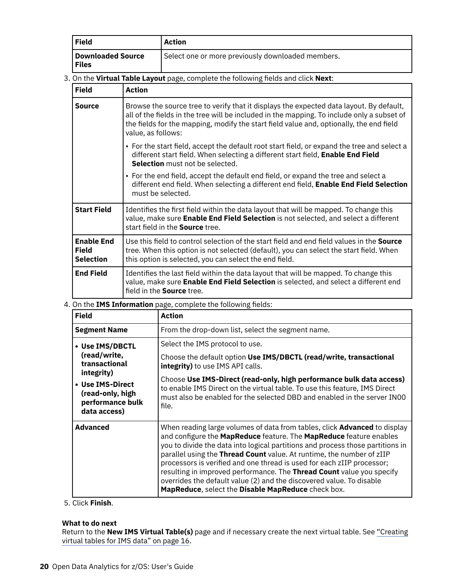| Field                      | Action                                            |
|----------------------------|---------------------------------------------------|
| Downloaded Source<br>Files | Select one or more previously downloaded members. |

# 3. On the Virtual Table Layout page, complete the following fields and click Next:

| <b>Field</b>                                          | <b>Action</b>                                                                                                                                                                                                                                                                                          |
|-------------------------------------------------------|--------------------------------------------------------------------------------------------------------------------------------------------------------------------------------------------------------------------------------------------------------------------------------------------------------|
| Source                                                | Browse the source tree to verify that it displays the expected data layout. By default,<br>all of the fields in the tree will be included in the mapping. To include only a subset of<br>the fields for the mapping, modify the start field value and, optionally, the end field<br>value, as follows: |
|                                                       | • For the start field, accept the default root start field, or expand the tree and select a<br>different start field. When selecting a different start field, Enable End Field<br>Selection must not be selected.                                                                                      |
|                                                       | • For the end field, accept the default end field, or expand the tree and select a<br>different end field. When selecting a different end field, Enable End Field Selection<br>must be selected.                                                                                                       |
| <b>Start Field</b>                                    | Identifies the first field within the data layout that will be mapped. To change this<br>value, make sure Enable End Field Selection is not selected, and select a different<br>start field in the Source tree.                                                                                        |
| <b>Enable End</b><br><b>Field</b><br><b>Selection</b> | Use this field to control selection of the start field and end field values in the <b>Source</b><br>tree. When this option is not selected (default), you can select the start field. When<br>this option is selected, you can select the end field.                                                   |
| <b>End Field</b>                                      | Identifies the last field within the data layout that will be mapped. To change this<br>value, make sure Enable End Field Selection is selected, and select a different end<br>field in the <b>Source</b> tree.                                                                                        |

#### 4. On the **IMS Information** page, complete the following fields:

| <b>Field</b>                                                                                                                               | <b>Action</b>                                                                                                                                                                                                                                                                                                                                                                                                                                                                                                                                                                               |
|--------------------------------------------------------------------------------------------------------------------------------------------|---------------------------------------------------------------------------------------------------------------------------------------------------------------------------------------------------------------------------------------------------------------------------------------------------------------------------------------------------------------------------------------------------------------------------------------------------------------------------------------------------------------------------------------------------------------------------------------------|
| <b>Segment Name</b>                                                                                                                        | From the drop-down list, select the segment name.                                                                                                                                                                                                                                                                                                                                                                                                                                                                                                                                           |
| • Use IMS/DBCTL<br>(read/write,<br>transactional<br>integrity)<br>• Use IMS-Direct<br>(read-only, high<br>performance bulk<br>data access) | Select the IMS protocol to use.<br>Choose the default option Use IMS/DBCTL (read/write, transactional<br>integrity) to use IMS API calls.<br>Choose Use IMS-Direct (read-only, high performance bulk data access)<br>to enable IMS Direct on the virtual table. To use this feature, IMS Direct<br>must also be enabled for the selected DBD and enabled in the server IN00<br>file.                                                                                                                                                                                                        |
| <b>Advanced</b>                                                                                                                            | When reading large volumes of data from tables, click Advanced to display<br>and configure the MapReduce feature. The MapReduce feature enables<br>you to divide the data into logical partitions and process those partitions in<br>parallel using the Thread Count value. At runtime, the number of zIIP<br>processors is verified and one thread is used for each zIIP processor;<br>resulting in improved performance. The Thread Count value you specify<br>overrides the default value (2) and the discovered value. To disable<br>MapReduce, select the Disable MapReduce check box. |

# 5. Click **Finish**.

## **What to do next**

Return to the **New IMS Virtual Table(s)** page and if necessary create the next virtual table. See ["Creating](#page-23-0) [virtual tables for IMS data" on page 16.](#page-23-0)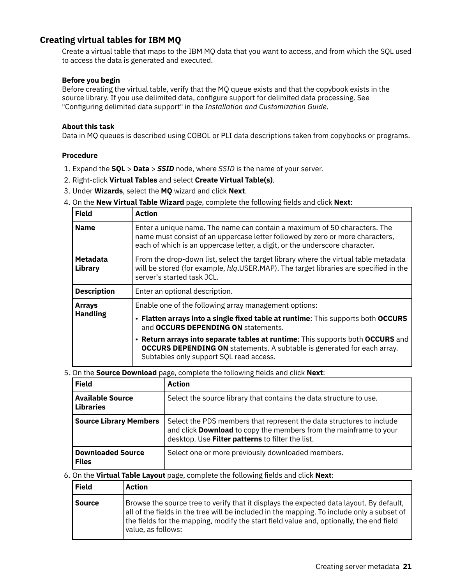# <span id="page-28-0"></span>**Creating virtual tables for IBM MQ**

Create a virtual table that maps to the IBM MQ data that you want to access, and from which the SQL used to access the data is generated and executed.

## **Before you begin**

Before creating the virtual table, verify that the MQ queue exists and that the copybook exists in the source library. If you use delimited data, configure support for delimited data processing. See "Configuring delimited data support" in the *Installation and Customization Guide*.

### **About this task**

Data in MQ queues is described using COBOL or PLI data descriptions taken from copybooks or programs.

#### **Procedure**

- 1. Expand the **SQL** > **Data** > *SSID* node, where *SSID* is the name of your server.
- 2. Right-click **Virtual Tables** and select **Create Virtual Table(s)**.
- 3. Under **Wizards**, select the **MQ** wizard and click **Next**.
- 4. On the **New Virtual Table Wizard** page, complete the following fields and click **Next**:

| <b>Field</b>               | <b>Action</b>                                                                                                                                                                                                                             |
|----------------------------|-------------------------------------------------------------------------------------------------------------------------------------------------------------------------------------------------------------------------------------------|
| <b>Name</b>                | Enter a unique name. The name can contain a maximum of 50 characters. The<br>name must consist of an uppercase letter followed by zero or more characters,<br>each of which is an uppercase letter, a digit, or the underscore character. |
| <b>Metadata</b><br>Library | From the drop-down list, select the target library where the virtual table metadata<br>will be stored (for example, hlg.USER.MAP). The target libraries are specified in the<br>server's started task JCL.                                |
| <b>Description</b>         | Enter an optional description.                                                                                                                                                                                                            |
| <b>Arrays</b>              | Enable one of the following array management options:                                                                                                                                                                                     |
| <b>Handling</b>            | . Flatten arrays into a single fixed table at runtime: This supports both OCCURS<br>and OCCURS DEPENDING ON statements.                                                                                                                   |
|                            | • Return arrays into separate tables at runtime: This supports both OCCURS and<br><b>OCCURS DEPENDING ON</b> statements. A subtable is generated for each array.<br>Subtables only support SQL read access.                               |

5. On the **Source Download** page, complete the following fields and click **Next**:

| <b>Field</b>                                | <b>Action</b>                                                                                                                                                                                 |
|---------------------------------------------|-----------------------------------------------------------------------------------------------------------------------------------------------------------------------------------------------|
| <b>Available Source</b><br><b>Libraries</b> | Select the source library that contains the data structure to use.                                                                                                                            |
| <b>Source Library Members</b>               | Select the PDS members that represent the data structures to include<br>and click Download to copy the members from the mainframe to your<br>desktop. Use Filter patterns to filter the list. |
| <b>Downloaded Source</b><br><b>Files</b>    | Select one or more previously downloaded members.                                                                                                                                             |

#### 6. On the Virtual Table Layout page, complete the following fields and click Next:

| <b>Field</b>  | <b>Action</b>                                                                                                                                                                                                                                                                                          |
|---------------|--------------------------------------------------------------------------------------------------------------------------------------------------------------------------------------------------------------------------------------------------------------------------------------------------------|
| <b>Source</b> | Browse the source tree to verify that it displays the expected data layout. By default,<br>all of the fields in the tree will be included in the mapping. To include only a subset of<br>the fields for the mapping, modify the start field value and, optionally, the end field<br>value, as follows: |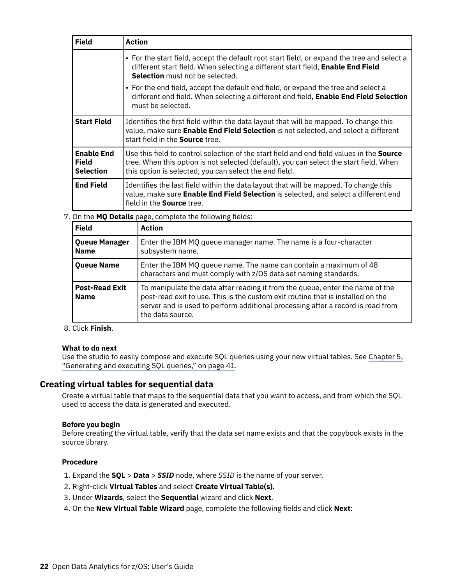<span id="page-29-0"></span>

| <b>Field</b>                                          | <b>Action</b>                                                                                                                                                                                                                                        |
|-------------------------------------------------------|------------------------------------------------------------------------------------------------------------------------------------------------------------------------------------------------------------------------------------------------------|
|                                                       | • For the start field, accept the default root start field, or expand the tree and select a<br>different start field. When selecting a different start field, Enable End Field<br>Selection must not be selected.                                    |
|                                                       | • For the end field, accept the default end field, or expand the tree and select a<br>different end field. When selecting a different end field, Enable End Field Selection<br>must be selected.                                                     |
| <b>Start Field</b>                                    | Identifies the first field within the data layout that will be mapped. To change this<br>value, make sure Enable End Field Selection is not selected, and select a different<br>start field in the <b>Source</b> tree.                               |
| <b>Enable End</b><br><b>Field</b><br><b>Selection</b> | Use this field to control selection of the start field and end field values in the <b>Source</b><br>tree. When this option is not selected (default), you can select the start field. When<br>this option is selected, you can select the end field. |
| <b>End Field</b>                                      | Identifies the last field within the data layout that will be mapped. To change this<br>value, make sure Enable End Field Selection is selected, and select a different end<br>field in the <b>Source</b> tree.                                      |

7. On the MQ Details page, complete the following fields:

| <b>Field</b>                         | <b>Action</b>                                                                                                                                                                                                                                                           |
|--------------------------------------|-------------------------------------------------------------------------------------------------------------------------------------------------------------------------------------------------------------------------------------------------------------------------|
| Queue Manager<br><b>Name</b>         | Enter the IBM MQ queue manager name. The name is a four-character<br>subsystem name.                                                                                                                                                                                    |
| <b>Queue Name</b>                    | Enter the IBM MQ queue name. The name can contain a maximum of 48<br>characters and must comply with z/OS data set naming standards.                                                                                                                                    |
| <b>Post-Read Exit</b><br><b>Name</b> | To manipulate the data after reading it from the queue, enter the name of the<br>post-read exit to use. This is the custom exit routine that is installed on the<br>server and is used to perform additional processing after a record is read from<br>the data source. |

#### 8. Click **Finish**.

## **What to do next**

Use the studio to easily compose and execute SQL queries using your new virtual tables. See [Chapter 5,](#page-48-0) ["Generating and executing SQL queries," on page 41](#page-48-0).

# **Creating virtual tables for sequential data**

Create a virtual table that maps to the sequential data that you want to access, and from which the SQL used to access the data is generated and executed.

#### **Before you begin**

Before creating the virtual table, verify that the data set name exists and that the copybook exists in the source library.

#### **Procedure**

- 1. Expand the **SQL** > **Data** > *SSID* node, where *SSID* is the name of your server.
- 2. Right-click **Virtual Tables** and select **Create Virtual Table(s)**.
- 3. Under **Wizards**, select the **Sequential** wizard and click **Next**.
- 4. On the **New Virtual Table Wizard** page, complete the following fields and click **Next**: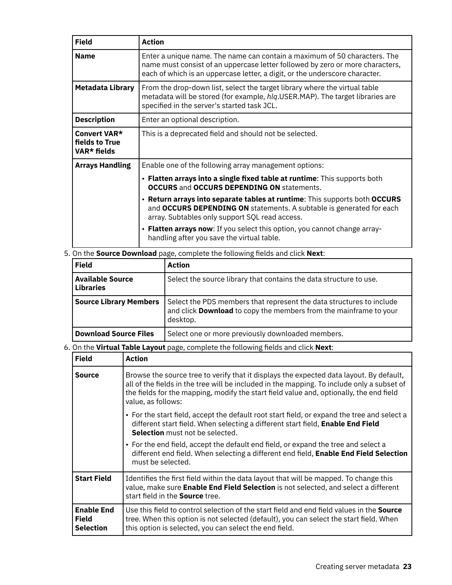| <b>Field</b>                                  | <b>Action</b>                                                                                                                                                                                                                             |
|-----------------------------------------------|-------------------------------------------------------------------------------------------------------------------------------------------------------------------------------------------------------------------------------------------|
| <b>Name</b>                                   | Enter a unique name. The name can contain a maximum of 50 characters. The<br>name must consist of an uppercase letter followed by zero or more characters,<br>each of which is an uppercase letter, a digit, or the underscore character. |
| Metadata Library                              | From the drop-down list, select the target library where the virtual table<br>metadata will be stored (for example, hlq.USER.MAP). The target libraries are<br>specified in the server's started task JCL.                                |
| <b>Description</b>                            | Enter an optional description.                                                                                                                                                                                                            |
| Convert VAR*<br>fields to True<br>VAR* fields | This is a deprecated field and should not be selected.                                                                                                                                                                                    |
| <b>Arrays Handling</b>                        | Enable one of the following array management options:                                                                                                                                                                                     |
|                                               | • Flatten arrays into a single fixed table at runtime: This supports both<br><b>OCCURS</b> and <b>OCCURS DEPENDING ON</b> statements.                                                                                                     |
|                                               | . Return arrays into separate tables at runtime: This supports both OCCURS<br>and OCCURS DEPENDING ON statements. A subtable is generated for each<br>array. Subtables only support SQL read access.                                      |
|                                               | • Flatten arrays now: If you select this option, you cannot change array-<br>handling after you save the virtual table.                                                                                                                   |

# 5. On the **Source Download** page, complete the following fields and click **Next**:

| <b>Field</b>                                | <b>Action</b>                                                                                                                                         |
|---------------------------------------------|-------------------------------------------------------------------------------------------------------------------------------------------------------|
| <b>Available Source</b><br><b>Libraries</b> | Select the source library that contains the data structure to use.                                                                                    |
| <b>Source Library Members</b>               | Select the PDS members that represent the data structures to include<br>and click Download to copy the members from the mainframe to your<br>desktop. |
| <b>Download Source Files</b>                | Select one or more previously downloaded members.                                                                                                     |

# 6. On the Virtual Table Layout page, complete the following fields and click Next:

| <b>Field</b>                                          | <b>Action</b>                                                                                                                                                                                                                                                                                          |
|-------------------------------------------------------|--------------------------------------------------------------------------------------------------------------------------------------------------------------------------------------------------------------------------------------------------------------------------------------------------------|
| <b>Source</b>                                         | Browse the source tree to verify that it displays the expected data layout. By default,<br>all of the fields in the tree will be included in the mapping. To include only a subset of<br>the fields for the mapping, modify the start field value and, optionally, the end field<br>value, as follows: |
|                                                       | • For the start field, accept the default root start field, or expand the tree and select a<br>different start field. When selecting a different start field, Enable End Field<br>Selection must not be selected.                                                                                      |
|                                                       | • For the end field, accept the default end field, or expand the tree and select a<br>different end field. When selecting a different end field, Enable End Field Selection<br>must be selected.                                                                                                       |
| <b>Start Field</b>                                    | Identifies the first field within the data layout that will be mapped. To change this<br>value, make sure Enable End Field Selection is not selected, and select a different<br>start field in the <b>Source</b> tree.                                                                                 |
| <b>Enable End</b><br><b>Field</b><br><b>Selection</b> | Use this field to control selection of the start field and end field values in the <b>Source</b><br>tree. When this option is not selected (default), you can select the start field. When<br>this option is selected, you can select the end field.                                                   |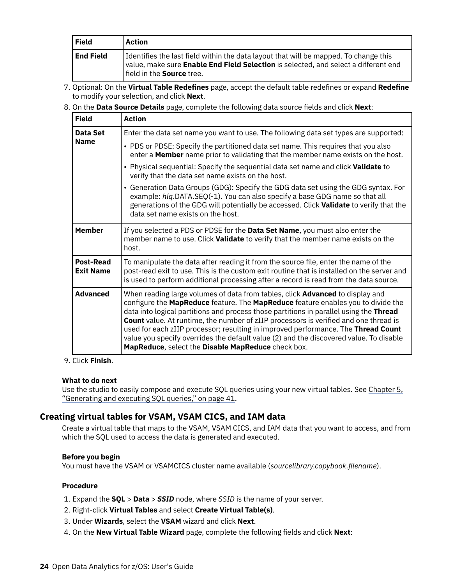<span id="page-31-0"></span>

| Field            | Action                                                                                                                                                                                                             |
|------------------|--------------------------------------------------------------------------------------------------------------------------------------------------------------------------------------------------------------------|
| <b>End Field</b> | I dentifies the last field within the data layout that will be mapped. To change this<br>value, make sure Enable End Field Selection is selected, and select a different end<br>  field in the <b>Source</b> tree. |

- 7. Optional: On the Virtual Table Redefines page, accept the default table redefines or expand Redefine to modify your selection, and click **Next**.
- 8. On the Data Source Details page, complete the following data source fields and click Next:

| <b>Field</b>                         | <b>Action</b>                                                                                                                                                                                                                                                                                                                                                                                                                                                                                                                                                                                   |
|--------------------------------------|-------------------------------------------------------------------------------------------------------------------------------------------------------------------------------------------------------------------------------------------------------------------------------------------------------------------------------------------------------------------------------------------------------------------------------------------------------------------------------------------------------------------------------------------------------------------------------------------------|
| Data Set                             | Enter the data set name you want to use. The following data set types are supported:                                                                                                                                                                                                                                                                                                                                                                                                                                                                                                            |
| <b>Name</b>                          | • PDS or PDSE: Specify the partitioned data set name. This requires that you also<br>enter a <b>Member</b> name prior to validating that the member name exists on the host.                                                                                                                                                                                                                                                                                                                                                                                                                    |
|                                      | • Physical sequential: Specify the sequential data set name and click <b>Validate</b> to<br>verify that the data set name exists on the host.                                                                                                                                                                                                                                                                                                                                                                                                                                                   |
|                                      | • Generation Data Groups (GDG): Specify the GDG data set using the GDG syntax. For<br>example: hlq.DATA.SEQ(-1). You can also specify a base GDG name so that all<br>generations of the GDG will potentially be accessed. Click Validate to verify that the<br>data set name exists on the host.                                                                                                                                                                                                                                                                                                |
| <b>Member</b>                        | If you selected a PDS or PDSE for the Data Set Name, you must also enter the<br>member name to use. Click Validate to verify that the member name exists on the<br>host.                                                                                                                                                                                                                                                                                                                                                                                                                        |
| <b>Post-Read</b><br><b>Exit Name</b> | To manipulate the data after reading it from the source file, enter the name of the<br>post-read exit to use. This is the custom exit routine that is installed on the server and<br>is used to perform additional processing after a record is read from the data source.                                                                                                                                                                                                                                                                                                                      |
| <b>Advanced</b>                      | When reading large volumes of data from tables, click Advanced to display and<br>configure the MapReduce feature. The MapReduce feature enables you to divide the<br>data into logical partitions and process those partitions in parallel using the Thread<br><b>Count</b> value. At runtime, the number of zIIP processors is verified and one thread is<br>used for each zIIP processor; resulting in improved performance. The Thread Count<br>value you specify overrides the default value (2) and the discovered value. To disable<br>MapReduce, select the Disable MapReduce check box. |

#### 9. Click **Finish**.

#### **What to do next**

Use the studio to easily compose and execute SQL queries using your new virtual tables. See [Chapter 5,](#page-48-0) ["Generating and executing SQL queries," on page 41](#page-48-0).

# **Creating virtual tables for VSAM, VSAM CICS, and IAM data**

Create a virtual table that maps to the VSAM, VSAM CICS, and IAM data that you want to access, and from which the SQL used to access the data is generated and executed.

#### **Before you begin**

You must have the VSAM or VSAMCICS cluster name available (sourcelibrary.copybook.filename).

#### **Procedure**

- 1. Expand the **SQL** > **Data** > *SSID* node, where *SSID* is the name of your server.
- 2. Right-click **Virtual Tables** and select **Create Virtual Table(s)**.
- 3. Under **Wizards**, select the **VSAM** wizard and click **Next**.
- 4. On the **New Virtual Table Wizard** page, complete the following fields and click **Next**: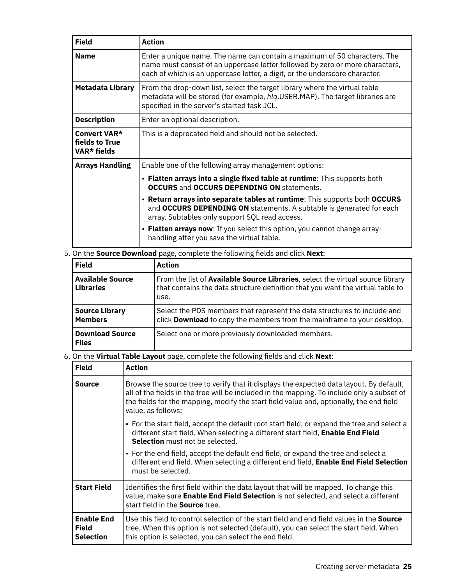| <b>Field</b>                                  | Action                                                                                                                                                                                                                                    |
|-----------------------------------------------|-------------------------------------------------------------------------------------------------------------------------------------------------------------------------------------------------------------------------------------------|
| <b>Name</b>                                   | Enter a unique name. The name can contain a maximum of 50 characters. The<br>name must consist of an uppercase letter followed by zero or more characters,<br>each of which is an uppercase letter, a digit, or the underscore character. |
| Metadata Library                              | From the drop-down list, select the target library where the virtual table<br>metadata will be stored (for example, hlq.USER.MAP). The target libraries are<br>specified in the server's started task JCL.                                |
| <b>Description</b>                            | Enter an optional description.                                                                                                                                                                                                            |
| Convert VAR*<br>fields to True<br>VAR* fields | This is a deprecated field and should not be selected.                                                                                                                                                                                    |
| <b>Arrays Handling</b>                        | Enable one of the following array management options:                                                                                                                                                                                     |
|                                               | • Flatten arrays into a single fixed table at runtime: This supports both<br><b>OCCURS and OCCURS DEPENDING ON statements.</b>                                                                                                            |
|                                               | . Return arrays into separate tables at runtime: This supports both OCCURS<br>and OCCURS DEPENDING ON statements. A subtable is generated for each<br>array. Subtables only support SQL read access.                                      |
|                                               | • Flatten arrays now: If you select this option, you cannot change array-<br>handling after you save the virtual table.                                                                                                                   |

5. On the **Source Download** page, complete the following fields and click **Next**:

| <b>Field</b>                                | <b>Action</b>                                                                                                                                                                    |
|---------------------------------------------|----------------------------------------------------------------------------------------------------------------------------------------------------------------------------------|
| <b>Available Source</b><br><b>Libraries</b> | From the list of <b>Available Source Libraries</b> , select the virtual source library<br>that contains the data structure definition that you want the virtual table to<br>use. |
| <b>Source Library</b><br><b>Members</b>     | Select the PDS members that represent the data structures to include and<br>click <b>Download</b> to copy the members from the mainframe to your desktop.                        |
| <b>Download Source</b><br><b>Files</b>      | Select one or more previously downloaded members.                                                                                                                                |

6. On the Virtual Table Layout page, complete the following fields and click Next:

| <b>Field</b>                                          | Action                                                                                                                                                                                                                                                                                                 |
|-------------------------------------------------------|--------------------------------------------------------------------------------------------------------------------------------------------------------------------------------------------------------------------------------------------------------------------------------------------------------|
| <b>Source</b>                                         | Browse the source tree to verify that it displays the expected data layout. By default,<br>all of the fields in the tree will be included in the mapping. To include only a subset of<br>the fields for the mapping, modify the start field value and, optionally, the end field<br>value, as follows: |
|                                                       | • For the start field, accept the default root start field, or expand the tree and select a<br>different start field. When selecting a different start field, Enable End Field<br><b>Selection</b> must not be selected.                                                                               |
|                                                       | • For the end field, accept the default end field, or expand the tree and select a<br>different end field. When selecting a different end field, Enable End Field Selection<br>must be selected.                                                                                                       |
| <b>Start Field</b>                                    | Identifies the first field within the data layout that will be mapped. To change this<br>value, make sure Enable End Field Selection is not selected, and select a different<br>start field in the <b>Source</b> tree.                                                                                 |
| <b>Enable End</b><br><b>Field</b><br><b>Selection</b> | Use this field to control selection of the start field and end field values in the <b>Source</b><br>tree. When this option is not selected (default), you can select the start field. When<br>this option is selected, you can select the end field.                                                   |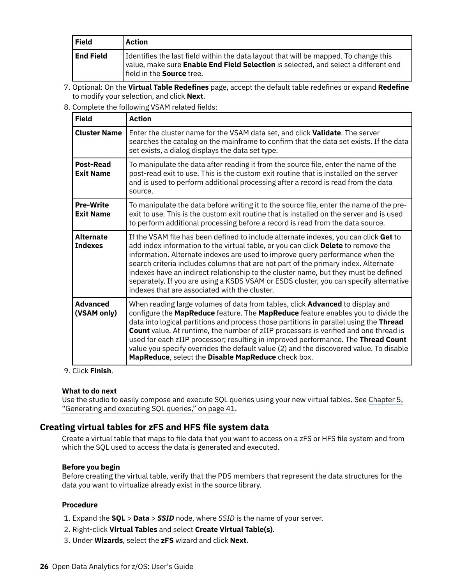<span id="page-33-0"></span>

| Field            | Action                                                                                                                                                                                                             |
|------------------|--------------------------------------------------------------------------------------------------------------------------------------------------------------------------------------------------------------------|
| <b>End Field</b> | I dentifies the last field within the data layout that will be mapped. To change this<br>value, make sure Enable End Field Selection is selected, and select a different end<br>  field in the <b>Source</b> tree. |

- 7. Optional: On the Virtual Table Redefines page, accept the default table redefines or expand Redefine to modify your selection, and click **Next**.
- 8. Complete the following VSAM related fields:

| <b>Field</b>                         | <b>Action</b>                                                                                                                                                                                                                                                                                                                                                                                                                                                                                                                                                                                   |
|--------------------------------------|-------------------------------------------------------------------------------------------------------------------------------------------------------------------------------------------------------------------------------------------------------------------------------------------------------------------------------------------------------------------------------------------------------------------------------------------------------------------------------------------------------------------------------------------------------------------------------------------------|
| <b>Cluster Name</b>                  | Enter the cluster name for the VSAM data set, and click Validate. The server<br>searches the catalog on the mainframe to confirm that the data set exists. If the data<br>set exists, a dialog displays the data set type.                                                                                                                                                                                                                                                                                                                                                                      |
| <b>Post-Read</b><br><b>Exit Name</b> | To manipulate the data after reading it from the source file, enter the name of the<br>post-read exit to use. This is the custom exit routine that is installed on the server<br>and is used to perform additional processing after a record is read from the data<br>source.                                                                                                                                                                                                                                                                                                                   |
| <b>Pre-Write</b><br><b>Exit Name</b> | To manipulate the data before writing it to the source file, enter the name of the pre-<br>exit to use. This is the custom exit routine that is installed on the server and is used<br>to perform additional processing before a record is read from the data source.                                                                                                                                                                                                                                                                                                                           |
| <b>Alternate</b><br><b>Indexes</b>   | If the VSAM file has been defined to include alternate indexes, you can click Get to<br>add index information to the virtual table, or you can click Delete to remove the<br>information. Alternate indexes are used to improve query performance when the<br>search criteria includes columns that are not part of the primary index. Alternate<br>indexes have an indirect relationship to the cluster name, but they must be defined<br>separately. If you are using a KSDS VSAM or ESDS cluster, you can specify alternative<br>indexes that are associated with the cluster.               |
| <b>Advanced</b><br>(VSAM only)       | When reading large volumes of data from tables, click Advanced to display and<br>configure the MapReduce feature. The MapReduce feature enables you to divide the<br>data into logical partitions and process those partitions in parallel using the Thread<br><b>Count</b> value. At runtime, the number of zIIP processors is verified and one thread is<br>used for each zIIP processor; resulting in improved performance. The Thread Count<br>value you specify overrides the default value (2) and the discovered value. To disable<br>MapReduce, select the Disable MapReduce check box. |

#### 9. Click **Finish**.

#### **What to do next**

Use the studio to easily compose and execute SQL queries using your new virtual tables. See [Chapter 5,](#page-48-0) ["Generating and executing SQL queries," on page 41](#page-48-0).

# **Creating virtual tables for zFS and HFS file system data**

Create a virtual table that maps to file data that you want to access on a zFS or HFS file system and from which the SQL used to access the data is generated and executed.

## **Before you begin**

Before creating the virtual table, verify that the PDS members that represent the data structures for the data you want to virtualize already exist in the source library.

## **Procedure**

- 1. Expand the **SQL** > **Data** > *SSID* node, where *SSID* is the name of your server.
- 2. Right-click **Virtual Tables** and select **Create Virtual Table(s)**.
- 3. Under **Wizards**, select the **zFS** wizard and click **Next**.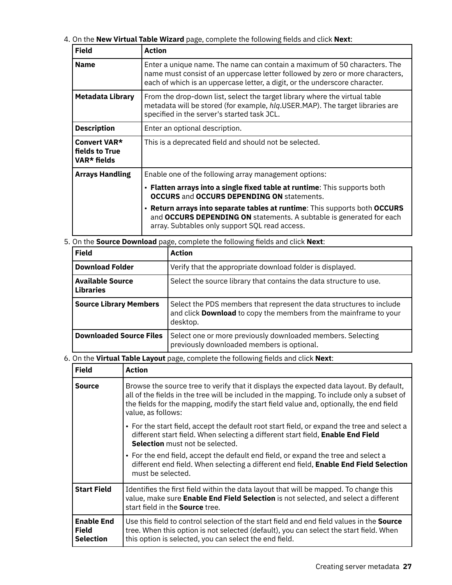4. On the **New Virtual Table Wizard** page, complete the following fields and click Next:

| <b>Field</b>                                  | <b>Action</b>                                                                                                                                                                                                                             |
|-----------------------------------------------|-------------------------------------------------------------------------------------------------------------------------------------------------------------------------------------------------------------------------------------------|
| <b>Name</b>                                   | Enter a unique name. The name can contain a maximum of 50 characters. The<br>name must consist of an uppercase letter followed by zero or more characters,<br>each of which is an uppercase letter, a digit, or the underscore character. |
| <b>Metadata Library</b>                       | From the drop-down list, select the target library where the virtual table<br>metadata will be stored (for example, hlq.USER.MAP). The target libraries are<br>specified in the server's started task JCL.                                |
| <b>Description</b>                            | Enter an optional description.                                                                                                                                                                                                            |
| Convert VAR*<br>fields to True<br>VAR* fields | This is a deprecated field and should not be selected.                                                                                                                                                                                    |
| <b>Arrays Handling</b>                        | Enable one of the following array management options:                                                                                                                                                                                     |
|                                               | • Flatten arrays into a single fixed table at runtime: This supports both<br><b>OCCURS</b> and <b>OCCURS DEPENDING ON</b> statements.                                                                                                     |
|                                               | • Return arrays into separate tables at runtime: This supports both OCCURS<br>and OCCURS DEPENDING ON statements. A subtable is generated for each<br>array. Subtables only support SQL read access.                                      |

5. On the **Source Download** page, complete the following fields and click **Next**:

| <b>Field</b>                                | <b>Action</b>                                                                                                                                                |
|---------------------------------------------|--------------------------------------------------------------------------------------------------------------------------------------------------------------|
| <b>Download Folder</b>                      | Verify that the appropriate download folder is displayed.                                                                                                    |
| <b>Available Source</b><br><b>Libraries</b> | Select the source library that contains the data structure to use.                                                                                           |
| <b>Source Library Members</b>               | Select the PDS members that represent the data structures to include<br>and click <b>Download</b> to copy the members from the mainframe to your<br>desktop. |
| <b>Downloaded Source Files</b>              | Select one or more previously downloaded members. Selecting<br>previously downloaded members is optional.                                                    |

# 6. On the Virtual Table Layout page, complete the following fields and click Next:

| <b>Field</b>                                          | Action                                                                                                                                                                                                                                                                                                 |
|-------------------------------------------------------|--------------------------------------------------------------------------------------------------------------------------------------------------------------------------------------------------------------------------------------------------------------------------------------------------------|
| <b>Source</b>                                         | Browse the source tree to verify that it displays the expected data layout. By default,<br>all of the fields in the tree will be included in the mapping. To include only a subset of<br>the fields for the mapping, modify the start field value and, optionally, the end field<br>value, as follows: |
|                                                       | • For the start field, accept the default root start field, or expand the tree and select a<br>different start field. When selecting a different start field, Enable End Field<br><b>Selection</b> must not be selected.                                                                               |
|                                                       | • For the end field, accept the default end field, or expand the tree and select a<br>different end field. When selecting a different end field, Enable End Field Selection<br>must be selected.                                                                                                       |
| <b>Start Field</b>                                    | Identifies the first field within the data layout that will be mapped. To change this<br>value, make sure Enable End Field Selection is not selected, and select a different<br>start field in the <b>Source</b> tree.                                                                                 |
| <b>Enable End</b><br><b>Field</b><br><b>Selection</b> | Use this field to control selection of the start field and end field values in the <b>Source</b><br>tree. When this option is not selected (default), you can select the start field. When<br>this option is selected, you can select the end field.                                                   |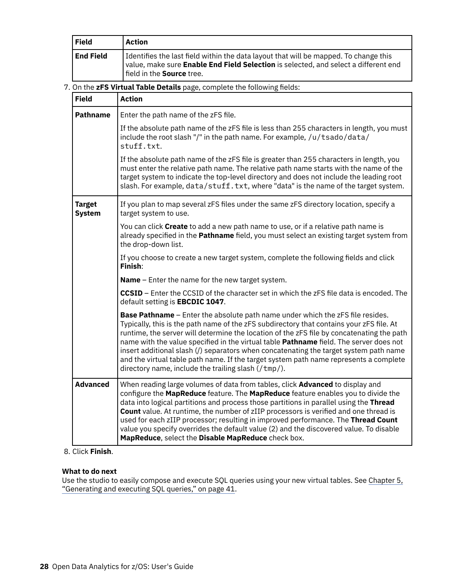| <b>Field</b>                                                             | <b>Action</b>                                                                                                                                                                                                                                                                                                                                                                                                                                                                                                                                                                                                       |
|--------------------------------------------------------------------------|---------------------------------------------------------------------------------------------------------------------------------------------------------------------------------------------------------------------------------------------------------------------------------------------------------------------------------------------------------------------------------------------------------------------------------------------------------------------------------------------------------------------------------------------------------------------------------------------------------------------|
| <b>End Field</b>                                                         | Identifies the last field within the data layout that will be mapped. To change this<br>value, make sure Enable End Field Selection is selected, and select a different end<br>field in the Source tree.                                                                                                                                                                                                                                                                                                                                                                                                            |
| 7. On the zFS Virtual Table Details page, complete the following fields: |                                                                                                                                                                                                                                                                                                                                                                                                                                                                                                                                                                                                                     |
| <b>Field</b>                                                             | <b>Action</b>                                                                                                                                                                                                                                                                                                                                                                                                                                                                                                                                                                                                       |
| <b>Pathname</b>                                                          | Enter the path name of the zFS file.                                                                                                                                                                                                                                                                                                                                                                                                                                                                                                                                                                                |
|                                                                          | If the absolute path name of the zFS file is less than 255 characters in length, you must<br>include the root slash "/" in the path name. For example, /u/tsado/data/<br>stuff.txt.                                                                                                                                                                                                                                                                                                                                                                                                                                 |
|                                                                          | If the absolute path name of the zFS file is greater than 255 characters in length, you<br>must enter the relative path name. The relative path name starts with the name of the<br>target system to indicate the top-level directory and does not include the leading root<br>slash. For example, data/stuff.txt, where "data" is the name of the target system.                                                                                                                                                                                                                                                   |
| <b>Target</b><br><b>System</b>                                           | If you plan to map several zFS files under the same zFS directory location, specify a<br>target system to use.                                                                                                                                                                                                                                                                                                                                                                                                                                                                                                      |
|                                                                          | You can click Create to add a new path name to use, or if a relative path name is<br>already specified in the Pathname field, you must select an existing target system from<br>the drop-down list.                                                                                                                                                                                                                                                                                                                                                                                                                 |
|                                                                          | If you choose to create a new target system, complete the following fields and click<br>Finish:                                                                                                                                                                                                                                                                                                                                                                                                                                                                                                                     |
|                                                                          | <b>Name</b> - Enter the name for the new target system.                                                                                                                                                                                                                                                                                                                                                                                                                                                                                                                                                             |
|                                                                          | <b>CCSID</b> – Enter the CCSID of the character set in which the zFS file data is encoded. The<br>default setting is EBCDIC 1047.                                                                                                                                                                                                                                                                                                                                                                                                                                                                                   |
|                                                                          | <b>Base Pathname</b> - Enter the absolute path name under which the zFS file resides.<br>Typically, this is the path name of the zFS subdirectory that contains your zFS file. At<br>runtime, the server will determine the location of the zFS file by concatenating the path<br>name with the value specified in the virtual table Pathname field. The server does not<br>insert additional slash (/) separators when concatenating the target system path name<br>and the virtual table path name. If the target system path name represents a complete<br>directory name, include the trailing slash $//tmp/$ . |
| <b>Advanced</b>                                                          | When reading large volumes of data from tables, click Advanced to display and<br>configure the MapReduce feature. The MapReduce feature enables you to divide the<br>data into logical partitions and process those partitions in parallel using the Thread<br>Count value. At runtime, the number of zIIP processors is verified and one thread is<br>used for each zIIP processor; resulting in improved performance. The Thread Count<br>value you specify overrides the default value (2) and the discovered value. To disable<br>MapReduce, select the Disable MapReduce check box.                            |

# 8. Click **Finish**.

# **What to do next**

Use the studio to easily compose and execute SQL queries using your new virtual tables. See [Chapter 5,](#page-48-0) ["Generating and executing SQL queries," on page 41](#page-48-0).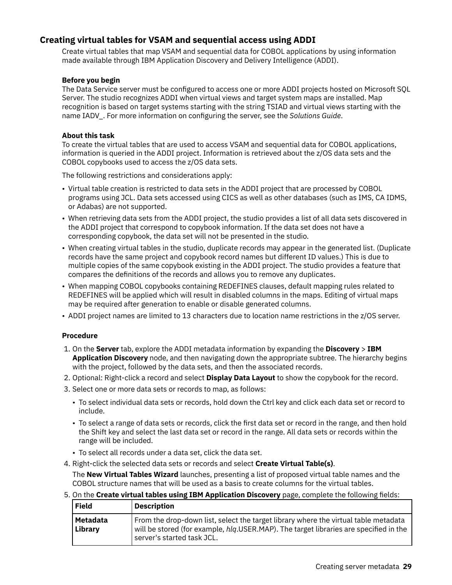### **Creating virtual tables for VSAM and sequential access using ADDI**

Create virtual tables that map VSAM and sequential data for COBOL applications by using information made available through IBM Application Discovery and Delivery Intelligence (ADDI).

### **Before you begin**

The Data Service server must be configured to access one or more ADDI projects hosted on Microsoft SQL Server. The studio recognizes ADDI when virtual views and target system maps are installed. Map recognition is based on target systems starting with the string TSIAD and virtual views starting with the name IADV<sub>\_</sub>. For more information on configuring the server, see the *Solutions Guide*.

### **About this task**

To create the virtual tables that are used to access VSAM and sequential data for COBOL applications, information is queried in the ADDI project. Information is retrieved about the z/OS data sets and the COBOL copybooks used to access the z/OS data sets.

The following restrictions and considerations apply:

- Virtual table creation is restricted to data sets in the ADDI project that are processed by COBOL programs using JCL. Data sets accessed using CICS as well as other databases (such as IMS, CA IDMS, or Adabas) are not supported.
- When retrieving data sets from the ADDI project, the studio provides a list of all data sets discovered in the ADDI project that correspond to copybook information. If the data set does not have a corresponding copybook, the data set will not be presented in the studio.
- When creating virtual tables in the studio, duplicate records may appear in the generated list. (Duplicate records have the same project and copybook record names but different ID values.) This is due to multiple copies of the same copybook existing in the ADDI project. The studio provides a feature that compares the definitions of the records and allows you to remove any duplicates.
- When mapping COBOL copybooks containing REDEFINES clauses, default mapping rules related to REDEFINES will be applied which will result in disabled columns in the maps. Editing of virtual maps may be required after generation to enable or disable generated columns.
- ADDI project names are limited to 13 characters due to location name restrictions in the z/OS server.

### **Procedure**

- 1. On the **Server** tab, explore the ADDI metadata information by expanding the **Discovery** > **IBM Application Discovery** node, and then navigating down the appropriate subtree. The hierarchy begins with the project, followed by the data sets, and then the associated records.
- 2. Optional: Right-click a record and select **Display Data Layout** to show the copybook for the record.
- 3. Select one or more data sets or records to map, as follows:
	- To select individual data sets or records, hold down the Ctrl key and click each data set or record to include.
	- To select a range of data sets or records, click the first data set or record in the range, and then hold the Shift key and select the last data set or record in the range. All data sets or records within the range will be included.
	- To select all records under a data set, click the data set.
- 4. Right-click the selected data sets or records and select **Create Virtual Table(s)**.

The **New Virtual Tables Wizard** launches, presenting a list of proposed virtual table names and the COBOL structure names that will be used as a basis to create columns for the virtual tables.

5. On the Create virtual tables using IBM Application Discovery page, complete the following fields:

| <b>Field</b>        | <b>Description</b>                                                                                                                                                                                         |
|---------------------|------------------------------------------------------------------------------------------------------------------------------------------------------------------------------------------------------------|
| Metadata<br>Library | From the drop-down list, select the target library where the virtual table metadata<br>will be stored (for example, hlg.USER.MAP). The target libraries are specified in the<br>server's started task JCL. |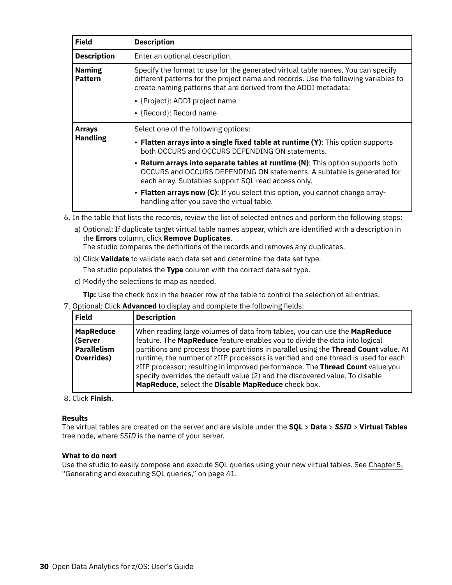| <b>Field</b>                    | <b>Description</b>                                                                                                                                                                                                                         |
|---------------------------------|--------------------------------------------------------------------------------------------------------------------------------------------------------------------------------------------------------------------------------------------|
| <b>Description</b>              | Enter an optional description.                                                                                                                                                                                                             |
| <b>Naming</b><br><b>Pattern</b> | Specify the format to use for the generated virtual table names. You can specify<br>different patterns for the project name and records. Use the following variables to<br>create naming patterns that are derived from the ADDI metadata: |
|                                 | • {Project}: ADDI project name                                                                                                                                                                                                             |
|                                 | • {Record}: Record name                                                                                                                                                                                                                    |
| <b>Arrays</b>                   | Select one of the following options:                                                                                                                                                                                                       |
| <b>Handling</b>                 | • Flatten arrays into a single fixed table at runtime (Y): This option supports<br>both OCCURS and OCCURS DEPENDING ON statements.                                                                                                         |
|                                 | • Return arrays into separate tables at runtime (N): This option supports both<br>OCCURS and OCCURS DEPENDING ON statements. A subtable is generated for<br>each array. Subtables support SQL read access only.                            |
|                                 | • Flatten arrays now (C): If you select this option, you cannot change array-<br>handling after you save the virtual table.                                                                                                                |

6. In the table that lists the records, review the list of selected entries and perform the following steps:

a) Optional: If duplicate target virtual table names appear, which are identified with a description in the **Errors** column, click **Remove Duplicates**.

The studio compares the definitions of the records and removes any duplicates.

b) Click **Validate** to validate each data set and determine the data set type.

The studio populates the **Type** column with the correct data set type.

c) Modify the selections to map as needed.

**Tip:** Use the check box in the header row of the table to control the selection of all entries.

7. Optional: Click Advanced to display and complete the following fields:

| <b>Field</b>                                                    | <b>Description</b>                                                                                                                                                                                                                                                                                                                                                                                                                                                                                                                                                  |
|-----------------------------------------------------------------|---------------------------------------------------------------------------------------------------------------------------------------------------------------------------------------------------------------------------------------------------------------------------------------------------------------------------------------------------------------------------------------------------------------------------------------------------------------------------------------------------------------------------------------------------------------------|
| <b>MapReduce</b><br>(Server<br><b>Parallelism</b><br>Overrides) | When reading large volumes of data from tables, you can use the <b>MapReduce</b><br>feature. The MapReduce feature enables you to divide the data into logical<br>partitions and process those partitions in parallel using the Thread Count value. At<br>runtime, the number of zIIP processors is verified and one thread is used for each<br>zIIP processor; resulting in improved performance. The Thread Count value you<br>specify overrides the default value (2) and the discovered value. To disable<br>MapReduce, select the Disable MapReduce check box. |

### 8. Click **Finish**.

### **Results**

The virtual tables are created on the server and are visible under the **SQL** > **Data** > *SSID* > **Virtual Tables** tree node, where *SSID* is the name of your server.

### **What to do next**

Use the studio to easily compose and execute SQL queries using your new virtual tables. See [Chapter 5,](#page-48-0) ["Generating and executing SQL queries," on page 41](#page-48-0).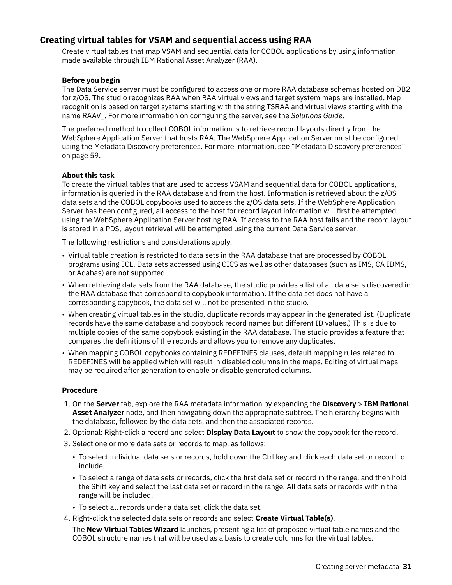### **Creating virtual tables for VSAM and sequential access using RAA**

Create virtual tables that map VSAM and sequential data for COBOL applications by using information made available through IBM Rational Asset Analyzer (RAA).

### **Before you begin**

The Data Service server must be configured to access one or more RAA database schemas hosted on DB2 for z/OS. The studio recognizes RAA when RAA virtual views and target system maps are installed. Map recognition is based on target systems starting with the string TSRAA and virtual views starting with the name RAAV\_. For more information on con®guring the server, see the *Solutions Guide*.

The preferred method to collect COBOL information is to retrieve record layouts directly from the WebSphere Application Server that hosts RAA. The WebSphere Application Server must be configured using the Metadata Discovery preferences. For more information, see ["Metadata Discovery preferences"](#page-66-0) [on page 59.](#page-66-0)

### **About this task**

To create the virtual tables that are used to access VSAM and sequential data for COBOL applications, information is queried in the RAA database and from the host. Information is retrieved about the z/OS data sets and the COBOL copybooks used to access the z/OS data sets. If the WebSphere Application Server has been configured, all access to the host for record layout information will first be attempted using the WebSphere Application Server hosting RAA. If access to the RAA host fails and the record layout is stored in a PDS, layout retrieval will be attempted using the current Data Service server.

The following restrictions and considerations apply:

- Virtual table creation is restricted to data sets in the RAA database that are processed by COBOL programs using JCL. Data sets accessed using CICS as well as other databases (such as IMS, CA IDMS, or Adabas) are not supported.
- When retrieving data sets from the RAA database, the studio provides a list of all data sets discovered in the RAA database that correspond to copybook information. If the data set does not have a corresponding copybook, the data set will not be presented in the studio.
- When creating virtual tables in the studio, duplicate records may appear in the generated list. (Duplicate records have the same database and copybook record names but different ID values.) This is due to multiple copies of the same copybook existing in the RAA database. The studio provides a feature that compares the definitions of the records and allows you to remove any duplicates.
- When mapping COBOL copybooks containing REDEFINES clauses, default mapping rules related to REDEFINES will be applied which will result in disabled columns in the maps. Editing of virtual maps may be required after generation to enable or disable generated columns.

### **Procedure**

- 1. On the **Server** tab, explore the RAA metadata information by expanding the **Discovery** > **IBM Rational Asset Analyzer** node, and then navigating down the appropriate subtree. The hierarchy begins with the database, followed by the data sets, and then the associated records.
- 2. Optional: Right-click a record and select **Display Data Layout** to show the copybook for the record.
- 3. Select one or more data sets or records to map, as follows:
	- To select individual data sets or records, hold down the Ctrl key and click each data set or record to include.
	- To select a range of data sets or records, click the first data set or record in the range, and then hold the Shift key and select the last data set or record in the range. All data sets or records within the range will be included.
	- To select all records under a data set, click the data set.
- 4. Right-click the selected data sets or records and select **Create Virtual Table(s)**.

The **New Virtual Tables Wizard** launches, presenting a list of proposed virtual table names and the COBOL structure names that will be used as a basis to create columns for the virtual tables.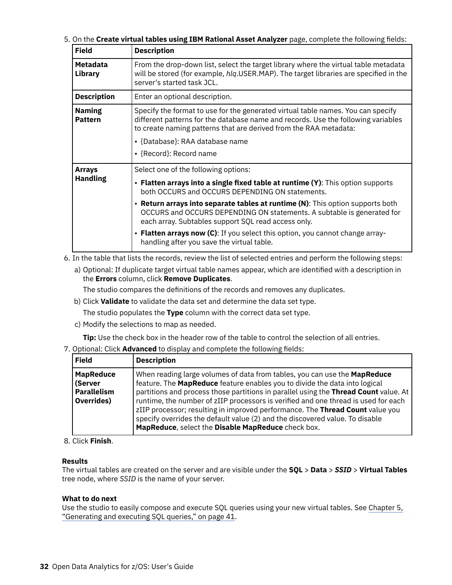5. On the Create virtual tables using IBM Rational Asset Analyzer page, complete the following fields:

| <b>Field</b>                    | <b>Description</b>                                                                                                                                                                                                                                                                                                                                    |
|---------------------------------|-------------------------------------------------------------------------------------------------------------------------------------------------------------------------------------------------------------------------------------------------------------------------------------------------------------------------------------------------------|
| <b>Metadata</b><br>Library      | From the drop-down list, select the target library where the virtual table metadata<br>will be stored (for example, hlg.USER.MAP). The target libraries are specified in the<br>server's started task JCL.                                                                                                                                            |
| <b>Description</b>              | Enter an optional description.                                                                                                                                                                                                                                                                                                                        |
| <b>Naming</b><br><b>Pattern</b> | Specify the format to use for the generated virtual table names. You can specify<br>different patterns for the database name and records. Use the following variables<br>to create naming patterns that are derived from the RAA metadata:<br>• {Database}: RAA database name<br>• {Record}: Record name                                              |
| Arrays                          | Select one of the following options:                                                                                                                                                                                                                                                                                                                  |
| <b>Handling</b>                 | • Flatten arrays into a single fixed table at runtime (Y): This option supports<br>both OCCURS and OCCURS DEPENDING ON statements.<br>• Return arrays into separate tables at runtime (N): This option supports both<br>OCCURS and OCCURS DEPENDING ON statements. A subtable is generated for<br>each array. Subtables support SQL read access only. |
|                                 | • Flatten arrays now (C): If you select this option, you cannot change array-<br>handling after you save the virtual table.                                                                                                                                                                                                                           |

- 6. In the table that lists the records, review the list of selected entries and perform the following steps:
	- a) Optional: If duplicate target virtual table names appear, which are identified with a description in the **Errors** column, click **Remove Duplicates**.

The studio compares the definitions of the records and removes any duplicates.

b) Click **Validate** to validate the data set and determine the data set type.

The studio populates the **Type** column with the correct data set type.

c) Modify the selections to map as needed.

**Tip:** Use the check box in the header row of the table to control the selection of all entries.

7. Optional: Click **Advanced** to display and complete the following fields:

| <b>Field</b>                                                    | <b>Description</b>                                                                                                                                                                                                                                                                                                                                                                                                                                                                                                                                                  |
|-----------------------------------------------------------------|---------------------------------------------------------------------------------------------------------------------------------------------------------------------------------------------------------------------------------------------------------------------------------------------------------------------------------------------------------------------------------------------------------------------------------------------------------------------------------------------------------------------------------------------------------------------|
| <b>MapReduce</b><br>(Server<br><b>Parallelism</b><br>Overrides) | When reading large volumes of data from tables, you can use the <b>MapReduce</b><br>feature. The MapReduce feature enables you to divide the data into logical<br>partitions and process those partitions in parallel using the Thread Count value. At<br>runtime, the number of zIIP processors is verified and one thread is used for each<br>zIIP processor; resulting in improved performance. The Thread Count value you<br>specify overrides the default value (2) and the discovered value. To disable<br>MapReduce, select the Disable MapReduce check box. |

### 8. Click **Finish**.

### **Results**

The virtual tables are created on the server and are visible under the **SQL** > **Data** > *SSID* > **Virtual Tables** tree node, where *SSID* is the name of your server.

### **What to do next**

Use the studio to easily compose and execute SQL queries using your new virtual tables. See [Chapter 5,](#page-48-0) ["Generating and executing SQL queries," on page 41](#page-48-0).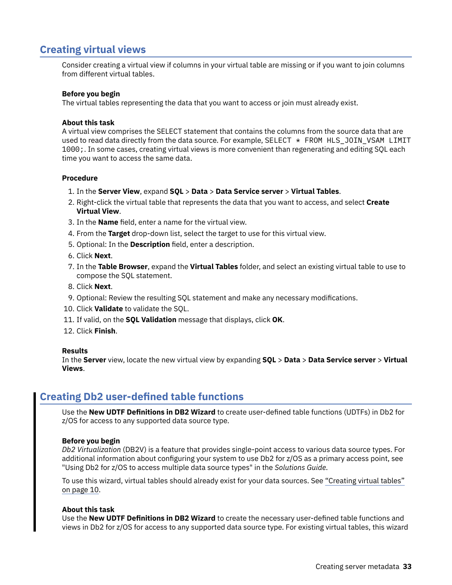## **Creating virtual views**

Consider creating a virtual view if columns in your virtual table are missing or if you want to join columns from different virtual tables.

### **Before you begin**

The virtual tables representing the data that you want to access or join must already exist.

### **About this task**

A virtual view comprises the SELECT statement that contains the columns from the source data that are used to read data directly from the data source. For example, SELECT  $\star$  FROM HLS\_JOIN\_VSAM LIMIT 1000;. In some cases, creating virtual views is more convenient than regenerating and editing SQL each time you want to access the same data.

### **Procedure**

- 1. In the **Server View**, expand **SQL** > **Data** > **Data Service server** > **Virtual Tables**.
- 2. Right-click the virtual table that represents the data that you want to access, and select **Create Virtual View**.
- 3. In the **Name** field, enter a name for the virtual view.
- 4. From the **Target** drop-down list, select the target to use for this virtual view.
- 5. Optional: In the **Description** field, enter a description.
- 6. Click **Next**.
- 7. In the **Table Browser**, expand the **Virtual Tables** folder, and select an existing virtual table to use to compose the SQL statement.
- 8. Click **Next**.
- 9. Optional: Review the resulting SQL statement and make any necessary modifications.
- 10. Click **Validate** to validate the SQL.
- 11. If valid, on the **SQL Validation** message that displays, click **OK**.
- 12. Click **Finish**.

#### **Results**

In the **Server** view, locate the new virtual view by expanding **SQL** > **Data** > **Data Service server** > **Virtual Views**.

## **Creating Db2 user-defined table functions**

Use the **New UDTF Definitions in DB2 Wizard** to create user-defined table functions (UDTFs) in Db2 for z/OS for access to any supported data source type.

### **Before you begin**

*Db2 Virtualization* (DB2V) is a feature that provides single-point access to various data source types. For additional information about configuring your system to use Db2 for z/OS as a primary access point, see "Using Db2 for z/OS to access multiple data source types" in the *Solutions Guide*.

To use this wizard, virtual tables should already exist for your data sources. See ["Creating virtual tables"](#page-17-0) [on page 10.](#page-17-0)

#### **About this task**

Use the **New UDTF Definitions in DB2 Wizard** to create the necessary user-defined table functions and views in Db2 for z/OS for access to any supported data source type. For existing virtual tables, this wizard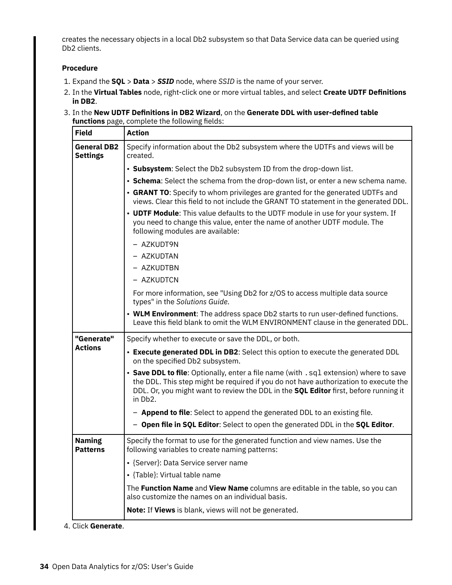creates the necessary objects in a local Db2 subsystem so that Data Service data can be queried using Db2 clients.

### **Procedure**

- 1. Expand the **SQL** > **Data** > *SSID* node, where *SSID* is the name of your server.
- 2. In the Virtual Tables node, right-click one or more virtual tables, and select Create UDTF Definitions **in DB2**.
- 3. In the New UDTF Definitions in DB2 Wizard, on the Generate DDL with user-defined table functions page, complete the following fields:

| <b>Field</b>                          | <b>Action</b>                                                                                                                                                                                                                                                                     |
|---------------------------------------|-----------------------------------------------------------------------------------------------------------------------------------------------------------------------------------------------------------------------------------------------------------------------------------|
| <b>General DB2</b><br><b>Settings</b> | Specify information about the Db2 subsystem where the UDTFs and views will be<br>created.                                                                                                                                                                                         |
|                                       | • Subsystem: Select the Db2 subsystem ID from the drop-down list.                                                                                                                                                                                                                 |
|                                       | • Schema: Select the schema from the drop-down list, or enter a new schema name.                                                                                                                                                                                                  |
|                                       | • GRANT TO: Specify to whom privileges are granted for the generated UDTFs and<br>views. Clear this field to not include the GRANT TO statement in the generated DDL.                                                                                                             |
|                                       | • UDTF Module: This value defaults to the UDTF module in use for your system. If<br>you need to change this value, enter the name of another UDTF module. The<br>following modules are available:                                                                                 |
|                                       | - AZKUDT9N                                                                                                                                                                                                                                                                        |
|                                       | - AZKUDTAN                                                                                                                                                                                                                                                                        |
|                                       | - AZKUDTBN                                                                                                                                                                                                                                                                        |
|                                       | - AZKUDTCN                                                                                                                                                                                                                                                                        |
|                                       | For more information, see "Using Db2 for z/OS to access multiple data source<br>types" in the Solutions Guide.                                                                                                                                                                    |
|                                       | • WLM Environment: The address space Db2 starts to run user-defined functions.<br>Leave this field blank to omit the WLM ENVIRONMENT clause in the generated DDL.                                                                                                                 |
| "Generate"                            | Specify whether to execute or save the DDL, or both.                                                                                                                                                                                                                              |
| <b>Actions</b>                        | • Execute generated DDL in DB2: Select this option to execute the generated DDL<br>on the specified Db2 subsystem.                                                                                                                                                                |
|                                       | • Save DDL to file: Optionally, enter a file name (with . sql extension) where to save<br>the DDL. This step might be required if you do not have authorization to execute the<br>DDL. Or, you might want to review the DDL in the SQL Editor first, before running it<br>in Db2. |
|                                       | - <b>Append to file</b> : Select to append the generated DDL to an existing file.                                                                                                                                                                                                 |
|                                       | - Open file in SQL Editor: Select to open the generated DDL in the SQL Editor.                                                                                                                                                                                                    |
| <b>Naming</b><br><b>Patterns</b>      | Specify the format to use for the generated function and view names. Use the<br>following variables to create naming patterns:                                                                                                                                                    |
|                                       | • {Server}: Data Service server name                                                                                                                                                                                                                                              |
|                                       | • {Table}: Virtual table name                                                                                                                                                                                                                                                     |
|                                       | The Function Name and View Name columns are editable in the table, so you can<br>also customize the names on an individual basis.                                                                                                                                                 |
|                                       | Note: If Views is blank, views will not be generated.                                                                                                                                                                                                                             |

4. Click **Generate**.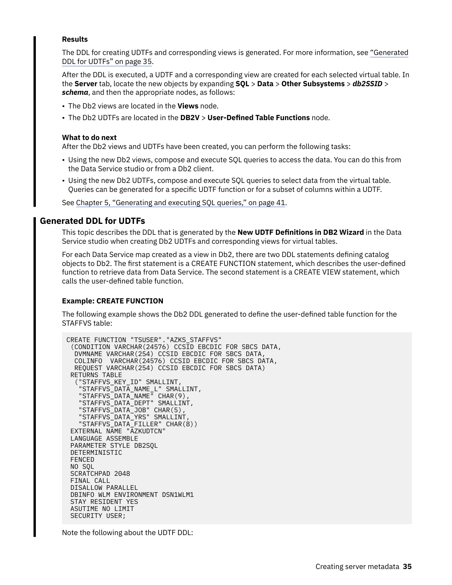### **Results**

The DDL for creating UDTFs and corresponding views is generated. For more information, see "Generated DDL for UDTFs" on page 35.

After the DDL is executed, a UDTF and a corresponding view are created for each selected virtual table. In the **Server** tab, locate the new objects by expanding **SQL** > **Data** > **Other Subsystems** > *db2SSID* > *schema*, and then the appropriate nodes, as follows:

- The Db2 views are located in the **Views** node.
- The Db2 UDTFs are located in the **DB2V** > User-Defined Table Functions node.

### **What to do next**

After the Db2 views and UDTFs have been created, you can perform the following tasks:

- Using the new Db2 views, compose and execute SQL queries to access the data. You can do this from the Data Service studio or from a Db2 client.
- Using the new Db2 UDTFs, compose and execute SQL queries to select data from the virtual table. Queries can be generated for a specific UDTF function or for a subset of columns within a UDTF.

See [Chapter 5, "Generating and executing SQL queries," on page 41](#page-48-0).

### **Generated DDL for UDTFs**

This topic describes the DDL that is generated by the **New UDTF Definitions in DB2 Wizard** in the Data Service studio when creating Db2 UDTFs and corresponding views for virtual tables.

For each Data Service map created as a view in Db2, there are two DDL statements defining catalog objects to Db2. The first statement is a CREATE FUNCTION statement, which describes the user-defined function to retrieve data from Data Service. The second statement is a CREATE VIEW statement, which calls the user-defined table function.

### **Example: CREATE FUNCTION**

The following example shows the Db2 DDL generated to define the user-defined table function for the STAFFVS table:

CREATE FUNCTION "TSUSER"."AZKS\_STAFFVS" (CONDITION VARCHAR(24576) CCSID EBCDIC FOR SBCS DATA, DVMNAME VARCHAR(254) CCSID EBCDIC FOR SBCS DATA, COLINFO VARCHAR(24576) CCSID EBCDIC FOR SBCS DATA, REQUEST VARCHAR(254) CCSID EBCDIC FOR SBCS DATA) RETURNS TABLE ("STAFFVS\_KEY\_ID" SMALLINT, "STAFFVS\_DATA\_NAME\_L" SMALLINT, "STAFFVS\_DATA\_NAME" CHAR(9), "STAFFVS\_DATA\_DEPT" SMALLINT, "STAFFVS\_DATA\_JOB" CHAR(5), "STAFFVS\_DATA\_YRS" SMALLINT, "STAFFVS\_DATA\_FILLER" CHAR(8)) EXTERNAL NAME "AZKUDTCN" LANGUAGE ASSEMBLE PARAMETER STYLE DB2SQL DETERMINISTIC FENCED NO SQL SCRATCHPAD 2048 FINAL CALL DISALLOW PARALLEL DBINFO WLM ENVIRONMENT DSN1WLM1 STAY RESIDENT YES ASUTIME NO LIMIT SECURITY USER;

Note the following about the UDTF DDL: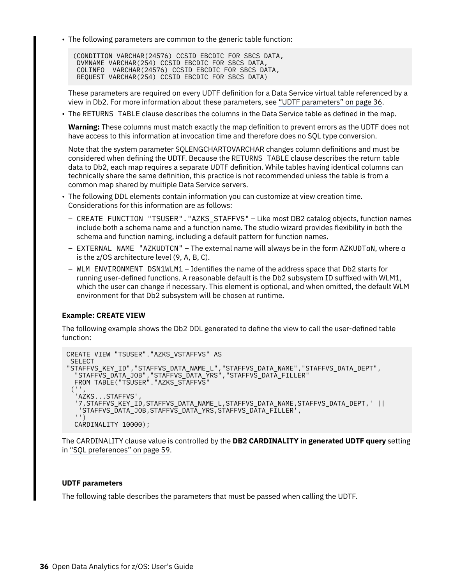• The following parameters are common to the generic table function:

(CONDITION VARCHAR(24576) CCSID EBCDIC FOR SBCS DATA, DVMNAME VARCHAR(254) CCSID EBCDIC FOR SBCS DATA, COLINFO VARCHAR(24576) CCSID EBCDIC FOR SBCS DATA, REQUEST VARCHAR(254) CCSID EBCDIC FOR SBCS DATA)

These parameters are required on every UDTF definition for a Data Service virtual table referenced by a view in Db2. For more information about these parameters, see "UDTF parameters" on page 36.

• The RETURNS TABLE clause describes the columns in the Data Service table as defined in the map.

**Warning:** These columns must match exactly the map definition to prevent errors as the UDTF does not have access to this information at invocation time and therefore does no SQL type conversion.

Note that the system parameter SQLENGCHARTOVARCHAR changes column definitions and must be considered when defining the UDTF. Because the RETURNS TABLE clause describes the return table data to Db2, each map requires a separate UDTF definition. While tables having identical columns can technically share the same definition, this practice is not recommended unless the table is from a common map shared by multiple Data Service servers.

- The following DDL elements contain information you can customize at view creation time. Considerations for this information are as follows:
	- CREATE FUNCTION "TSUSER"."AZKS\_STAFFVS" Like most DB2 catalog objects, function names include both a schema name and a function name. The studio wizard provides flexibility in both the schema and function naming, including a default pattern for function names.
	- EXTERNAL NAME "AZKUDTCN" The external name will always be in the form AZKUDT*a*N, where *a* is the z/OS architecture level (9, A, B, C).
	- $-$  WLM ENVIRONMENT DSN1WLM1 Identifies the name of the address space that Db2 starts for running user-defined functions. A reasonable default is the Db2 subsystem ID suffixed with WLM1, which the user can change if necessary. This element is optional, and when omitted, the default WLM environment for that Db2 subsystem will be chosen at runtime.

### **Example: CREATE VIEW**

The following example shows the Db2 DDL generated to define the view to call the user-defined table function:

```
CREATE VIEW "TSUSER"."AZKS_VSTAFFVS" AS
 SELECT 
"STAFFVS_KEY_ID","STAFFVS_DATA_NAME_L","STAFFVS_DATA_NAME","STAFFVS_DATA_DEPT",
 "STAFFVS_DATA_JOB","STAFFVS_DATA_YRS","STAFFVS_DATA_FILLER"
 FROM TABLE("TSUSER"."AZKS_STAFFVS"
 ('AZKS...STAFFVS'
 '7,STAFFVS_KEY_ID,STAFFVS_DATA_NAME_L,STAFFVS_DATA_NAME,STAFFVS_DATA_DEPT,' ||
 'STAFFVS_DATA_JOB,STAFFVS_DATA_YRS,STAFFVS_DATA_FILLER',
   '')
  CARDINALITY 10000);
```
The CARDINALITY clause value is controlled by the **DB2 CARDINALITY in generated UDTF query** setting in ["SQL preferences" on page 59](#page-66-0).

### **UDTF parameters**

The following table describes the parameters that must be passed when calling the UDTF.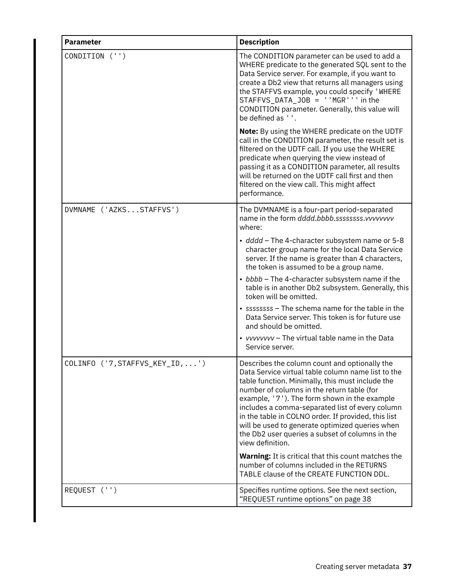| <b>Parameter</b>                | <b>Description</b>                                                                                                                                                                                                                                                                                                                                                                                                                                                                                                                               |
|---------------------------------|--------------------------------------------------------------------------------------------------------------------------------------------------------------------------------------------------------------------------------------------------------------------------------------------------------------------------------------------------------------------------------------------------------------------------------------------------------------------------------------------------------------------------------------------------|
| CONDITION ('')                  | The CONDITION parameter can be used to add a<br>WHERE predicate to the generated SQL sent to the<br>Data Service server. For example, if you want to<br>create a Db2 view that returns all managers using<br>the STAFFVS example, you could specify 'WHERE<br>STAFFVS_DATA_JOB = ''MGR''' in the<br>CONDITION parameter. Generally, this value will<br>be defined as ''.                                                                                                                                                                         |
|                                 | Note: By using the WHERE predicate on the UDTF<br>call in the CONDITION parameter, the result set is<br>filtered on the UDTF call. If you use the WHERE<br>predicate when querying the view instead of<br>passing it as a CONDITION parameter, all results<br>will be returned on the UDTF call first and then<br>filtered on the view call. This might affect<br>performance.                                                                                                                                                                   |
| DVMNAME ('AZKSSTAFFVS')         | The DVMNAME is a four-part period-separated<br>name in the form dddd.bbbb.sssssssss.vvvvvvvv<br>where:                                                                                                                                                                                                                                                                                                                                                                                                                                           |
|                                 | • dddd - The 4-character subsystem name or 5-8<br>character group name for the local Data Service<br>server. If the name is greater than 4 characters,<br>the token is assumed to be a group name.                                                                                                                                                                                                                                                                                                                                               |
|                                 | • bbbb - The 4-character subsystem name if the<br>table is in another Db2 subsystem. Generally, this<br>token will be omitted.                                                                                                                                                                                                                                                                                                                                                                                                                   |
|                                 | • ssssssss – The schema name for the table in the<br>Data Service server. This token is for future use<br>and should be omitted.                                                                                                                                                                                                                                                                                                                                                                                                                 |
|                                 | • vvvvvvvv - The virtual table name in the Data<br>Service server.                                                                                                                                                                                                                                                                                                                                                                                                                                                                               |
| COLINFO ('7, STAFFVS KEY ID, ') | Describes the column count and optionally the<br>Data Service virtual table column name list to the<br>table function. Minimally, this must include the<br>number of columns in the return table (for<br>example, '7'). The form shown in the example<br>includes a comma-separated list of every column<br>in the table in COLNO order. If provided, this list<br>will be used to generate optimized queries when<br>the Db2 user queries a subset of columns in the<br>view definition.<br>Warning: It is critical that this count matches the |
|                                 | number of columns included in the RETURNS<br>TABLE clause of the CREATE FUNCTION DDL.                                                                                                                                                                                                                                                                                                                                                                                                                                                            |
| REQUEST ('')                    | Specifies runtime options. See the next section,<br>"REQUEST runtime options" on page 38                                                                                                                                                                                                                                                                                                                                                                                                                                                         |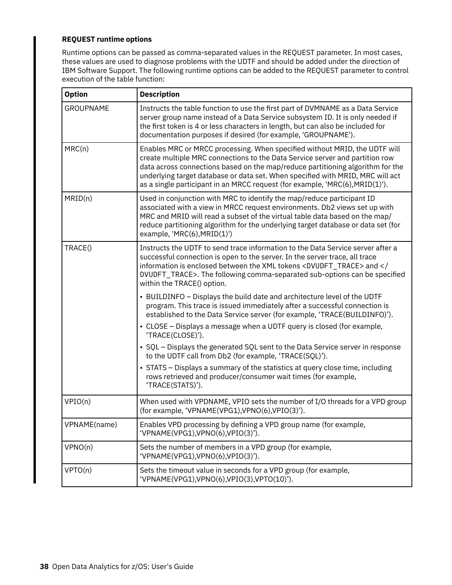### <span id="page-45-0"></span>**REQUEST runtime options**

Runtime options can be passed as comma-separated values in the REQUEST parameter. In most cases, these values are used to diagnose problems with the UDTF and should be added under the direction of IBM Software Support. The following runtime options can be added to the REQUEST parameter to control execution of the table function:

| <b>Option</b>    | <b>Description</b>                                                                                                                                                                                                                                                                                                                                                                                             |
|------------------|----------------------------------------------------------------------------------------------------------------------------------------------------------------------------------------------------------------------------------------------------------------------------------------------------------------------------------------------------------------------------------------------------------------|
| <b>GROUPNAME</b> | Instructs the table function to use the first part of DVMNAME as a Data Service<br>server group name instead of a Data Service subsystem ID. It is only needed if<br>the first token is 4 or less characters in length, but can also be included for<br>documentation purposes if desired (for example, 'GROUPNAME').                                                                                          |
| MRC(n)           | Enables MRC or MRCC processing. When specified without MRID, the UDTF will<br>create multiple MRC connections to the Data Service server and partition row<br>data across connections based on the map/reduce partitioning algorithm for the<br>underlying target database or data set. When specified with MRID, MRC will act<br>as a single participant in an MRCC request (for example, 'MRC(6), MRID(1)'). |
| MRID(n)          | Used in conjunction with MRC to identify the map/reduce participant ID<br>associated with a view in MRCC request environments. Db2 views set up with<br>MRC and MRID will read a subset of the virtual table data based on the map/<br>reduce partitioning algorithm for the underlying target database or data set (for<br>example, 'MRC(6), MRID(1)')                                                        |
| TRACE()          | Instructs the UDTF to send trace information to the Data Service server after a<br>successful connection is open to the server. In the server trace, all trace<br>information is enclosed between the XML tokens <dvudft_trace> and <!--<br-->DVUDFT_TRACE&gt;. The following comma-separated sub-options can be specified<br/>within the TRACE() option.</dvudft_trace>                                       |
|                  | • BUILDINFO - Displays the build date and architecture level of the UDTF<br>program. This trace is issued immediately after a successful connection is<br>established to the Data Service server (for example, 'TRACE(BUILDINFO)').                                                                                                                                                                            |
|                  | • CLOSE – Displays a message when a UDTF query is closed (for example,<br>'TRACE(CLOSE)').                                                                                                                                                                                                                                                                                                                     |
|                  | • SQL – Displays the generated SQL sent to the Data Service server in response<br>to the UDTF call from Db2 (for example, 'TRACE(SQL)').                                                                                                                                                                                                                                                                       |
|                  | • STATS – Displays a summary of the statistics at query close time, including<br>rows retrieved and producer/consumer wait times (for example,<br>'TRACE(STATS)').                                                                                                                                                                                                                                             |
| VPIO(n)          | When used with VPDNAME, VPIO sets the number of I/O threads for a VPD group<br>(for example, 'VPNAME(VPG1), VPNO(6), VPIO(3)').                                                                                                                                                                                                                                                                                |
| VPNAME(name)     | Enables VPD processing by defining a VPD group name (for example,<br>'VPNAME(VPG1), VPNO(6), VPIO(3)').                                                                                                                                                                                                                                                                                                        |
| VPNO(n)          | Sets the number of members in a VPD group (for example,<br>'VPNAME(VPG1), VPNO(6), VPIO(3)').                                                                                                                                                                                                                                                                                                                  |
| VPTO(n)          | Sets the timeout value in seconds for a VPD group (for example,<br>'VPNAME(VPG1), VPNO(6), VPIO(3), VPTO(10)').                                                                                                                                                                                                                                                                                                |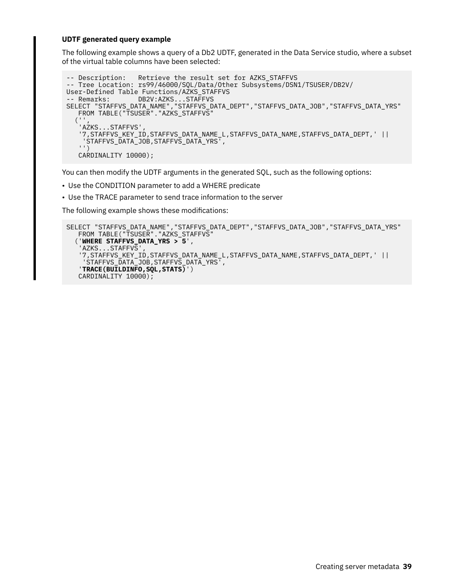### **UDTF generated query example**

The following example shows a query of a Db2 UDTF, generated in the Data Service studio, where a subset of the virtual table columns have been selected:

```
-- Description: Retrieve the result set for AZKS_STAFFVS
-- Tree Location: rs99/46000/SQL/Data/Other Subsystems/DSN1/TSUSER/DB2V/
User-Defined Table Functions/AZKS_STAFFVS
-- Remarks: DB2V:AZKS...STAFFVS
SELECT "STAFFVS_DATA_NAME","STAFFVS_DATA_DEPT","STAFFVS_DATA_JOB","STAFFVS_DATA_YRS"
   FROM TABLE("TSUSER"."AZKS_STAFFVS"
  ('AZKS...STAFFVS'
    '7,STAFFVS_KEY_ID,STAFFVS_DATA_NAME_L,STAFFVS_DATA_NAME,STAFFVS_DATA_DEPT,' ||
     'STAFFVS_DATA_JOB,STAFFVS_DATA_YRS',
    '')
    CARDINALITY 10000);
```
You can then modify the UDTF arguments in the generated SQL, such as the following options:

- Use the CONDITION parameter to add a WHERE predicate
- Use the TRACE parameter to send trace information to the server

The following example shows these modifications:

```
SELECT "STAFFVS_DATA_NAME","STAFFVS_DATA_DEPT","STAFFVS_DATA_JOB","STAFFVS_DATA_YRS"
 FROM TABLE("TSUSER"."AZKS_STAFFVS"
 ('WHERE STAFFVS_DATA_YRS > 5',
   'AZKS...STAFFVS'
    '7,STAFFVS_KEY_ID,STAFFVS_DATA_NAME_L,STAFFVS_DATA_NAME,STAFFVS_DATA_DEPT,' ||
    'STAFFVS_DATA_JOB,STAFFVS_DATA_YRS',
    'TRACE(BUILDINFO,SQL,STATS)')
    CARDINALITY 10000);
```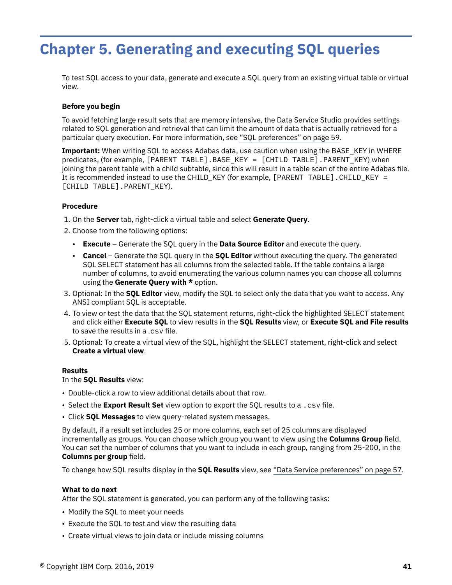# <span id="page-48-0"></span>**Chapter 5. Generating and executing SQL queries**

To test SQL access to your data, generate and execute a SQL query from an existing virtual table or virtual view.

### **Before you begin**

To avoid fetching large result sets that are memory intensive, the Data Service Studio provides settings related to SQL generation and retrieval that can limit the amount of data that is actually retrieved for a particular query execution. For more information, see ["SQL preferences" on page 59](#page-66-0).

**Important:** When writing SQL to access Adabas data, use caution when using the BASE\_KEY in WHERE predicates, (for example, [PARENT TABLE]. BASE\_KEY = [CHILD TABLE]. PARENT\_KEY) when joining the parent table with a child subtable, since this will result in a table scan of the entire Adabas file. It is recommended instead to use the CHILD\_KEY (for example, [PARENT TABLE].CHILD\_KEY = [CHILD TABLE].PARENT\_KEY).

### **Procedure**

- 1. On the **Server** tab, right-click a virtual table and select **Generate Query**.
- 2. Choose from the following options:
	- **Execute** Generate the SQL query in the **Data Source Editor** and execute the query.
	- **Cancel** Generate the SQL query in the **SQL Editor** without executing the query. The generated SQL SELECT statement has all columns from the selected table. If the table contains a large number of columns, to avoid enumerating the various column names you can choose all columns using the **Generate Query with \*** option.
- 3. Optional: In the **SQL Editor** view, modify the SQL to select only the data that you want to access. Any ANSI compliant SQL is acceptable.
- 4. To view or test the data that the SQL statement returns, right-click the highlighted SELECT statement and click either **Execute SQL** to view results in the **SQL Results** view, or **Execute SQL and File results** to save the results in a .csv file.
- 5. Optional: To create a virtual view of the SQL, highlight the SELECT statement, right-click and select **Create a virtual view**.

### **Results**

In the **SQL Results** view:

- Double-click a row to view additional details about that row.
- Select the **Export Result Set** view option to export the SQL results to a .csv file.
- Click **SQL Messages** to view query-related system messages.

By default, if a result set includes 25 or more columns, each set of 25 columns are displayed incrementally as groups. You can choose which group you want to view using the **Columns Group** field. You can set the number of columns that you want to include in each group, ranging from 25-200, in the **Columns per group field.** 

To change how SQL results display in the **SQL Results** view, see ["Data Service preferences" on page 57](#page-64-0).

### **What to do next**

After the SQL statement is generated, you can perform any of the following tasks:

- Modify the SQL to meet your needs
- Execute the SQL to test and view the resulting data
- Create virtual views to join data or include missing columns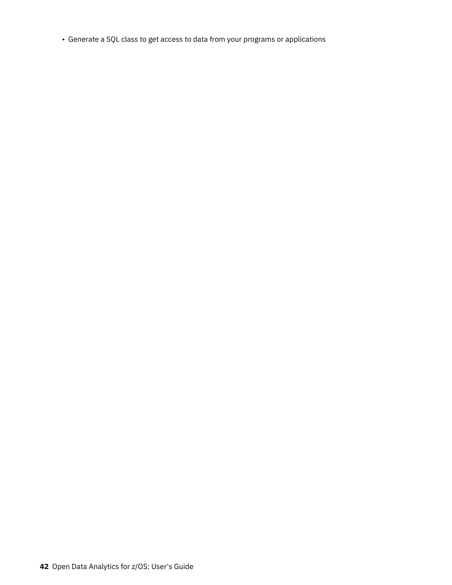• Generate a SQL class to get access to data from your programs or applications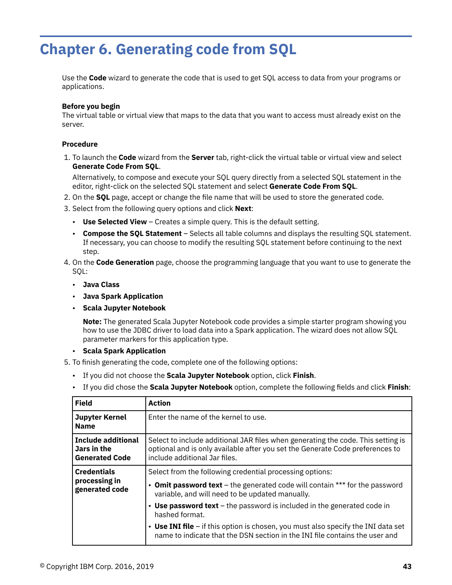# **Chapter 6. Generating code from SQL**

Use the **Code** wizard to generate the code that is used to get SQL access to data from your programs or applications.

### **Before you begin**

The virtual table or virtual view that maps to the data that you want to access must already exist on the server.

### **Procedure**

1. To launch the **Code** wizard from the **Server** tab, right-click the virtual table or virtual view and select **Generate Code From SQL**.

Alternatively, to compose and execute your SQL query directly from a selected SQL statement in the editor, right-click on the selected SQL statement and select **Generate Code From SQL**.

- 2. On the **SQL** page, accept or change the file name that will be used to store the generated code.
- 3. Select from the following query options and click **Next**:
	- **Use Selected View** Creates a simple query. This is the default setting.
	- **Compose the SQL Statement** Selects all table columns and displays the resulting SQL statement. If necessary, you can choose to modify the resulting SQL statement before continuing to the next step.
- 4. On the **Code Generation** page, choose the programming language that you want to use to generate the SQL:
	- **Java Class**
	- **Java Spark Application**
	- **Scala Jupyter Notebook**

**Note:** The generated Scala Jupyter Notebook code provides a simple starter program showing you how to use the JDBC driver to load data into a Spark application. The wizard does not allow SQL parameter markers for this application type.

- **Scala Spark Application**
- 5. To finish generating the code, complete one of the following options:
	- If you did not choose the **Scala Jupyter Notebook** option, click **Finish**.
	- If you did chose the **Scala Jupyter Notebook** option, complete the following fields and click **Finish**:

| <b>Field</b>                                                      | <b>Action</b>                                                                                                                                                                                      |
|-------------------------------------------------------------------|----------------------------------------------------------------------------------------------------------------------------------------------------------------------------------------------------|
| <b>Jupyter Kernel</b><br><b>Name</b>                              | Enter the name of the kernel to use.                                                                                                                                                               |
| <b>Include additional</b><br>Jars in the<br><b>Generated Code</b> | Select to include additional JAR files when generating the code. This setting is<br>optional and is only available after you set the Generate Code preferences to<br>include additional Jar files. |
| <b>Credentials</b>                                                | Select from the following credential processing options:                                                                                                                                           |
| processing in<br>generated code                                   | • Omit password text – the generated code will contain *** for the password<br>variable, and will need to be updated manually.                                                                     |
|                                                                   | • Use password text $-$ the password is included in the generated code in<br>hashed format.                                                                                                        |
|                                                                   | • Use INI file – if this option is chosen, you must also specify the INI data set<br>name to indicate that the DSN section in the INI file contains the user and                                   |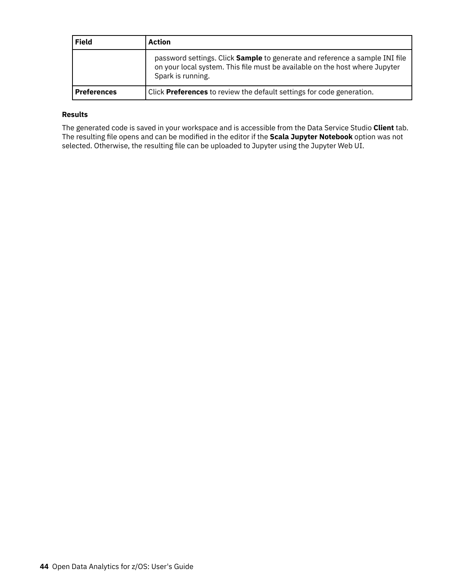| <b>Field</b>       | Action                                                                                                                                                                                 |
|--------------------|----------------------------------------------------------------------------------------------------------------------------------------------------------------------------------------|
|                    | password settings. Click <b>Sample</b> to generate and reference a sample INI file<br>on your local system. This file must be available on the host where Jupyter<br>Spark is running. |
| <b>Preferences</b> | Click <b>Preferences</b> to review the default settings for code generation.                                                                                                           |

### **Results**

The generated code is saved in your workspace and is accessible from the Data Service Studio **Client** tab. The resulting file opens and can be modified in the editor if the **Scala Jupyter Notebook** option was not selected. Otherwise, the resulting file can be uploaded to Jupyter using the Jupyter Web UI.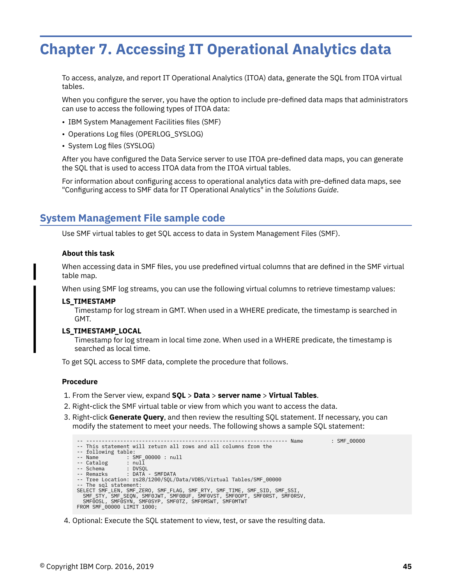# **Chapter 7. Accessing IT Operational Analytics data**

To access, analyze, and report IT Operational Analytics (ITOA) data, generate the SQL from ITOA virtual tables.

When you configure the server, you have the option to include pre-defined data maps that administrators can use to access the following types of ITOA data:

- IBM System Management Facilities files (SMF)
- Operations Log files (OPERLOG\_SYSLOG)
- System Log files (SYSLOG)

After you have configured the Data Service server to use ITOA pre-defined data maps, you can generate the SQL that is used to access ITOA data from the ITOA virtual tables.

For information about configuring access to operational analytics data with pre-defined data maps, see "Configuring access to SMF data for IT Operational Analytics" in the *Solutions Guide*.

### **System Management File sample code**

Use SMF virtual tables to get SQL access to data in System Management Files (SMF).

#### **About this task**

When accessing data in SMF files, you use predefined virtual columns that are defined in the SMF virtual table map.

When using SMF log streams, you can use the following virtual columns to retrieve timestamp values:

#### **LS\_TIMESTAMP**

Timestamp for log stream in GMT. When used in a WHERE predicate, the timestamp is searched in GMT.

#### **LS\_TIMESTAMP\_LOCAL**

Timestamp for log stream in local time zone. When used in a WHERE predicate, the timestamp is searched as local time.

To get SQL access to SMF data, complete the procedure that follows.

### **Procedure**

- 1. From the Server view, expand **SQL** > **Data** > **server name** > **Virtual Tables**.
- 2. Right-click the SMF virtual table or view from which you want to access the data.
- 3. Right-click **Generate Query**, and then review the resulting SQL statement. If necessary, you can modify the statement to meet your needs. The following shows a sample SQL statement:

-- ----------------------------------------------------------------- Name : SMF\_00000 -- This statement will return all rows and all columns from the -- following table: -- Name : SMF\_00000 : null -- Catalog : null -- Schema<br>-- Remarks : DATA - SMFDATA -- Tree Location: rs28/1200/SQL/Data/VDBS/Virtual Tables/SMF\_00000 -- The sql statement:<br>SELECT SMF\_LEN, SMF\_ZERO, SMF\_FLAG, SMF\_RTY, SMF\_TIME, SMF\_SID, SMF\_SSI,<br>SMF\_STY, SMF\_SEQN, SMF0JWT, SMF00UF, SMF0VST, SMF0OPT, SMF0RST, SMF0RSV,<br>SMF0OSL, SMF0SYN, SMF0SYP, SMF0TZ, SMF0MSWT, SMF0MTWT FROM SMF 00000 LIMIT 1000;

4. Optional: Execute the SQL statement to view, test, or save the resulting data.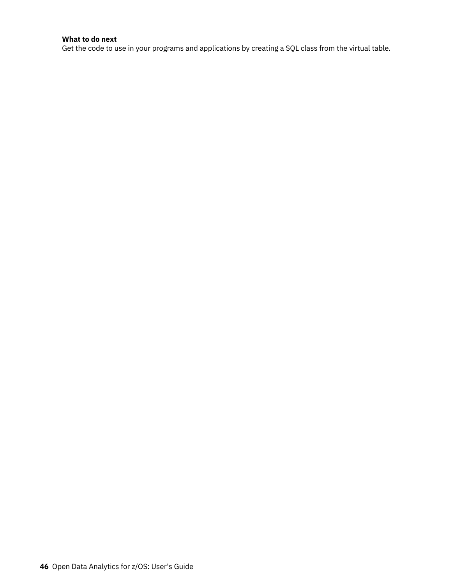### **What to do next**

Get the code to use in your programs and applications by creating a SQL class from the virtual table.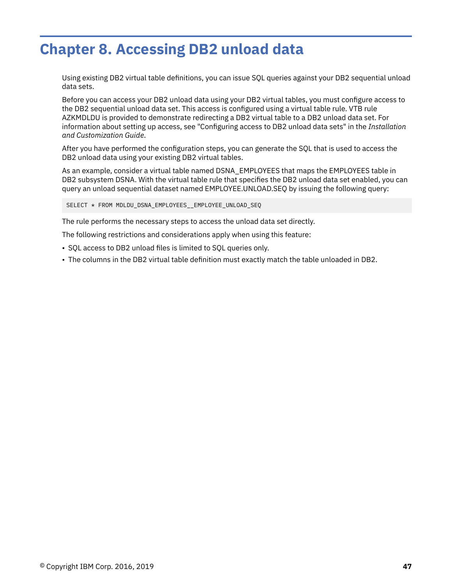# **Chapter 8. Accessing DB2 unload data**

Using existing DB2 virtual table definitions, you can issue SQL queries against your DB2 sequential unload data sets.

Before you can access your DB2 unload data using your DB2 virtual tables, you must configure access to the DB2 sequential unload data set. This access is configured using a virtual table rule. VTB rule AZKMDLDU is provided to demonstrate redirecting a DB2 virtual table to a DB2 unload data set. For information about setting up access, see "Configuring access to DB2 unload data sets" in the *Installation and Customization Guide*.

After you have performed the configuration steps, you can generate the SQL that is used to access the DB2 unload data using your existing DB2 virtual tables.

As an example, consider a virtual table named DSNA\_EMPLOYEES that maps the EMPLOYEES table in DB2 subsystem DSNA. With the virtual table rule that specifies the DB2 unload data set enabled, you can query an unload sequential dataset named EMPLOYEE.UNLOAD.SEQ by issuing the following query:

SELECT \* FROM MDLDU\_DSNA\_EMPLOYEES\_\_EMPLOYEE\_UNLOAD\_SEQ

The rule performs the necessary steps to access the unload data set directly.

The following restrictions and considerations apply when using this feature:

- SQL access to DB2 unload files is limited to SQL queries only.
- The columns in the DB2 virtual table definition must exactly match the table unloaded in DB2.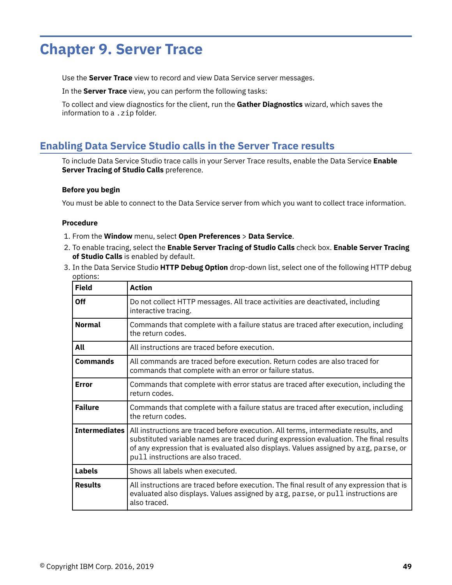# **Chapter 9. Server Trace**

Use the **Server Trace** view to record and view Data Service server messages.

In the **Server Trace** view, you can perform the following tasks:

To collect and view diagnostics for the client, run the **Gather Diagnostics** wizard, which saves the information to a . zip folder.

## **Enabling Data Service Studio calls in the Server Trace results**

To include Data Service Studio trace calls in your Server Trace results, enable the Data Service **Enable Server Tracing of Studio Calls** preference.

### **Before you begin**

You must be able to connect to the Data Service server from which you want to collect trace information.

- 1. From the **Window** menu, select **Open Preferences** > **Data Service**.
- 2. To enable tracing, select the **Enable Server Tracing of Studio Calls** check box. **Enable Server Tracing of Studio Calls** is enabled by default.
- 3. In the Data Service Studio **HTTP Debug Option** drop-down list, select one of the following HTTP debug options:

| <b>Field</b>         | <b>Action</b>                                                                                                                                                                                                                                                                                             |
|----------------------|-----------------------------------------------------------------------------------------------------------------------------------------------------------------------------------------------------------------------------------------------------------------------------------------------------------|
| Off                  | Do not collect HTTP messages. All trace activities are deactivated, including<br>interactive tracing.                                                                                                                                                                                                     |
| <b>Normal</b>        | Commands that complete with a failure status are traced after execution, including<br>the return codes.                                                                                                                                                                                                   |
| All                  | All instructions are traced before execution.                                                                                                                                                                                                                                                             |
| <b>Commands</b>      | All commands are traced before execution. Return codes are also traced for<br>commands that complete with an error or failure status.                                                                                                                                                                     |
| <b>Error</b>         | Commands that complete with error status are traced after execution, including the<br>return codes.                                                                                                                                                                                                       |
| <b>Failure</b>       | Commands that complete with a failure status are traced after execution, including<br>the return codes.                                                                                                                                                                                                   |
| <b>Intermediates</b> | All instructions are traced before execution. All terms, intermediate results, and<br>substituted variable names are traced during expression evaluation. The final results<br>of any expression that is evaluated also displays. Values assigned by arg, parse, or<br>pull instructions are also traced. |
| <b>Labels</b>        | Shows all labels when executed.                                                                                                                                                                                                                                                                           |
| <b>Results</b>       | All instructions are traced before execution. The final result of any expression that is<br>evaluated also displays. Values assigned by arg, parse, or pull instructions are<br>also traced.                                                                                                              |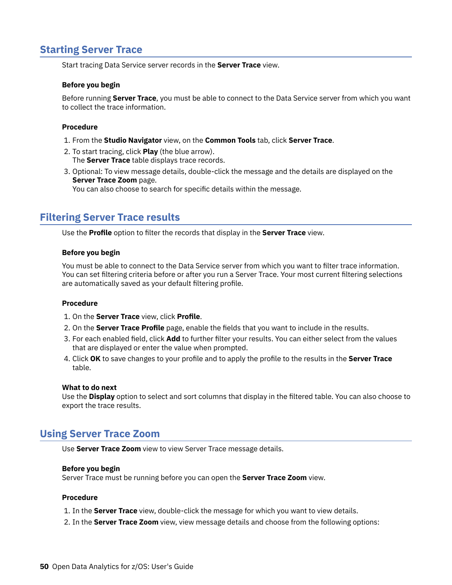## **Starting Server Trace**

Start tracing Data Service server records in the **Server Trace** view.

### **Before you begin**

Before running **Server Trace**, you must be able to connect to the Data Service server from which you want to collect the trace information.

### **Procedure**

- 1. From the **Studio Navigator** view, on the **Common Tools** tab, click **Server Trace**.
- 2. To start tracing, click **Play** (the blue arrow). The **Server Trace** table displays trace records.
- 3. Optional: To view message details, double-click the message and the details are displayed on the **Server Trace Zoom** page.

You can also choose to search for specific details within the message.

### **Filtering Server Trace results**

Use the **Profile** option to filter the records that display in the **Server Trace** view.

### **Before you begin**

You must be able to connect to the Data Service server from which you want to filter trace information. You can set filtering criteria before or after you run a Server Trace. Your most current filtering selections are automatically saved as your default filtering profile.

### **Procedure**

- 1. On the **Server Trace** view, click **Profile**.
- 2. On the **Server Trace Profile** page, enable the fields that you want to include in the results.
- 3. For each enabled field, click **Add** to further filter your results. You can either select from the values that are displayed or enter the value when prompted.
- 4. Click OK to save changes to your profile and to apply the profile to the results in the Server Trace table.

#### **What to do next**

Use the **Display** option to select and sort columns that display in the filtered table. You can also choose to export the trace results.

### **Using Server Trace Zoom**

Use **Server Trace Zoom** view to view Server Trace message details.

### **Before you begin**

Server Trace must be running before you can open the **Server Trace Zoom** view.

- 1. In the **Server Trace** view, double-click the message for which you want to view details.
- 2. In the **Server Trace Zoom** view, view message details and choose from the following options: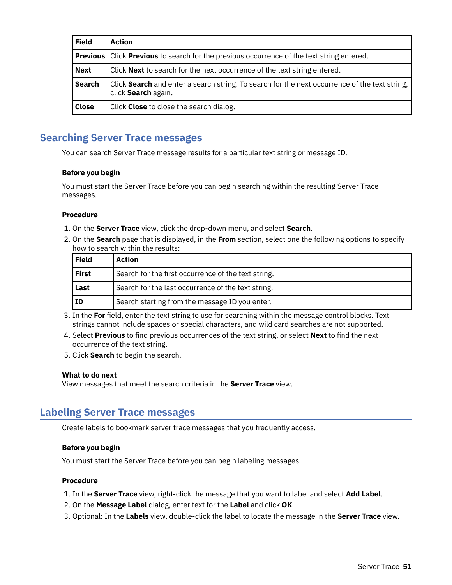| <b>Field</b>  | <b>Action</b>                                                                                                        |
|---------------|----------------------------------------------------------------------------------------------------------------------|
|               | <b>Previous</b>   Click <b>Previous</b> to search for the previous occurrence of the text string entered.            |
| <b>Next</b>   | Click Next to search for the next occurrence of the text string entered.                                             |
| <b>Search</b> | Click Search and enter a search string. To search for the next occurrence of the text string,<br>click Search again. |
| <b>Close</b>  | Click Close to close the search dialog.                                                                              |

## **Searching Server Trace messages**

You can search Server Trace message results for a particular text string or message ID.

### **Before you begin**

You must start the Server Trace before you can begin searching within the resulting Server Trace messages.

### **Procedure**

- 1. On the **Server Trace** view, click the drop-down menu, and select **Search**.
- 2. On the **Search** page that is displayed, in the **From** section, select one the following options to specify how to search within the results:

| <b>Field</b> | Action                                              |  |
|--------------|-----------------------------------------------------|--|
| First        | Search for the first occurrence of the text string. |  |
| Last         | Search for the last occurrence of the text string.  |  |
| ΙD           | Search starting from the message ID you enter.      |  |

- 3. In the **For** field, enter the text string to use for searching within the message control blocks. Text strings cannot include spaces or special characters, and wild card searches are not supported.
- 4. Select Previous to find previous occurrences of the text string, or select Next to find the next occurrence of the text string.
- 5. Click **Search** to begin the search.

### **What to do next**

View messages that meet the search criteria in the **Server Trace** view.

### **Labeling Server Trace messages**

Create labels to bookmark server trace messages that you frequently access.

### **Before you begin**

You must start the Server Trace before you can begin labeling messages.

- 1. In the **Server Trace** view, right-click the message that you want to label and select **Add Label**.
- 2. On the **Message Label** dialog, enter text for the **Label** and click **OK**.
- 3. Optional: In the **Labels** view, double-click the label to locate the message in the **Server Trace** view.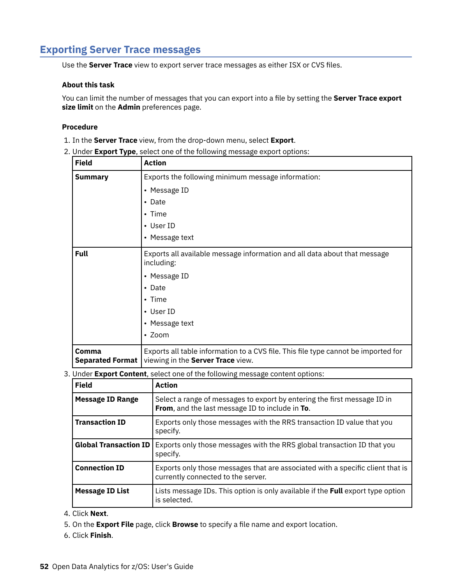## **Exporting Server Trace messages**

Use the **Server Trace** view to export server trace messages as either ISX or CVS files.

### **About this task**

You can limit the number of messages that you can export into a file by setting the **Server Trace export size limit** on the **Admin** preferences page.

### **Procedure**

- 1. In the **Server Trace** view, from the drop-down menu, select **Export**.
- 2. Under **Export Type**, select one of the following message export options:

| <b>Field</b>                     | <b>Action</b>                                                                                                           |  |
|----------------------------------|-------------------------------------------------------------------------------------------------------------------------|--|
| <b>Summary</b>                   | Exports the following minimum message information:                                                                      |  |
|                                  | • Message ID                                                                                                            |  |
|                                  | • Date                                                                                                                  |  |
|                                  | $\cdot$ Time                                                                                                            |  |
|                                  | • User ID                                                                                                               |  |
|                                  | • Message text                                                                                                          |  |
| <b>Full</b>                      | Exports all available message information and all data about that message<br>including:                                 |  |
|                                  | • Message ID                                                                                                            |  |
|                                  | $\cdot$ Date                                                                                                            |  |
|                                  | • Time                                                                                                                  |  |
|                                  | • User ID                                                                                                               |  |
|                                  | • Message text                                                                                                          |  |
|                                  | $\cdot$ Zoom                                                                                                            |  |
| Comma<br><b>Separated Format</b> | Exports all table information to a CVS file. This file type cannot be imported for<br>viewing in the Server Trace view. |  |

3. Under **Export Content**, select one of the following message content options:

| <b>Field</b>                 | <b>Action</b>                                                                                                               |
|------------------------------|-----------------------------------------------------------------------------------------------------------------------------|
| <b>Message ID Range</b>      | Select a range of messages to export by entering the first message ID in<br>From, and the last message ID to include in To. |
| <b>Transaction ID</b>        | Exports only those messages with the RRS transaction ID value that you<br>specify.                                          |
| <b>Global Transaction ID</b> | Exports only those messages with the RRS global transaction ID that you<br>specify.                                         |
| <b>Connection ID</b>         | Exports only those messages that are associated with a specific client that is<br>currently connected to the server.        |
| <b>Message ID List</b>       | Lists message IDs. This option is only available if the <b>Full</b> export type option<br>is selected.                      |

- 4. Click **Next**.
- 5. On the **Export File** page, click **Browse** to specify a file name and export location.
- 6. Click **Finish**.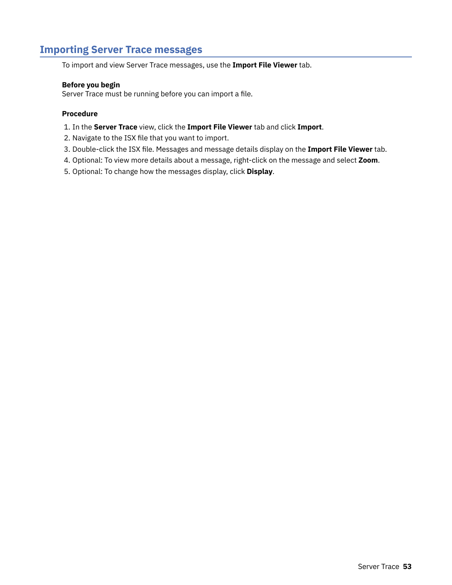## **Importing Server Trace messages**

To import and view Server Trace messages, use the **Import File Viewer** tab.

### **Before you begin**

Server Trace must be running before you can import a file.

- 1. In the **Server Trace** view, click the **Import File Viewer** tab and click **Import**.
- 2. Navigate to the ISX file that you want to import.
- 3. Double-click the ISX file. Messages and message details display on the Import File Viewer tab.
- 4. Optional: To view more details about a message, right-click on the message and select **Zoom**.
- 5. Optional: To change how the messages display, click **Display**.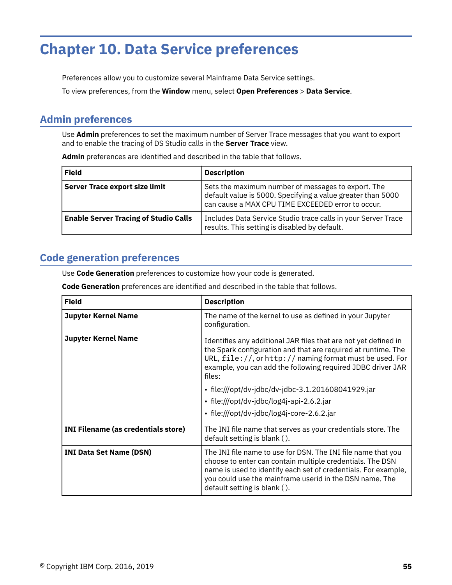# **Chapter 10. Data Service preferences**

Preferences allow you to customize several Mainframe Data Service settings.

To view preferences, from the **Window** menu, select **Open Preferences** > **Data Service**.

## **Admin preferences**

Use **Admin** preferences to set the maximum number of Server Trace messages that you want to export and to enable the tracing of DS Studio calls in the **Server Trace** view.

| <b>Field</b>                                 | <b>Description</b>                                                                                                                                                     |
|----------------------------------------------|------------------------------------------------------------------------------------------------------------------------------------------------------------------------|
| <b>Server Trace export size limit</b>        | Sets the maximum number of messages to export. The<br>default value is 5000. Specifying a value greater than 5000<br>can cause a MAX CPU TIME EXCEEDED error to occur. |
| <b>Enable Server Tracing of Studio Calls</b> | Includes Data Service Studio trace calls in your Server Trace<br>results. This setting is disabled by default.                                                         |

Admin preferences are identified and described in the table that follows.

## **Code generation preferences**

Use **Code Generation** preferences to customize how your code is generated.

**Code Generation** preferences are identified and described in the table that follows.

| <b>Field</b>                               | <b>Description</b>                                                                                                                                                                                                                                                                     |
|--------------------------------------------|----------------------------------------------------------------------------------------------------------------------------------------------------------------------------------------------------------------------------------------------------------------------------------------|
| <b>Jupyter Kernel Name</b>                 | The name of the kernel to use as defined in your Jupyter<br>configuration.                                                                                                                                                                                                             |
| <b>Jupyter Kernel Name</b>                 | Identifies any additional JAR files that are not yet defined in<br>the Spark configuration and that are required at runtime. The<br>URL, $file://$ , or $http://$ naming format must be used. For<br>example, you can add the following required JDBC driver JAR<br>files:             |
|                                            | • file:///opt/dv-jdbc/dv-jdbc-3.1.201608041929.jar                                                                                                                                                                                                                                     |
|                                            | • file:///opt/dv-jdbc/log4j-api-2.6.2.jar                                                                                                                                                                                                                                              |
|                                            | • file:///opt/dv-jdbc/log4j-core-2.6.2.jar                                                                                                                                                                                                                                             |
| <b>INI Filename (as credentials store)</b> | The INI file name that serves as your credentials store. The<br>default setting is blank ().                                                                                                                                                                                           |
| <b>INI Data Set Name (DSN)</b>             | The INI file name to use for DSN. The INI file name that you<br>choose to enter can contain multiple credentials. The DSN<br>name is used to identify each set of credentials. For example,<br>you could use the mainframe userid in the DSN name. The<br>default setting is blank (). |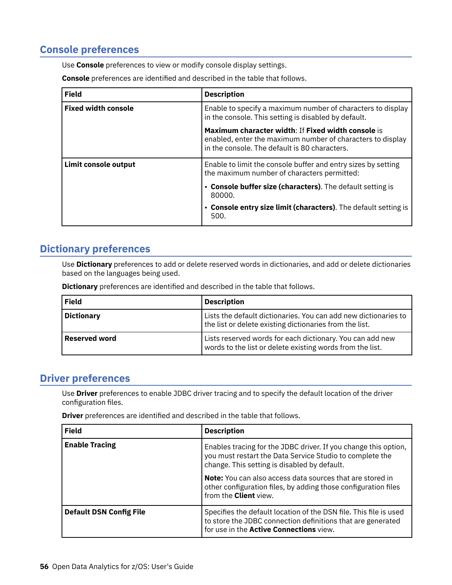## **Console preferences**

Use **Console** preferences to view or modify console display settings.

**Console** preferences are identified and described in the table that follows.

| <b>Field</b>               | <b>Description</b>                                                                                                                                                |
|----------------------------|-------------------------------------------------------------------------------------------------------------------------------------------------------------------|
| <b>Fixed width console</b> | Enable to specify a maximum number of characters to display<br>in the console. This setting is disabled by default.                                               |
|                            | Maximum character width: If Fixed width console is<br>enabled, enter the maximum number of characters to display<br>in the console. The default is 80 characters. |
| Limit console output       | Enable to limit the console buffer and entry sizes by setting<br>the maximum number of characters permitted:                                                      |
|                            | • Console buffer size (characters). The default setting is<br>80000.                                                                                              |
|                            | • Console entry size limit (characters). The default setting is<br>500.                                                                                           |

## **Dictionary preferences**

Use **Dictionary** preferences to add or delete reserved words in dictionaries, and add or delete dictionaries based on the languages being used.

**Dictionary** preferences are identified and described in the table that follows.

| <b>Field</b>         | <b>Description</b>                                                                                                         |
|----------------------|----------------------------------------------------------------------------------------------------------------------------|
| <b>Dictionary</b>    | Lists the default dictionaries. You can add new dictionaries to<br>the list or delete existing dictionaries from the list. |
| <b>Reserved word</b> | Lists reserved words for each dictionary. You can add new<br>words to the list or delete existing words from the list.     |

## **Driver preferences**

Use **Driver** preferences to enable JDBC driver tracing and to specify the default location of the driver configuration files.

**Driver** preferences are identified and described in the table that follows.

| <b>Field</b>                   | <b>Description</b>                                                                                                                                                          |
|--------------------------------|-----------------------------------------------------------------------------------------------------------------------------------------------------------------------------|
| <b>Enable Tracing</b>          | Enables tracing for the JDBC driver. If you change this option,<br>you must restart the Data Service Studio to complete the<br>change. This setting is disabled by default. |
|                                | <b>Note:</b> You can also access data sources that are stored in<br>other configuration files, by adding those configuration files<br>from the <b>Client</b> view.          |
| <b>Default DSN Config File</b> | Specifies the default location of the DSN file. This file is used<br>to store the JDBC connection definitions that are generated<br>for use in the Active Connections view. |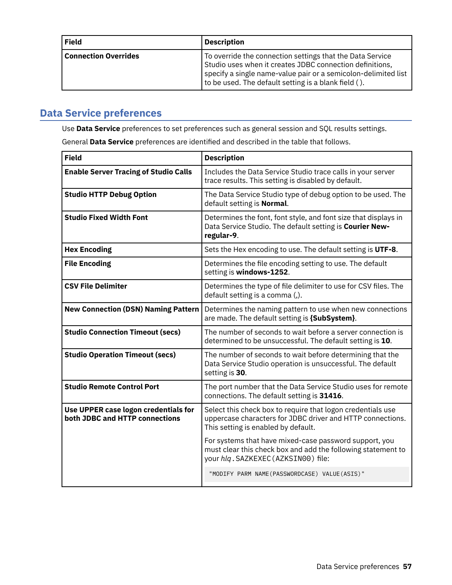<span id="page-64-0"></span>

| <b>Field</b>                | <b>Description</b>                                                                                                                                                                                                                                       |
|-----------------------------|----------------------------------------------------------------------------------------------------------------------------------------------------------------------------------------------------------------------------------------------------------|
| <b>Connection Overrides</b> | To override the connection settings that the Data Service<br>Studio uses when it creates JDBC connection definitions,<br>specify a single name-value pair or a semicolon-delimited list<br>$\vert$ to be used. The default setting is a blank field ( ). |

## **Data Service preferences**

Use **Data Service** preferences to set preferences such as general session and SQL results settings.

General Data Service preferences are identified and described in the table that follows.

| <b>Field</b>                                                           | <b>Description</b>                                                                                                                                               |
|------------------------------------------------------------------------|------------------------------------------------------------------------------------------------------------------------------------------------------------------|
| <b>Enable Server Tracing of Studio Calls</b>                           | Includes the Data Service Studio trace calls in your server<br>trace results. This setting is disabled by default.                                               |
| <b>Studio HTTP Debug Option</b>                                        | The Data Service Studio type of debug option to be used. The<br>default setting is Normal.                                                                       |
| <b>Studio Fixed Width Font</b>                                         | Determines the font, font style, and font size that displays in<br>Data Service Studio. The default setting is Courier New-<br>regular-9.                        |
| <b>Hex Encoding</b>                                                    | Sets the Hex encoding to use. The default setting is UTF-8.                                                                                                      |
| <b>File Encoding</b>                                                   | Determines the file encoding setting to use. The default<br>setting is windows-1252.                                                                             |
| <b>CSV File Delimiter</b>                                              | Determines the type of file delimiter to use for CSV files. The<br>default setting is a comma (,).                                                               |
| <b>New Connection (DSN) Naming Pattern</b>                             | Determines the naming pattern to use when new connections<br>are made. The default setting is {SubSystem}.                                                       |
| <b>Studio Connection Timeout (secs)</b>                                | The number of seconds to wait before a server connection is<br>determined to be unsuccessful. The default setting is 10.                                         |
| <b>Studio Operation Timeout (secs)</b>                                 | The number of seconds to wait before determining that the<br>Data Service Studio operation is unsuccessful. The default<br>setting is 30.                        |
| <b>Studio Remote Control Port</b>                                      | The port number that the Data Service Studio uses for remote<br>connections. The default setting is 31416.                                                       |
| Use UPPER case logon credentials for<br>both JDBC and HTTP connections | Select this check box to require that logon credentials use<br>uppercase characters for JDBC driver and HTTP connections.<br>This setting is enabled by default. |
|                                                                        | For systems that have mixed-case password support, you<br>must clear this check box and add the following statement to<br>your hlq.SAZKEXEC (AZKSIN00) file:     |
|                                                                        | "MODIFY PARM NAME(PASSWORDCASE) VALUE(ASIS)"                                                                                                                     |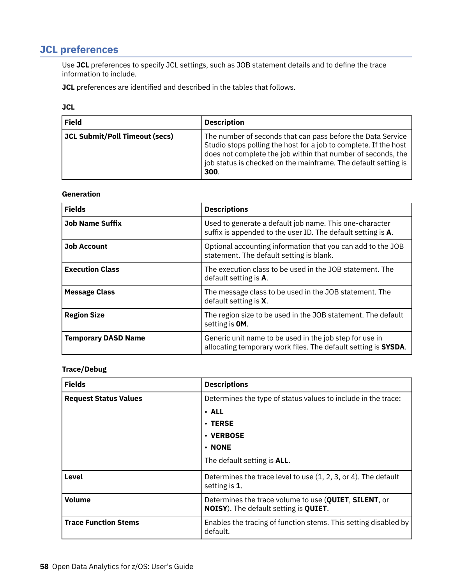## **JCL preferences**

Use JCL preferences to specify JCL settings, such as JOB statement details and to define the trace information to include.

**JCL** preferences are identified and described in the tables that follows.

|                                | ۰<br>۰. |  |
|--------------------------------|---------|--|
| ۰.<br>$\overline{\phantom{a}}$ | ۰.<br>× |  |

| <b>Field</b>                   | <b>Description</b>                                                                                                                                                                                                                                                        |
|--------------------------------|---------------------------------------------------------------------------------------------------------------------------------------------------------------------------------------------------------------------------------------------------------------------------|
| JCL Submit/Poll Timeout (secs) | The number of seconds that can pass before the Data Service<br>Studio stops polling the host for a job to complete. If the host<br>does not complete the job within that number of seconds, the<br>job status is checked on the mainframe. The default setting is<br>300. |

### **Generation**

| <b>Fields</b>              | <b>Descriptions</b>                                                                                                       |
|----------------------------|---------------------------------------------------------------------------------------------------------------------------|
| <b>Job Name Suffix</b>     | Used to generate a default job name. This one-character<br>suffix is appended to the user ID. The default setting is A.   |
| <b>Job Account</b>         | Optional accounting information that you can add to the JOB<br>statement. The default setting is blank.                   |
| <b>Execution Class</b>     | The execution class to be used in the JOB statement. The<br>default setting is A.                                         |
| <b>Message Class</b>       | The message class to be used in the JOB statement. The<br>default setting is X.                                           |
| <b>Region Size</b>         | The region size to be used in the JOB statement. The default<br>setting is OM.                                            |
| <b>Temporary DASD Name</b> | Generic unit name to be used in the job step for use in<br>allocating temporary work files. The default setting is SYSDA. |

### **Trace/Debug**

| <b>Fields</b>                | <b>Descriptions</b>                                                                                            |
|------------------------------|----------------------------------------------------------------------------------------------------------------|
| <b>Request Status Values</b> | Determines the type of status values to include in the trace:                                                  |
|                              | · ALL                                                                                                          |
|                              | <b>· TERSE</b>                                                                                                 |
|                              | · VERBOSE                                                                                                      |
|                              | <b>• NONE</b>                                                                                                  |
|                              | The default setting is <b>ALL</b> .                                                                            |
| Level                        | Determines the trace level to use (1, 2, 3, or 4). The default<br>setting is 1.                                |
| <b>Volume</b>                | Determines the trace volume to use (QUIET, SILENT, or<br><b>NOISY</b> ). The default setting is <b>QUIET</b> . |
| <b>Trace Function Stems</b>  | Enables the tracing of function stems. This setting disabled by<br>default.                                    |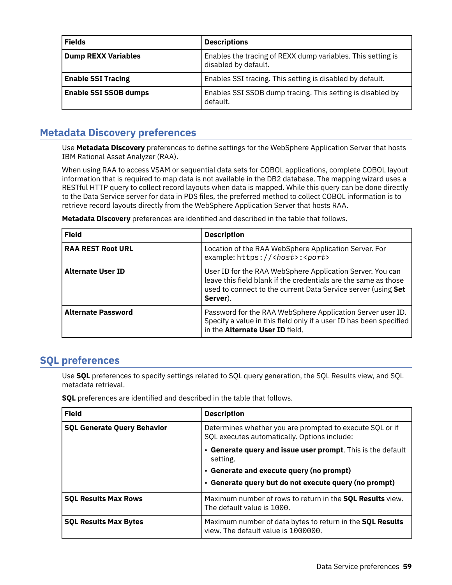<span id="page-66-0"></span>

| <b>Fields</b>                | <b>Descriptions</b>                                                                 |
|------------------------------|-------------------------------------------------------------------------------------|
| <b>Dump REXX Variables</b>   | Enables the tracing of REXX dump variables. This setting is<br>disabled by default. |
| <b>Enable SSI Tracing</b>    | Enables SSI tracing. This setting is disabled by default.                           |
| <b>Enable SSI SSOB dumps</b> | Enables SSI SSOB dump tracing. This setting is disabled by<br>default.              |

## **Metadata Discovery preferences**

Use **Metadata Discovery** preferences to define settings for the WebSphere Application Server that hosts IBM Rational Asset Analyzer (RAA).

When using RAA to access VSAM or sequential data sets for COBOL applications, complete COBOL layout information that is required to map data is not available in the DB2 database. The mapping wizard uses a RESTful HTTP query to collect record layouts when data is mapped. While this query can be done directly to the Data Service server for data in PDS files, the preferred method to collect COBOL information is to retrieve record layouts directly from the WebSphere Application Server that hosts RAA.

| <b>Field</b>              | <b>Description</b>                                                                                                                                                                                        |
|---------------------------|-----------------------------------------------------------------------------------------------------------------------------------------------------------------------------------------------------------|
| <b>RAA REST Root URL</b>  | Location of the RAA WebSphere Application Server. For<br>example: https:// <host>:<port></port></host>                                                                                                    |
| <b>Alternate User ID</b>  | User ID for the RAA WebSphere Application Server. You can<br>leave this field blank if the credentials are the same as those<br>used to connect to the current Data Service server (using Set<br>Server). |
| <b>Alternate Password</b> | Password for the RAA WebSphere Application Server user ID.<br>Specify a value in this field only if a user ID has been specified<br>in the Alternate User ID field.                                       |

**Metadata Discovery** preferences are identified and described in the table that follows.

## **SQL preferences**

Use **SQL** preferences to specify settings related to SQL query generation, the SQL Results view, and SQL metadata retrieval.

**SQL** preferences are identified and described in the table that follows.

| <b>Field</b>                       | <b>Description</b>                                                                                       |
|------------------------------------|----------------------------------------------------------------------------------------------------------|
| <b>SQL Generate Query Behavior</b> | Determines whether you are prompted to execute SQL or if<br>SQL executes automatically. Options include: |
|                                    | • Generate query and issue user prompt. This is the default<br>setting.                                  |
|                                    | • Generate and execute query (no prompt)                                                                 |
|                                    | • Generate query but do not execute query (no prompt)                                                    |
| <b>SQL Results Max Rows</b>        | Maximum number of rows to return in the <b>SQL Results</b> view.<br>The default value is 1000.           |
| <b>SQL Results Max Bytes</b>       | Maximum number of data bytes to return in the SQL Results<br>view. The default value is 1000000.         |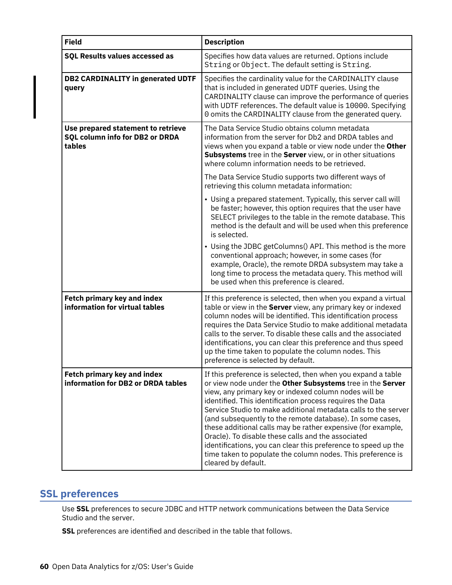| <b>Field</b>                                                                    | <b>Description</b>                                                                                                                                                                                                                                                                                                                                                                                                                                                                                                                                                                                                                                            |
|---------------------------------------------------------------------------------|---------------------------------------------------------------------------------------------------------------------------------------------------------------------------------------------------------------------------------------------------------------------------------------------------------------------------------------------------------------------------------------------------------------------------------------------------------------------------------------------------------------------------------------------------------------------------------------------------------------------------------------------------------------|
| <b>SQL Results values accessed as</b>                                           | Specifies how data values are returned. Options include<br>String or Object. The default setting is String.                                                                                                                                                                                                                                                                                                                                                                                                                                                                                                                                                   |
| <b>DB2 CARDINALITY in generated UDTF</b><br>query                               | Specifies the cardinality value for the CARDINALITY clause<br>that is included in generated UDTF queries. Using the<br>CARDINALITY clause can improve the performance of queries<br>with UDTF references. The default value is 10000. Specifying<br>0 omits the CARDINALITY clause from the generated query.                                                                                                                                                                                                                                                                                                                                                  |
| Use prepared statement to retrieve<br>SQL column info for DB2 or DRDA<br>tables | The Data Service Studio obtains column metadata<br>information from the server for Db2 and DRDA tables and<br>views when you expand a table or view node under the Other<br><b>Subsystems</b> tree in the <b>Server</b> view, or in other situations<br>where column information needs to be retrieved.                                                                                                                                                                                                                                                                                                                                                       |
|                                                                                 | The Data Service Studio supports two different ways of<br>retrieving this column metadata information:                                                                                                                                                                                                                                                                                                                                                                                                                                                                                                                                                        |
|                                                                                 | • Using a prepared statement. Typically, this server call will<br>be faster; however, this option requires that the user have<br>SELECT privileges to the table in the remote database. This<br>method is the default and will be used when this preference<br>is selected.                                                                                                                                                                                                                                                                                                                                                                                   |
|                                                                                 | • Using the JDBC getColumns() API. This method is the more<br>conventional approach; however, in some cases (for<br>example, Oracle), the remote DRDA subsystem may take a<br>long time to process the metadata query. This method will<br>be used when this preference is cleared.                                                                                                                                                                                                                                                                                                                                                                           |
| <b>Fetch primary key and index</b><br>information for virtual tables            | If this preference is selected, then when you expand a virtual<br>table or view in the Server view, any primary key or indexed<br>column nodes will be identified. This identification process<br>requires the Data Service Studio to make additional metadata<br>calls to the server. To disable these calls and the associated<br>identifications, you can clear this preference and thus speed<br>up the time taken to populate the column nodes. This<br>preference is selected by default.                                                                                                                                                               |
| <b>Fetch primary key and index</b><br>information for DB2 or DRDA tables        | If this preference is selected, then when you expand a table<br>or view node under the Other Subsystems tree in the Server<br>view, any primary key or indexed column nodes will be<br>identified. This identification process requires the Data<br>Service Studio to make additional metadata calls to the server<br>(and subsequently to the remote database). In some cases,<br>these additional calls may be rather expensive (for example,<br>Oracle). To disable these calls and the associated<br>identifications, you can clear this preference to speed up the<br>time taken to populate the column nodes. This preference is<br>cleared by default. |

## **SSL preferences**

Use **SSL** preferences to secure JDBC and HTTP network communications between the Data Service Studio and the server.

**SSL** preferences are identified and described in the table that follows.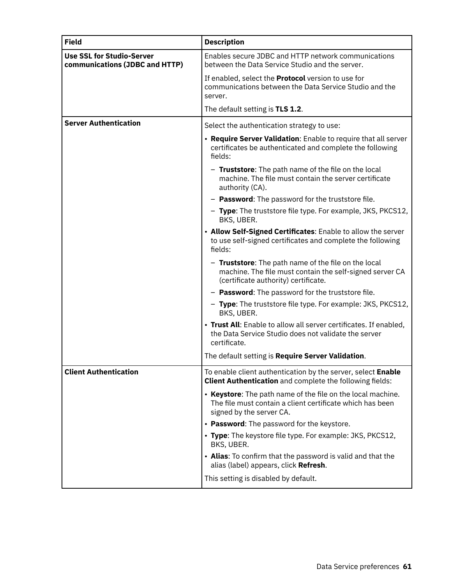| <b>Field</b>                                                       | <b>Description</b>                                                                                                                                       |
|--------------------------------------------------------------------|----------------------------------------------------------------------------------------------------------------------------------------------------------|
| <b>Use SSL for Studio-Server</b><br>communications (JDBC and HTTP) | Enables secure JDBC and HTTP network communications<br>between the Data Service Studio and the server.                                                   |
|                                                                    | If enabled, select the <b>Protocol</b> version to use for<br>communications between the Data Service Studio and the<br>server.                           |
|                                                                    | The default setting is TLS 1.2.                                                                                                                          |
| <b>Server Authentication</b>                                       | Select the authentication strategy to use:                                                                                                               |
|                                                                    | • Require Server Validation: Enable to require that all server<br>certificates be authenticated and complete the following<br>fields:                    |
|                                                                    | - Truststore: The path name of the file on the local<br>machine. The file must contain the server certificate<br>authority (CA).                         |
|                                                                    | - Password: The password for the truststore file.                                                                                                        |
|                                                                    | - Type: The truststore file type. For example, JKS, PKCS12,<br>BKS, UBER.                                                                                |
|                                                                    | • Allow Self-Signed Certificates: Enable to allow the server<br>to use self-signed certificates and complete the following<br>fields:                    |
|                                                                    | - Truststore: The path name of the file on the local<br>machine. The file must contain the self-signed server CA<br>(certificate authority) certificate. |
|                                                                    | - Password: The password for the truststore file.                                                                                                        |
|                                                                    | - Type: The truststore file type. For example: JKS, PKCS12,<br>BKS, UBER.                                                                                |
|                                                                    | • Trust All: Enable to allow all server certificates. If enabled,<br>the Data Service Studio does not validate the server<br>certificate.                |
|                                                                    | The default setting is Require Server Validation.                                                                                                        |
| <b>Client Authentication</b>                                       | To enable client authentication by the server, select Enable<br>Client Authentication and complete the following fields:                                 |
|                                                                    | • Keystore: The path name of the file on the local machine.<br>The file must contain a client certificate which has been<br>signed by the server CA.     |
|                                                                    | • Password: The password for the keystore.                                                                                                               |
|                                                                    | • Type: The keystore file type. For example: JKS, PKCS12,<br>BKS, UBER.                                                                                  |
|                                                                    | • Alias: To confirm that the password is valid and that the<br>alias (label) appears, click Refresh.                                                     |
|                                                                    | This setting is disabled by default.                                                                                                                     |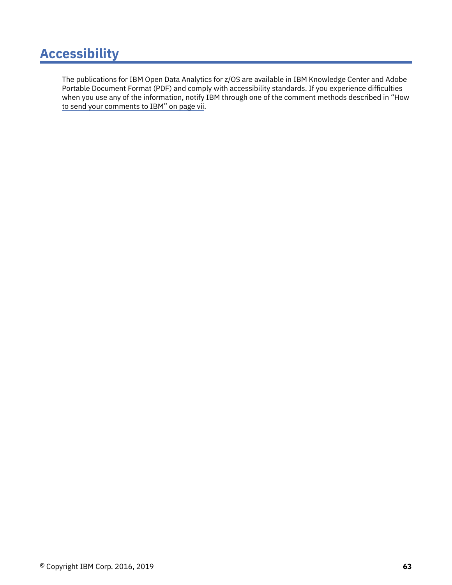## **Accessibility**

The publications for IBM Open Data Analytics for z/OS are available in IBM Knowledge Center and Adobe Portable Document Format (PDF) and comply with accessibility standards. If you experience difficulties when you use any of the information, notify IBM through one of the comment methods described in ["How](#page-6-0) [to send your comments to IBM" on page vii.](#page-6-0)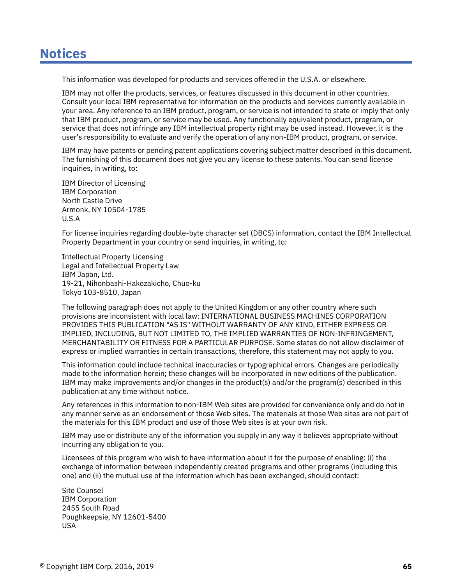# <span id="page-72-0"></span>**Notices**

This information was developed for products and services offered in the U.S.A. or elsewhere.

IBM may not offer the products, services, or features discussed in this document in other countries. Consult your local IBM representative for information on the products and services currently available in your area. Any reference to an IBM product, program, or service is not intended to state or imply that only that IBM product, program, or service may be used. Any functionally equivalent product, program, or service that does not infringe any IBM intellectual property right may be used instead. However, it is the user's responsibility to evaluate and verify the operation of any non-IBM product, program, or service.

IBM may have patents or pending patent applications covering subject matter described in this document. The furnishing of this document does not give you any license to these patents. You can send license inquiries, in writing, to:

IBM Director of Licensing IBM Corporation North Castle Drive Armonk, NY 10504-1785 U.S.A

For license inquiries regarding double-byte character set (DBCS) information, contact the IBM Intellectual Property Department in your country or send inquiries, in writing, to:

Intellectual Property Licensing Legal and Intellectual Property Law IBM Japan, Ltd. 19-21, Nihonbashi-Hakozakicho, Chuo-ku Tokyo 103-8510, Japan

The following paragraph does not apply to the United Kingdom or any other country where such provisions are inconsistent with local law: INTERNATIONAL BUSINESS MACHINES CORPORATION PROVIDES THIS PUBLICATION "AS IS" WITHOUT WARRANTY OF ANY KIND, EITHER EXPRESS OR IMPLIED, INCLUDING, BUT NOT LIMITED TO, THE IMPLIED WARRANTIES OF NON-INFRINGEMENT, MERCHANTABILITY OR FITNESS FOR A PARTICULAR PURPOSE. Some states do not allow disclaimer of express or implied warranties in certain transactions, therefore, this statement may not apply to you.

This information could include technical inaccuracies or typographical errors. Changes are periodically made to the information herein; these changes will be incorporated in new editions of the publication. IBM may make improvements and/or changes in the product(s) and/or the program(s) described in this publication at any time without notice.

Any references in this information to non-IBM Web sites are provided for convenience only and do not in any manner serve as an endorsement of those Web sites. The materials at those Web sites are not part of the materials for this IBM product and use of those Web sites is at your own risk.

IBM may use or distribute any of the information you supply in any way it believes appropriate without incurring any obligation to you.

Licensees of this program who wish to have information about it for the purpose of enabling: (i) the exchange of information between independently created programs and other programs (including this one) and (ii) the mutual use of the information which has been exchanged, should contact:

Site Counsel IBM Corporation 2455 South Road Poughkeepsie, NY 12601-5400 USA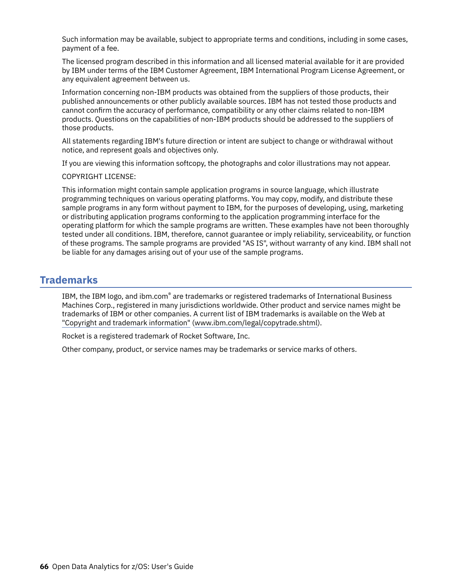Such information may be available, subject to appropriate terms and conditions, including in some cases, payment of a fee.

The licensed program described in this information and all licensed material available for it are provided by IBM under terms of the IBM Customer Agreement, IBM International Program License Agreement, or any equivalent agreement between us.

Information concerning non-IBM products was obtained from the suppliers of those products, their published announcements or other publicly available sources. IBM has not tested those products and cannot confirm the accuracy of performance, compatibility or any other claims related to non-IBM products. Questions on the capabilities of non-IBM products should be addressed to the suppliers of those products.

All statements regarding IBM's future direction or intent are subject to change or withdrawal without notice, and represent goals and objectives only.

If you are viewing this information softcopy, the photographs and color illustrations may not appear.

#### COPYRIGHT LICENSE:

This information might contain sample application programs in source language, which illustrate programming techniques on various operating platforms. You may copy, modify, and distribute these sample programs in any form without payment to IBM, for the purposes of developing, using, marketing or distributing application programs conforming to the application programming interface for the operating platform for which the sample programs are written. These examples have not been thoroughly tested under all conditions. IBM, therefore, cannot guarantee or imply reliability, serviceability, or function of these programs. The sample programs are provided "AS IS", without warranty of any kind. IBM shall not be liable for any damages arising out of your use of the sample programs.

## **Trademarks**

IBM, the IBM logo, and ibm.com® are trademarks or registered trademarks of International Business Machines Corp., registered in many jurisdictions worldwide. Other product and service names might be trademarks of IBM or other companies. A current list of IBM trademarks is available on the Web at ["Copyright and trademark information"](http://www.ibm.com/legal/copytrade.shtml) ([www.ibm.com/legal/copytrade.shtml](http://www.ibm.com/legal/copytrade.shtml)).

Rocket is a registered trademark of Rocket Software, Inc.

Other company, product, or service names may be trademarks or service marks of others.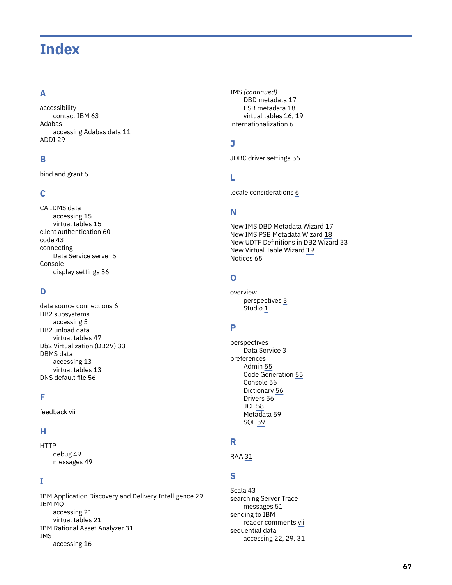# **Index**

## **A**

accessibility contact IBM [63](#page-70-0) Adabas accessing Adabas data [11](#page-18-0) ADDI [29](#page-36-0)

### **B**

bind and grant [5](#page-12-0)

### **C**

CA IDMS data accessing [15](#page-22-0) virtual tables [15](#page-22-0) client authentication [60](#page-67-0) code [43](#page-50-0) connecting Data Service server [5](#page-12-0) Console display settings [56](#page-63-0)

#### **D**

data source connections [6](#page-13-0) DB2 subsystems accessing [5](#page-12-0) DB2 unload data virtual tables [47](#page-54-0) Db2 Virtualization (DB2V) [33](#page-40-0) DBMS data accessing [13](#page-20-0) virtual tables [13](#page-20-0) DNS default file [56](#page-63-0)

#### **F**

feedback [vii](#page-6-0)

## **H**

**HTTP** debug [49](#page-56-0) messages [49](#page-56-0)

#### **I**

IBM Application Discovery and Delivery Intelligence [29](#page-36-0) IBM MQ accessing [21](#page-28-0) virtual tables [21](#page-28-0) IBM Rational Asset Analyzer [31](#page-38-0) IMS accessing [16](#page-23-0)

IMS *(continued)* DBD metadata [17](#page-24-0) PSB metadata [18](#page-25-0) virtual tables [16,](#page-23-0) [19](#page-26-0) internationalization [6](#page-13-0)

### **J**

JDBC driver settings [56](#page-63-0)

### **L**

locale considerations [6](#page-13-0)

## **N**

New IMS DBD Metadata Wizard [17](#page-24-0) New IMS PSB Metadata Wizard [18](#page-25-0) New UDTF Definitions in DB2 Wizard [33](#page-40-0) New Virtual Table Wizard [19](#page-26-0) Notices [65](#page-72-0)

## **O**

overview perspectives [3](#page-10-0) Studio [1](#page-8-0)

## **P**

perspectives Data Service [3](#page-10-0) preferences Admin [55](#page-62-0) Code Generation [55](#page-62-0) Console [56](#page-63-0) Dictionary [56](#page-63-0) Drivers [56](#page-63-0) JCL [58](#page-65-0) Metadata [59](#page-66-0) SQL [59](#page-66-0)

## **R**

RAA [31](#page-38-0)

## **S**

Scala [43](#page-50-0) searching Server Trace messages [51](#page-58-0) sending to IBM reader comments [vii](#page-6-0) sequential data accessing [22](#page-29-0), [29,](#page-36-0) [31](#page-38-0)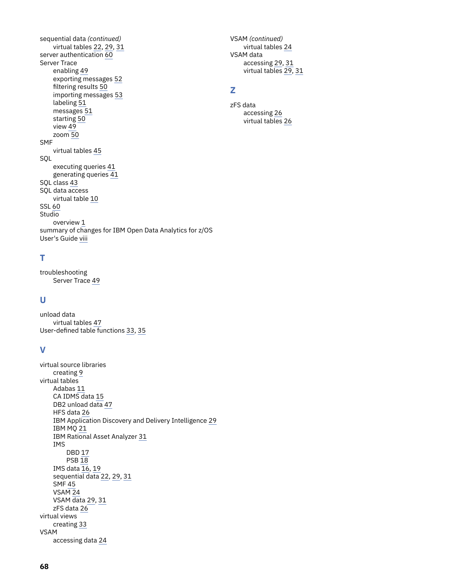sequential data *(continued)* virtual tables [22,](#page-29-0) [29,](#page-36-0) [31](#page-38-0) server authentication [60](#page-67-0) Server Trace enabling [49](#page-56-0) exporting messages [52](#page-59-0) filtering results [50](#page-57-0) importing messages [53](#page-60-0) labeling [51](#page-58-0) messages [51](#page-58-0) starting [50](#page-57-0) view [49](#page-56-0) zoom [50](#page-57-0) SMF virtual tables [45](#page-52-0) SQL executing queries [41](#page-48-0) generating queries  $41$ SQL class [43](#page-50-0) SQL data access virtual table [10](#page-17-0) SSL [60](#page-67-0) **Studio** overview [1](#page-8-0) summary of changes for IBM Open Data Analytics for z/OS User's Guide [viii](#page-7-0)

#### VSAM *(continued)* virtual tables [24](#page-31-0) VSAM data accessing [29](#page-36-0), [31](#page-38-0) virtual tables [29,](#page-36-0) [31](#page-38-0)

## **Z**

zFS data accessing [26](#page-33-0) virtual tables [26](#page-33-0)

## **T**

troubleshooting Server Trace [49](#page-56-0)

#### **U**

unload data virtual tables [47](#page-54-0) User-defined table functions [33](#page-40-0), [35](#page-42-0)

## **V**

```
virtual source libraries
    creating 9
virtual tables
    Adabas 11
    CA IDMS data 15
    DB2 unload data 47
    HFS data 26
    IBM Application Discovery and Delivery Intelligence 29
    IBM MQ 21
    IBM Rational Asset Analyzer 31
    IMS
        DBD 17
        PSB 18
    IMS data 19sequential data 22, 29, 31
    SMF 45
    VSAM 24
    VSAM data 29, 31
    zFS data 26
virtual views
    creating 33
VSAM
    accessing data 24
```